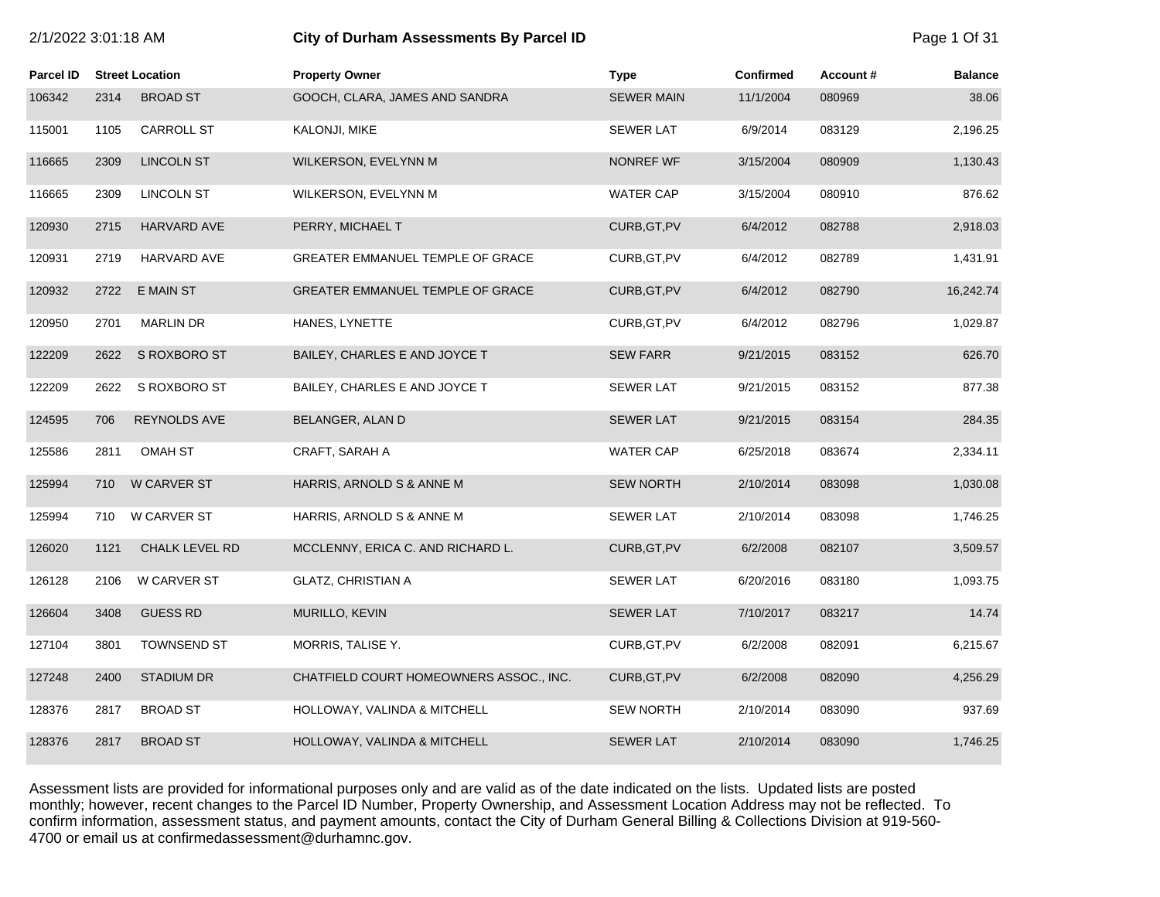# 2/1/2022 3:01:18 AM **City of Durham Assessments By Parcel ID** Page 1 Of 31

| <b>Parcel ID</b> |      | <b>Street Location</b> | <b>Property Owner</b>                   | <b>Type</b>       | <b>Confirmed</b> | Account# | <b>Balance</b> |
|------------------|------|------------------------|-----------------------------------------|-------------------|------------------|----------|----------------|
| 106342           | 2314 | <b>BROAD ST</b>        | GOOCH, CLARA, JAMES AND SANDRA          | <b>SEWER MAIN</b> | 11/1/2004        | 080969   | 38.06          |
| 115001           | 1105 | <b>CARROLL ST</b>      | KALONJI, MIKE                           | <b>SEWER LAT</b>  | 6/9/2014         | 083129   | 2,196.25       |
| 116665           | 2309 | <b>LINCOLN ST</b>      | WILKERSON, EVELYNN M                    | NONREF WF         | 3/15/2004        | 080909   | 1,130.43       |
| 116665           | 2309 | <b>LINCOLN ST</b>      | WILKERSON, EVELYNN M                    | <b>WATER CAP</b>  | 3/15/2004        | 080910   | 876.62         |
| 120930           | 2715 | <b>HARVARD AVE</b>     | PERRY, MICHAEL T                        | CURB, GT, PV      | 6/4/2012         | 082788   | 2,918.03       |
| 120931           | 2719 | HARVARD AVE            | GREATER EMMANUEL TEMPLE OF GRACE        | CURB, GT, PV      | 6/4/2012         | 082789   | 1,431.91       |
| 120932           | 2722 | E MAIN ST              | GREATER EMMANUEL TEMPLE OF GRACE        | CURB, GT, PV      | 6/4/2012         | 082790   | 16,242.74      |
| 120950           | 2701 | <b>MARLIN DR</b>       | HANES, LYNETTE                          | CURB, GT, PV      | 6/4/2012         | 082796   | 1,029.87       |
| 122209           | 2622 | S ROXBORO ST           | BAILEY, CHARLES E AND JOYCE T           | <b>SEW FARR</b>   | 9/21/2015        | 083152   | 626.70         |
| 122209           | 2622 | S ROXBORO ST           | BAILEY, CHARLES E AND JOYCE T           | <b>SEWER LAT</b>  | 9/21/2015        | 083152   | 877.38         |
| 124595           | 706  | REYNOLDS AVE           | BELANGER, ALAN D                        | <b>SEWER LAT</b>  | 9/21/2015        | 083154   | 284.35         |
| 125586           | 2811 | <b>OMAH ST</b>         | CRAFT, SARAH A                          | <b>WATER CAP</b>  | 6/25/2018        | 083674   | 2,334.11       |
| 125994           | 710  | W CARVER ST            | HARRIS, ARNOLD S & ANNE M               | <b>SEW NORTH</b>  | 2/10/2014        | 083098   | 1,030.08       |
| 125994           | 710  | <b>W CARVER ST</b>     | HARRIS, ARNOLD S & ANNE M               | <b>SEWER LAT</b>  | 2/10/2014        | 083098   | 1,746.25       |
| 126020           | 1121 | <b>CHALK LEVEL RD</b>  | MCCLENNY, ERICA C. AND RICHARD L.       | CURB, GT, PV      | 6/2/2008         | 082107   | 3,509.57       |
| 126128           | 2106 | W CARVER ST            | <b>GLATZ, CHRISTIAN A</b>               | <b>SEWER LAT</b>  | 6/20/2016        | 083180   | 1,093.75       |
| 126604           | 3408 | <b>GUESS RD</b>        | MURILLO, KEVIN                          | <b>SEWER LAT</b>  | 7/10/2017        | 083217   | 14.74          |
| 127104           | 3801 | <b>TOWNSEND ST</b>     | MORRIS, TALISE Y.                       | CURB, GT, PV      | 6/2/2008         | 082091   | 6,215.67       |
| 127248           | 2400 | <b>STADIUM DR</b>      | CHATFIELD COURT HOMEOWNERS ASSOC., INC. | CURB, GT, PV      | 6/2/2008         | 082090   | 4,256.29       |
| 128376           | 2817 | <b>BROAD ST</b>        | HOLLOWAY, VALINDA & MITCHELL            | <b>SEW NORTH</b>  | 2/10/2014        | 083090   | 937.69         |
| 128376           | 2817 | <b>BROAD ST</b>        | HOLLOWAY, VALINDA & MITCHELL            | <b>SEWER LAT</b>  | 2/10/2014        | 083090   | 1,746.25       |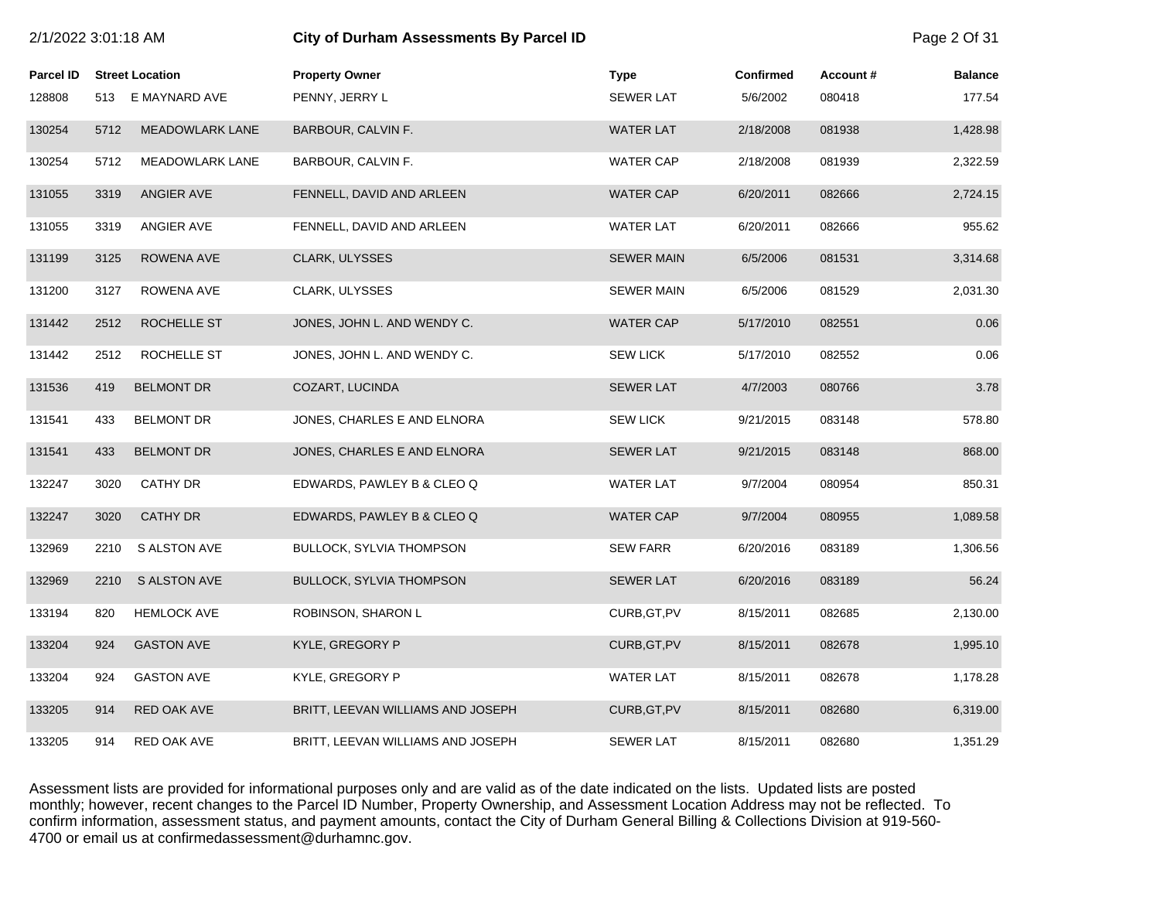|                  | 2/1/2022 3:01:18 AM |                        | <b>City of Durham Assessments By Parcel ID</b> |                   |                  |          |                |
|------------------|---------------------|------------------------|------------------------------------------------|-------------------|------------------|----------|----------------|
| <b>Parcel ID</b> |                     | <b>Street Location</b> | <b>Property Owner</b>                          | <b>Type</b>       | <b>Confirmed</b> | Account# | <b>Balance</b> |
| 128808           | 513                 | E MAYNARD AVE          | PENNY, JERRY L                                 | <b>SEWER LAT</b>  | 5/6/2002         | 080418   | 177.54         |
| 130254           | 5712                | <b>MEADOWLARK LANE</b> | BARBOUR, CALVIN F.                             | <b>WATER LAT</b>  | 2/18/2008        | 081938   | 1,428.98       |
| 130254           | 5712                | <b>MEADOWLARK LANE</b> | BARBOUR, CALVIN F.                             | <b>WATER CAP</b>  | 2/18/2008        | 081939   | 2,322.59       |
| 131055           | 3319                | ANGIER AVE             | FENNELL, DAVID AND ARLEEN                      | <b>WATER CAP</b>  | 6/20/2011        | 082666   | 2,724.15       |
| 131055           | 3319                | ANGIER AVE             | FENNELL, DAVID AND ARLEEN                      | <b>WATER LAT</b>  | 6/20/2011        | 082666   | 955.62         |
| 131199           | 3125                | ROWENA AVE             | <b>CLARK, ULYSSES</b>                          | <b>SEWER MAIN</b> | 6/5/2006         | 081531   | 3,314.68       |
| 131200           | 3127                | ROWENA AVE             | CLARK, ULYSSES                                 | <b>SEWER MAIN</b> | 6/5/2006         | 081529   | 2,031.30       |
| 131442           | 2512                | ROCHELLE ST            | JONES, JOHN L. AND WENDY C.                    | <b>WATER CAP</b>  | 5/17/2010        | 082551   | 0.06           |
| 131442           | 2512                | ROCHELLE ST            | JONES, JOHN L. AND WENDY C.                    | <b>SEW LICK</b>   | 5/17/2010        | 082552   | 0.06           |
| 131536           | 419                 | <b>BELMONT DR</b>      | COZART, LUCINDA                                | <b>SEWER LAT</b>  | 4/7/2003         | 080766   | 3.78           |
| 131541           | 433                 | <b>BELMONT DR</b>      | JONES, CHARLES E AND ELNORA                    | <b>SEW LICK</b>   | 9/21/2015        | 083148   | 578.80         |
| 131541           | 433                 | <b>BELMONT DR</b>      | JONES, CHARLES E AND ELNORA                    | <b>SEWER LAT</b>  | 9/21/2015        | 083148   | 868.00         |
| 132247           | 3020                | <b>CATHY DR</b>        | EDWARDS, PAWLEY B & CLEO Q                     | <b>WATER LAT</b>  | 9/7/2004         | 080954   | 850.31         |
| 132247           | 3020                | <b>CATHY DR</b>        | EDWARDS, PAWLEY B & CLEO Q                     | <b>WATER CAP</b>  | 9/7/2004         | 080955   | 1,089.58       |
| 132969           | 2210                | <b>S ALSTON AVE</b>    | <b>BULLOCK, SYLVIA THOMPSON</b>                | <b>SEW FARR</b>   | 6/20/2016        | 083189   | 1,306.56       |
| 132969           | 2210                | S ALSTON AVE           | BULLOCK, SYLVIA THOMPSON                       | <b>SEWER LAT</b>  | 6/20/2016        | 083189   | 56.24          |
| 133194           | 820                 | <b>HEMLOCK AVE</b>     | ROBINSON, SHARON L                             | CURB, GT, PV      | 8/15/2011        | 082685   | 2,130.00       |
| 133204           | 924                 | <b>GASTON AVE</b>      | KYLE, GREGORY P                                | CURB, GT, PV      | 8/15/2011        | 082678   | 1,995.10       |
| 133204           | 924                 | <b>GASTON AVE</b>      | KYLE, GREGORY P                                | <b>WATER LAT</b>  | 8/15/2011        | 082678   | 1,178.28       |
| 133205           | 914                 | <b>RED OAK AVE</b>     | BRITT, LEEVAN WILLIAMS AND JOSEPH              | CURB, GT, PV      | 8/15/2011        | 082680   | 6,319.00       |
| 133205           | 914                 | RED OAK AVE            | BRITT, LEEVAN WILLIAMS AND JOSEPH              | <b>SEWER LAT</b>  | 8/15/2011        | 082680   | 1,351.29       |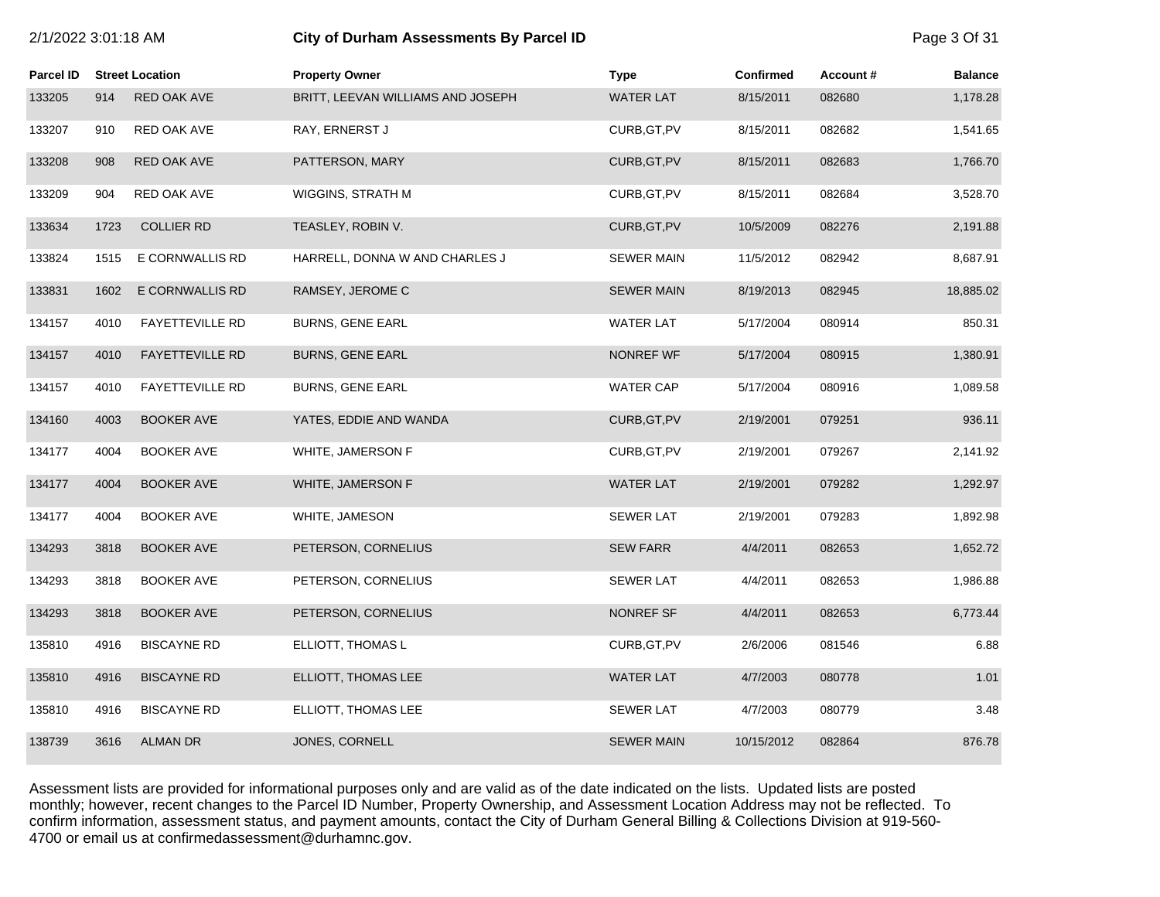| <b>Parcel ID</b> |      | <b>Street Location</b> | <b>Property Owner</b>             | <b>Type</b>       | <b>Confirmed</b> | Account# | <b>Balance</b> |
|------------------|------|------------------------|-----------------------------------|-------------------|------------------|----------|----------------|
| 133205           | 914  | <b>RED OAK AVE</b>     | BRITT, LEEVAN WILLIAMS AND JOSEPH | <b>WATER LAT</b>  | 8/15/2011        | 082680   | 1,178.28       |
| 133207           | 910  | RED OAK AVE            | RAY, ERNERST J                    | CURB, GT, PV      | 8/15/2011        | 082682   | 1,541.65       |
| 133208           | 908  | RED OAK AVE            | PATTERSON, MARY                   | CURB, GT, PV      | 8/15/2011        | 082683   | 1,766.70       |
| 133209           | 904  | RED OAK AVE            | WIGGINS, STRATH M                 | CURB, GT, PV      | 8/15/2011        | 082684   | 3,528.70       |
| 133634           | 1723 | <b>COLLIER RD</b>      | TEASLEY, ROBIN V.                 | CURB, GT, PV      | 10/5/2009        | 082276   | 2,191.88       |
| 133824           | 1515 | E CORNWALLIS RD        | HARRELL, DONNA W AND CHARLES J    | <b>SEWER MAIN</b> | 11/5/2012        | 082942   | 8,687.91       |
| 133831           | 1602 | E CORNWALLIS RD        | RAMSEY, JEROME C                  | <b>SEWER MAIN</b> | 8/19/2013        | 082945   | 18,885.02      |
| 134157           | 4010 | <b>FAYETTEVILLE RD</b> | <b>BURNS, GENE EARL</b>           | WATER LAT         | 5/17/2004        | 080914   | 850.31         |
| 134157           | 4010 | <b>FAYETTEVILLE RD</b> | <b>BURNS, GENE EARL</b>           | <b>NONREF WF</b>  | 5/17/2004        | 080915   | 1,380.91       |
| 134157           | 4010 | <b>FAYETTEVILLE RD</b> | <b>BURNS, GENE EARL</b>           | <b>WATER CAP</b>  | 5/17/2004        | 080916   | 1,089.58       |
| 134160           | 4003 | <b>BOOKER AVE</b>      | YATES, EDDIE AND WANDA            | CURB, GT, PV      | 2/19/2001        | 079251   | 936.11         |
| 134177           | 4004 | <b>BOOKER AVE</b>      | WHITE, JAMERSON F                 | CURB, GT, PV      | 2/19/2001        | 079267   | 2,141.92       |
| 134177           | 4004 | <b>BOOKER AVE</b>      | WHITE, JAMERSON F                 | <b>WATER LAT</b>  | 2/19/2001        | 079282   | 1,292.97       |
| 134177           | 4004 | <b>BOOKER AVE</b>      | WHITE, JAMESON                    | <b>SEWER LAT</b>  | 2/19/2001        | 079283   | 1,892.98       |
| 134293           | 3818 | <b>BOOKER AVE</b>      | PETERSON, CORNELIUS               | <b>SEW FARR</b>   | 4/4/2011         | 082653   | 1,652.72       |
| 134293           | 3818 | <b>BOOKER AVE</b>      | PETERSON, CORNELIUS               | <b>SEWER LAT</b>  | 4/4/2011         | 082653   | 1,986.88       |
| 134293           | 3818 | <b>BOOKER AVE</b>      | PETERSON, CORNELIUS               | NONREF SF         | 4/4/2011         | 082653   | 6,773.44       |
| 135810           | 4916 | <b>BISCAYNE RD</b>     | ELLIOTT, THOMAS L                 | CURB, GT, PV      | 2/6/2006         | 081546   | 6.88           |
| 135810           | 4916 | <b>BISCAYNE RD</b>     | ELLIOTT, THOMAS LEE               | <b>WATER LAT</b>  | 4/7/2003         | 080778   | 1.01           |
| 135810           | 4916 | <b>BISCAYNE RD</b>     | ELLIOTT, THOMAS LEE               | <b>SEWER LAT</b>  | 4/7/2003         | 080779   | 3.48           |
| 138739           | 3616 | <b>ALMAN DR</b>        | JONES, CORNELL                    | <b>SEWER MAIN</b> | 10/15/2012       | 082864   | 876.78         |

2/1/2022 3:01:18 AM **City of Durham Assessments By Parcel ID** Page 3 Of 31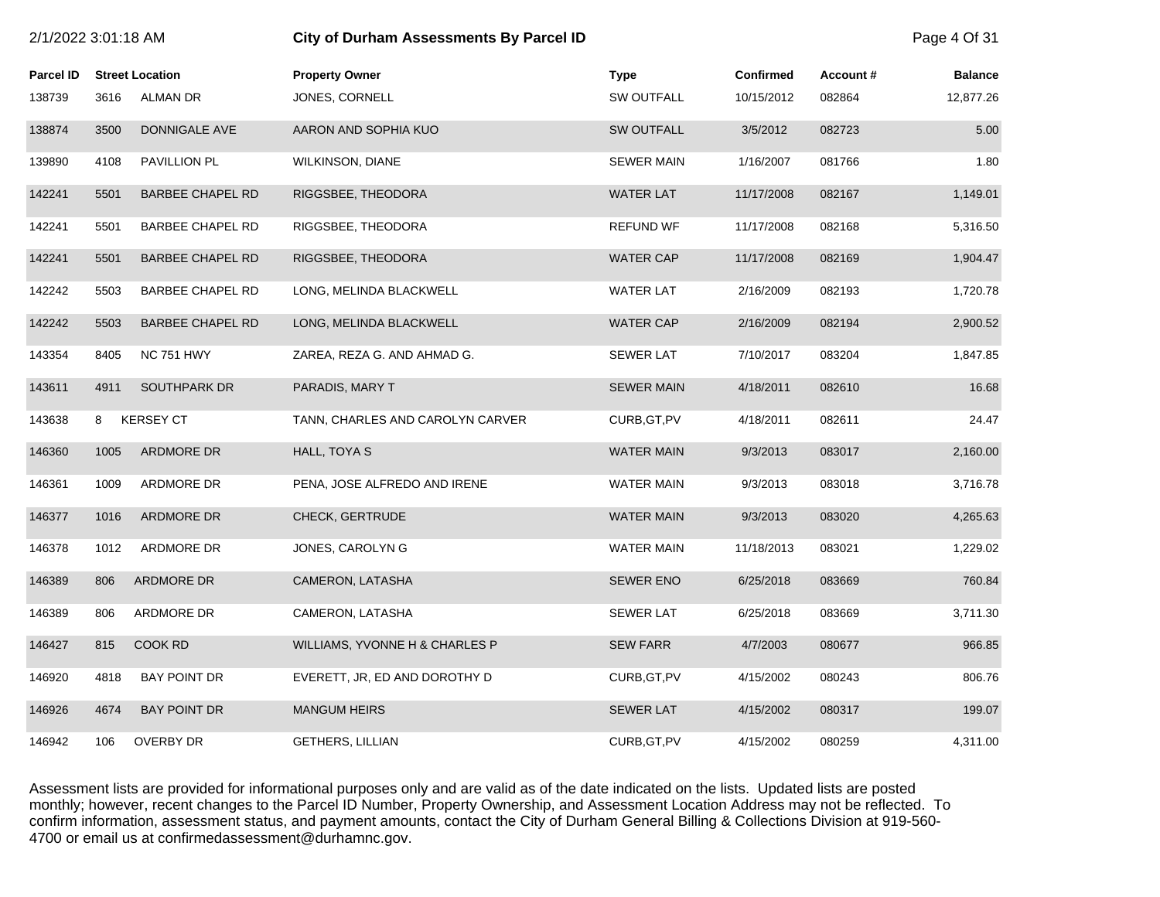|           | 2/1/2022 3:01:18 AM |                         | <b>City of Durham Assessments By Parcel ID</b> |                   |                  |          |                |
|-----------|---------------------|-------------------------|------------------------------------------------|-------------------|------------------|----------|----------------|
| Parcel ID |                     | <b>Street Location</b>  | <b>Property Owner</b>                          | <b>Type</b>       | <b>Confirmed</b> | Account# | <b>Balance</b> |
| 138739    | 3616                | ALMAN DR                | JONES, CORNELL                                 | <b>SW OUTFALL</b> | 10/15/2012       | 082864   | 12,877.26      |
| 138874    | 3500                | DONNIGALE AVE           | AARON AND SOPHIA KUO                           | <b>SW OUTFALL</b> | 3/5/2012         | 082723   | 5.00           |
| 139890    | 4108                | PAVILLION PL            | <b>WILKINSON, DIANE</b>                        | <b>SEWER MAIN</b> | 1/16/2007        | 081766   | 1.80           |
| 142241    | 5501                | <b>BARBEE CHAPEL RD</b> | RIGGSBEE, THEODORA                             | <b>WATER LAT</b>  | 11/17/2008       | 082167   | 1,149.01       |
| 142241    | 5501                | <b>BARBEE CHAPEL RD</b> | RIGGSBEE, THEODORA                             | <b>REFUND WF</b>  | 11/17/2008       | 082168   | 5,316.50       |
| 142241    | 5501                | <b>BARBEE CHAPEL RD</b> | RIGGSBEE, THEODORA                             | <b>WATER CAP</b>  | 11/17/2008       | 082169   | 1,904.47       |
| 142242    | 5503                | <b>BARBEE CHAPEL RD</b> | LONG, MELINDA BLACKWELL                        | <b>WATER LAT</b>  | 2/16/2009        | 082193   | 1,720.78       |
| 142242    | 5503                | <b>BARBEE CHAPEL RD</b> | LONG, MELINDA BLACKWELL                        | <b>WATER CAP</b>  | 2/16/2009        | 082194   | 2,900.52       |
| 143354    | 8405                | <b>NC 751 HWY</b>       | ZAREA, REZA G. AND AHMAD G.                    | <b>SEWER LAT</b>  | 7/10/2017        | 083204   | 1,847.85       |
| 143611    | 4911                | SOUTHPARK DR            | PARADIS, MARY T                                | <b>SEWER MAIN</b> | 4/18/2011        | 082610   | 16.68          |
| 143638    | 8                   | <b>KERSEY CT</b>        | TANN, CHARLES AND CAROLYN CARVER               | CURB, GT, PV      | 4/18/2011        | 082611   | 24.47          |
| 146360    | 1005                | ARDMORE DR              | HALL, TOYA S                                   | <b>WATER MAIN</b> | 9/3/2013         | 083017   | 2,160.00       |
| 146361    | 1009                | ARDMORE DR              | PENA, JOSE ALFREDO AND IRENE                   | WATER MAIN        | 9/3/2013         | 083018   | 3,716.78       |
| 146377    | 1016                | ARDMORE DR              | <b>CHECK, GERTRUDE</b>                         | <b>WATER MAIN</b> | 9/3/2013         | 083020   | 4,265.63       |
| 146378    | 1012                | ARDMORE DR              | JONES, CAROLYN G                               | <b>WATER MAIN</b> | 11/18/2013       | 083021   | 1,229.02       |
| 146389    | 806                 | ARDMORE DR              | CAMERON, LATASHA                               | <b>SEWER ENO</b>  | 6/25/2018        | 083669   | 760.84         |
| 146389    | 806                 | ARDMORE DR              | CAMERON, LATASHA                               | <b>SEWER LAT</b>  | 6/25/2018        | 083669   | 3,711.30       |
| 146427    | 815                 | COOK RD                 | WILLIAMS, YVONNE H & CHARLES P                 | <b>SEW FARR</b>   | 4/7/2003         | 080677   | 966.85         |
| 146920    | 4818                | <b>BAY POINT DR</b>     | EVERETT, JR, ED AND DOROTHY D                  | CURB, GT, PV      | 4/15/2002        | 080243   | 806.76         |
| 146926    | 4674                | <b>BAY POINT DR</b>     | <b>MANGUM HEIRS</b>                            | <b>SEWER LAT</b>  | 4/15/2002        | 080317   | 199.07         |
| 146942    | 106                 | <b>OVERBY DR</b>        | <b>GETHERS, LILLIAN</b>                        | CURB, GT, PV      | 4/15/2002        | 080259   | 4,311.00       |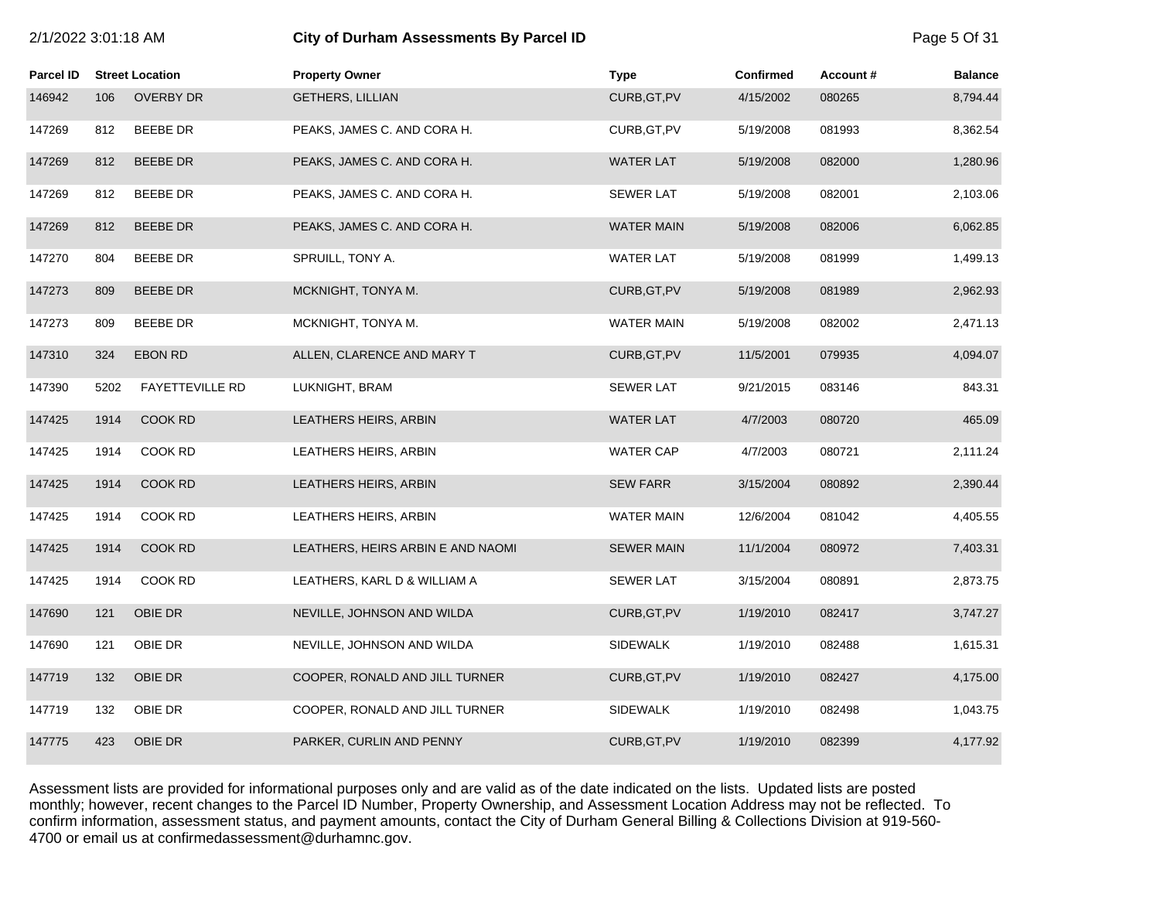**Parcel ID Street Location Property Owner Type Confirmed Account # Balance** 146942 106 OVERBY DR GETHERS, LILLIAN CURB,GT,PV 4/15/2002 080265 8,794.44 147269 812 BEEBE DR PEAKS, JAMES C. AND CORA H. CURB,GT,PV 5/19/2008 081993 8,362.54 147269 812 BEEBE DR PEAKS, JAMES C. AND CORA H. WATER LAT 5/19/2008 082000 1,280.96 147269 812 BEEBE DR PEAKS, JAMES C. AND CORA H. SEWER LAT 5/19/2008 082001 2,103.06 147269 812 BEEBE DR PEAKS, JAMES C. AND CORA H. WATER MAIN 5/19/2008 082006 6,062.85 147270 804 BEEBE DR SPRUILL, TONY A. WATER LAT 5/19/2008 081999 1,499.13 147273 809 BEEBE DR MCKNIGHT, TONYA M. CURB,GT,PV 5/19/2008 081989 2,962.93 147273 809 BEEBE DR MCKNIGHT, TONYA M. WATER MAIN 5/19/2008 082002 2,471.13 147310 324 EBON RD ALLEN, CLARENCE AND MARY T CURB,GT,PV 11/5/2001 079935 4,094.07 147390 5202 FAYETTEVILLE RD LUKNIGHT, BRAM SEWER LAT 9/21/2015 083146 843.31 147425 1914 COOK RD LEATHERS HEIRS, ARBIN WATER LAT 4/7/2003 080720 465.09 147425 1914 COOK RD LEATHERS HEIRS, ARBIN WATER CAP 4/7/2003 080721 2,111.24 147425 1914 COOK RD LEATHERS HEIRS, ARBIN SEW FARR 3/15/2004 080892 2,390.44 147425 1914 COOK RD LEATHERS HEIRS, ARBIN WATER MAIN 12/6/2004 081042 4,405.55 147425 1914 COOK RD LEATHERS, HEIRS ARBIN E AND NAOMI SEWER MAIN 11/1/2004 080972 7,403.31 147425 1914 COOK RD LEATHERS, KARL D & WILLIAM A SEWER LAT 3/15/2004 080891 2,873.75 147690 121 OBIE DR NEVILLE, JOHNSON AND WILDA CURB,GT,PV 1/19/2010 082417 3,747.27 147690 121 OBIE DR NEVILLE, JOHNSON AND WILDA SIDEWALK 1/19/2010 082488 1,615.31 147719 132 OBIE DR COOPER, RONALD AND JILL TURNER CURB,GT,PV 1/19/2010 082427 4,175.00 147719 132 OBIE DR COOPER, RONALD AND JILL TURNER SIDEWALK 1/19/2010 082498 1,043.75 147775 423 OBIE DR PARKER, CURLIN AND PENNY CURB, GT, PV 1/19/2010 082399 4,177.92

2/1/2022 3:01:18 AM **City of Durham Assessments By Parcel ID** Page 5 Of 31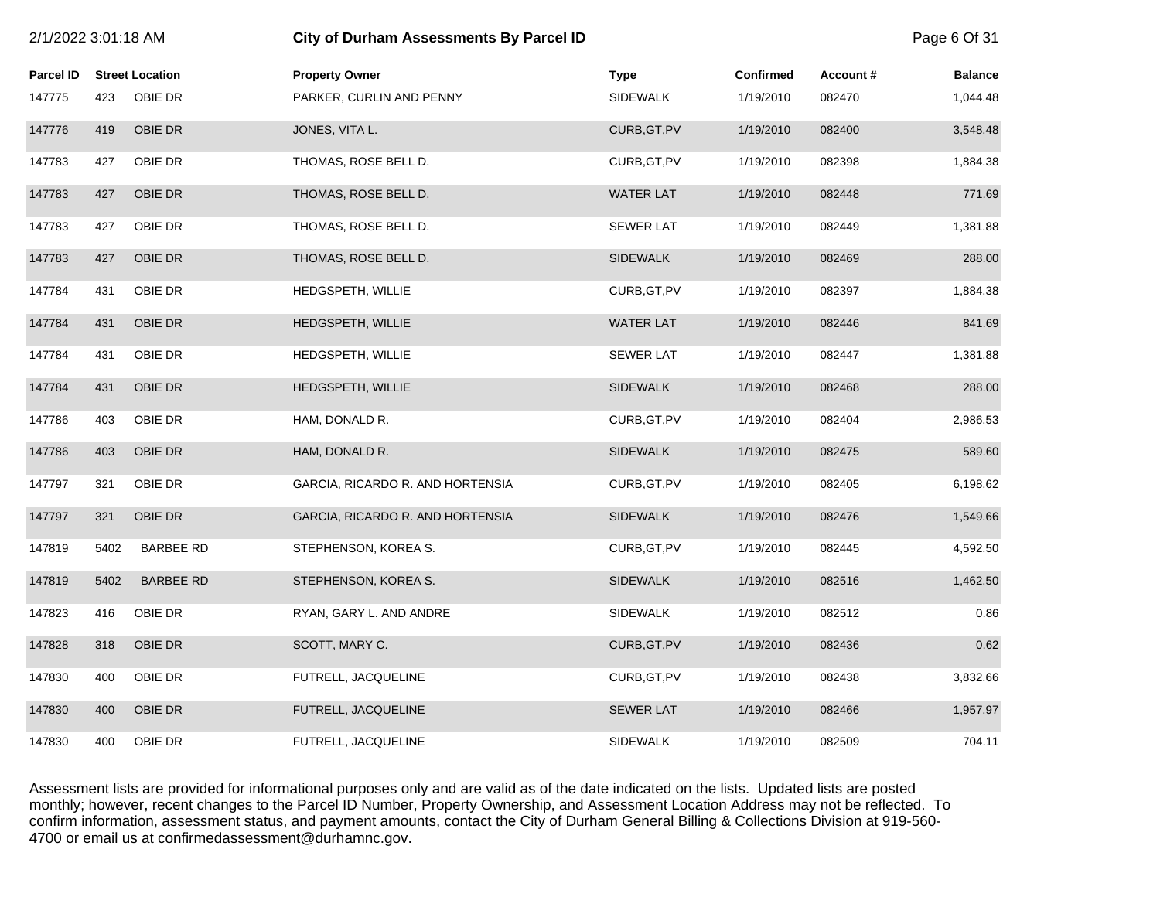| 2/1/2022 3:01:18 AM |      |                        | City of Durham Assessments By Parcel ID |                  |                  |          |                |
|---------------------|------|------------------------|-----------------------------------------|------------------|------------------|----------|----------------|
| <b>Parcel ID</b>    |      | <b>Street Location</b> | <b>Property Owner</b>                   | <b>Type</b>      | <b>Confirmed</b> | Account# | <b>Balance</b> |
| 147775              | 423  | OBIE DR                | PARKER, CURLIN AND PENNY                | <b>SIDEWALK</b>  | 1/19/2010        | 082470   | 1,044.48       |
| 147776              | 419  | OBIE DR                | JONES, VITA L.                          | CURB, GT, PV     | 1/19/2010        | 082400   | 3,548.48       |
| 147783              | 427  | OBIE DR                | THOMAS, ROSE BELL D.                    | CURB, GT, PV     | 1/19/2010        | 082398   | 1,884.38       |
| 147783              | 427  | OBIE DR                | THOMAS, ROSE BELL D.                    | <b>WATER LAT</b> | 1/19/2010        | 082448   | 771.69         |
| 147783              | 427  | OBIE DR                | THOMAS, ROSE BELL D.                    | <b>SEWER LAT</b> | 1/19/2010        | 082449   | 1,381.88       |
| 147783              | 427  | OBIE DR                | THOMAS, ROSE BELL D.                    | <b>SIDEWALK</b>  | 1/19/2010        | 082469   | 288.00         |
| 147784              | 431  | OBIE DR                | HEDGSPETH, WILLIE                       | CURB, GT, PV     | 1/19/2010        | 082397   | 1,884.38       |
| 147784              | 431  | OBIE DR                | HEDGSPETH, WILLIE                       | <b>WATER LAT</b> | 1/19/2010        | 082446   | 841.69         |
| 147784              | 431  | OBIE DR                | HEDGSPETH, WILLIE                       | <b>SEWER LAT</b> | 1/19/2010        | 082447   | 1,381.88       |
| 147784              | 431  | OBIE DR                | HEDGSPETH, WILLIE                       | <b>SIDEWALK</b>  | 1/19/2010        | 082468   | 288.00         |
| 147786              | 403  | OBIE DR                | HAM, DONALD R.                          | CURB, GT, PV     | 1/19/2010        | 082404   | 2,986.53       |
| 147786              | 403  | OBIE DR                | HAM, DONALD R.                          | <b>SIDEWALK</b>  | 1/19/2010        | 082475   | 589.60         |
| 147797              | 321  | OBIE DR                | GARCIA, RICARDO R. AND HORTENSIA        | CURB, GT, PV     | 1/19/2010        | 082405   | 6,198.62       |
| 147797              | 321  | OBIE DR                | GARCIA, RICARDO R. AND HORTENSIA        | <b>SIDEWALK</b>  | 1/19/2010        | 082476   | 1,549.66       |
| 147819              | 5402 | <b>BARBEE RD</b>       | STEPHENSON, KOREA S.                    | CURB, GT, PV     | 1/19/2010        | 082445   | 4,592.50       |
| 147819              | 5402 | <b>BARBEE RD</b>       | STEPHENSON, KOREA S.                    | <b>SIDEWALK</b>  | 1/19/2010        | 082516   | 1,462.50       |
| 147823              | 416  | OBIE DR                | RYAN, GARY L. AND ANDRE                 | <b>SIDEWALK</b>  | 1/19/2010        | 082512   | 0.86           |
| 147828              | 318  | OBIE DR                | SCOTT, MARY C.                          | CURB, GT, PV     | 1/19/2010        | 082436   | 0.62           |
| 147830              | 400  | OBIE DR                | FUTRELL, JACQUELINE                     | CURB, GT, PV     | 1/19/2010        | 082438   | 3,832.66       |
| 147830              | 400  | OBIE DR                | FUTRELL, JACQUELINE                     | <b>SEWER LAT</b> | 1/19/2010        | 082466   | 1,957.97       |
| 147830              | 400  | OBIE DR                | FUTRELL, JACQUELINE                     | <b>SIDEWALK</b>  | 1/19/2010        | 082509   | 704.11         |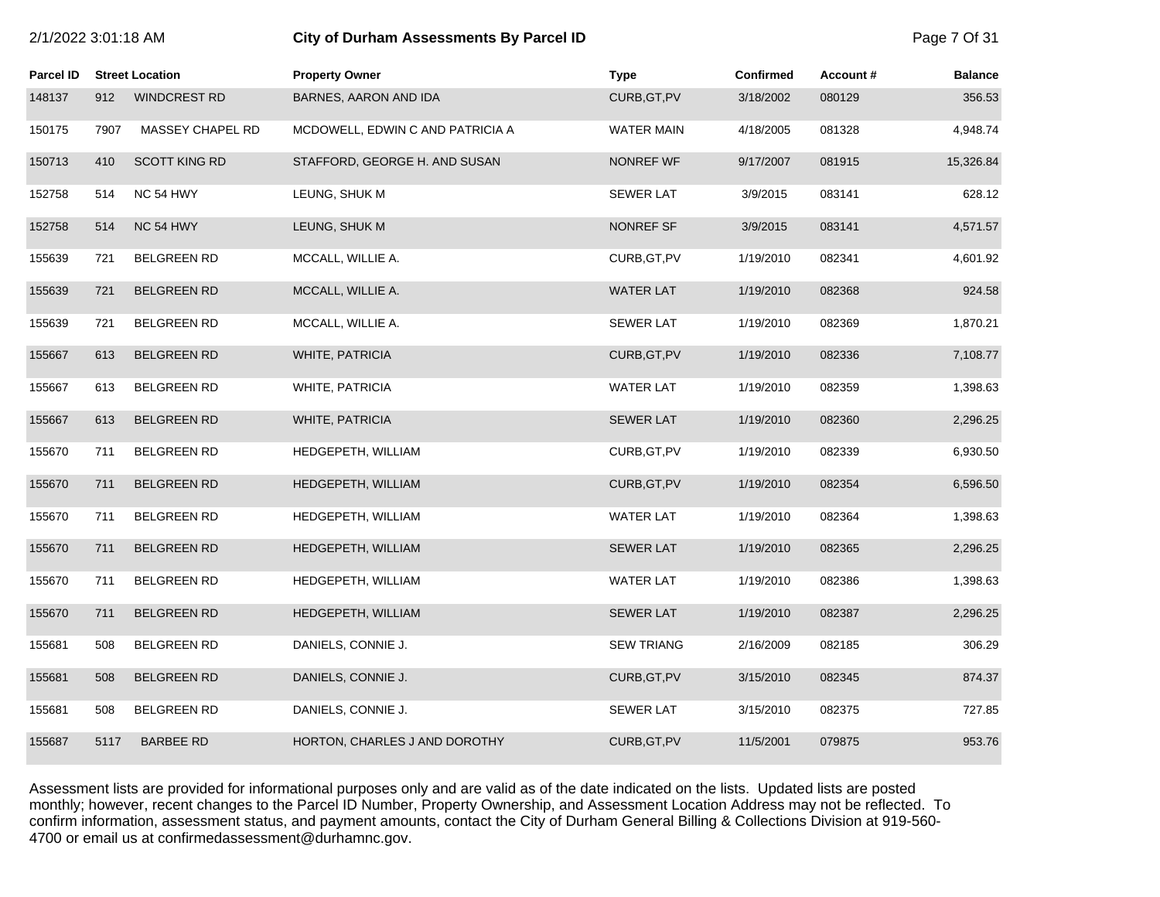|                  |      |                        | ony or burnam Assessments by Fareer IB |                   |                  |          | $1$ agu $1$ OI OI |
|------------------|------|------------------------|----------------------------------------|-------------------|------------------|----------|-------------------|
| <b>Parcel ID</b> |      | <b>Street Location</b> | <b>Property Owner</b>                  | <b>Type</b>       | <b>Confirmed</b> | Account# | <b>Balance</b>    |
| 148137           | 912  | WINDCREST RD           | BARNES, AARON AND IDA                  | CURB, GT, PV      | 3/18/2002        | 080129   | 356.53            |
| 150175           | 7907 | MASSEY CHAPEL RD       | MCDOWELL, EDWIN C AND PATRICIA A       | <b>WATER MAIN</b> | 4/18/2005        | 081328   | 4,948.74          |
| 150713           | 410  | <b>SCOTT KING RD</b>   | STAFFORD, GEORGE H. AND SUSAN          | NONREF WF         | 9/17/2007        | 081915   | 15,326.84         |
| 152758           | 514  | NC 54 HWY              | LEUNG, SHUK M                          | <b>SEWER LAT</b>  | 3/9/2015         | 083141   | 628.12            |
| 152758           | 514  | NC 54 HWY              | LEUNG, SHUK M                          | NONREF SF         | 3/9/2015         | 083141   | 4,571.57          |
| 155639           | 721  | <b>BELGREEN RD</b>     | MCCALL, WILLIE A.                      | CURB, GT, PV      | 1/19/2010        | 082341   | 4,601.92          |
| 155639           | 721  | <b>BELGREEN RD</b>     | MCCALL, WILLIE A.                      | <b>WATER LAT</b>  | 1/19/2010        | 082368   | 924.58            |
| 155639           | 721  | <b>BELGREEN RD</b>     | MCCALL, WILLIE A.                      | <b>SEWER LAT</b>  | 1/19/2010        | 082369   | 1,870.21          |
| 155667           | 613  | <b>BELGREEN RD</b>     | WHITE, PATRICIA                        | CURB, GT, PV      | 1/19/2010        | 082336   | 7,108.77          |
| 155667           | 613  | <b>BELGREEN RD</b>     | <b>WHITE, PATRICIA</b>                 | <b>WATER LAT</b>  | 1/19/2010        | 082359   | 1,398.63          |
| 155667           | 613  | <b>BELGREEN RD</b>     | WHITE, PATRICIA                        | <b>SEWER LAT</b>  | 1/19/2010        | 082360   | 2,296.25          |
| 155670           | 711  | <b>BELGREEN RD</b>     | HEDGEPETH, WILLIAM                     | CURB, GT, PV      | 1/19/2010        | 082339   | 6,930.50          |
| 155670           | 711  | <b>BELGREEN RD</b>     | HEDGEPETH, WILLIAM                     | CURB, GT, PV      | 1/19/2010        | 082354   | 6,596.50          |
| 155670           | 711  | <b>BELGREEN RD</b>     | HEDGEPETH, WILLIAM                     | <b>WATER LAT</b>  | 1/19/2010        | 082364   | 1,398.63          |
| 155670           | 711  | <b>BELGREEN RD</b>     | HEDGEPETH, WILLIAM                     | <b>SEWER LAT</b>  | 1/19/2010        | 082365   | 2,296.25          |
| 155670           | 711  | <b>BELGREEN RD</b>     | HEDGEPETH, WILLIAM                     | <b>WATER LAT</b>  | 1/19/2010        | 082386   | 1,398.63          |
| 155670           | 711  | <b>BELGREEN RD</b>     | HEDGEPETH, WILLIAM                     | <b>SEWER LAT</b>  | 1/19/2010        | 082387   | 2,296.25          |
| 155681           | 508  | <b>BELGREEN RD</b>     | DANIELS, CONNIE J.                     | <b>SEW TRIANG</b> | 2/16/2009        | 082185   | 306.29            |
| 155681           | 508  | <b>BELGREEN RD</b>     | DANIELS, CONNIE J.                     | CURB, GT, PV      | 3/15/2010        | 082345   | 874.37            |
| 155681           | 508  | <b>BELGREEN RD</b>     | DANIELS, CONNIE J.                     | <b>SEWER LAT</b>  | 3/15/2010        | 082375   | 727.85            |
| 155687           | 5117 | <b>BARBEE RD</b>       | HORTON, CHARLES J AND DOROTHY          | CURB, GT, PV      | 11/5/2001        | 079875   | 953.76            |

2/1/2022 3:01:18 AM **City of Durham Assessments By Parcel ID** Page 7 Of 31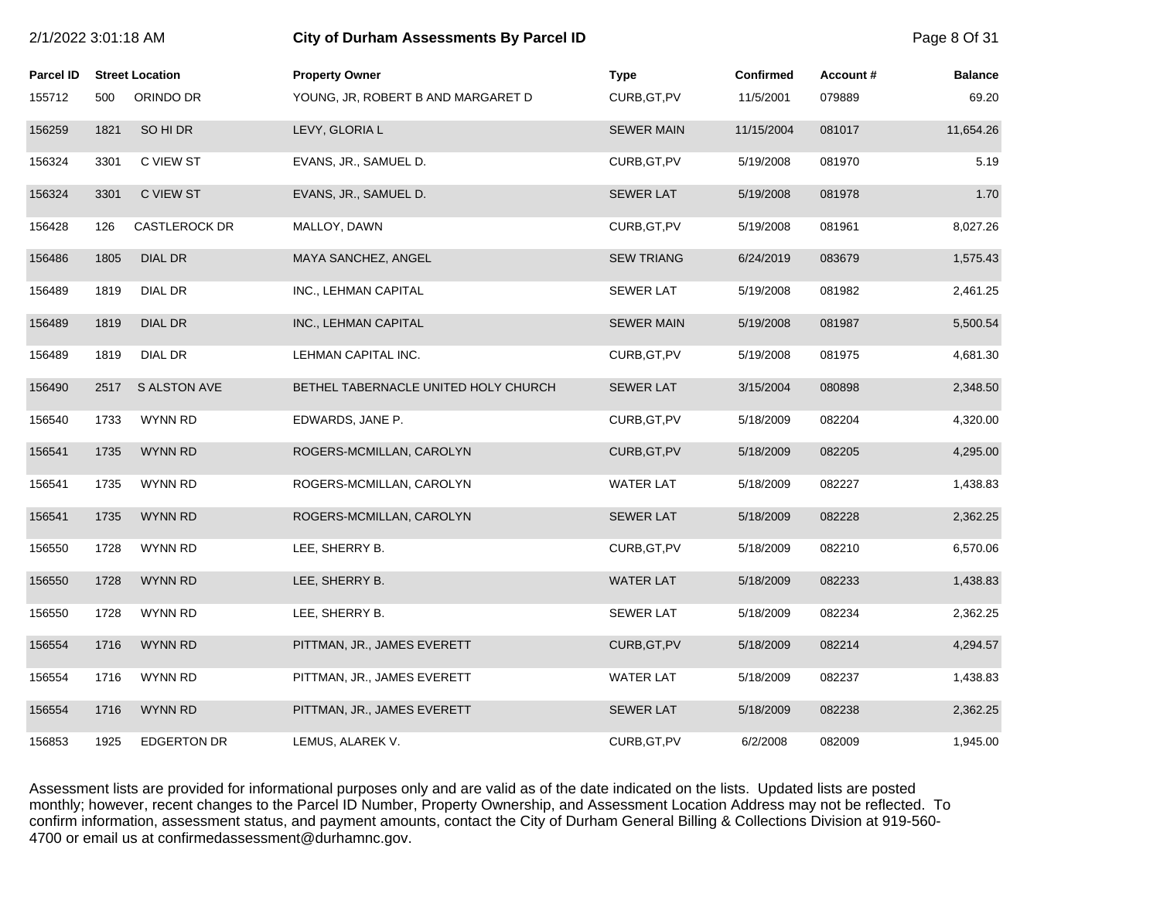| 2/1/2022 3:01:18 AM |      |                        | <b>City of Durham Assessments By Parcel ID</b> |                   |                  |          | Page 8 Of 31   |
|---------------------|------|------------------------|------------------------------------------------|-------------------|------------------|----------|----------------|
| <b>Parcel ID</b>    |      | <b>Street Location</b> | <b>Property Owner</b>                          | <b>Type</b>       | <b>Confirmed</b> | Account# | <b>Balance</b> |
| 155712              | 500  | ORINDO DR              | YOUNG, JR, ROBERT B AND MARGARET D             | CURB, GT, PV      | 11/5/2001        | 079889   | 69.20          |
| 156259              | 1821 | SO HI DR               | LEVY, GLORIA L                                 | <b>SEWER MAIN</b> | 11/15/2004       | 081017   | 11,654.26      |
| 156324              | 3301 | C VIEW ST              | EVANS, JR., SAMUEL D.                          | CURB, GT, PV      | 5/19/2008        | 081970   | 5.19           |
| 156324              | 3301 | C VIEW ST              | EVANS, JR., SAMUEL D.                          | <b>SEWER LAT</b>  | 5/19/2008        | 081978   | 1.70           |
| 156428              | 126  | <b>CASTLEROCK DR</b>   | MALLOY, DAWN                                   | CURB, GT, PV      | 5/19/2008        | 081961   | 8,027.26       |
| 156486              | 1805 | <b>DIAL DR</b>         | MAYA SANCHEZ, ANGEL                            | <b>SEW TRIANG</b> | 6/24/2019        | 083679   | 1,575.43       |
| 156489              | 1819 | DIAL DR                | INC., LEHMAN CAPITAL                           | <b>SEWER LAT</b>  | 5/19/2008        | 081982   | 2,461.25       |
| 156489              | 1819 | <b>DIAL DR</b>         | INC., LEHMAN CAPITAL                           | <b>SEWER MAIN</b> | 5/19/2008        | 081987   | 5,500.54       |
| 156489              | 1819 | DIAL DR                | LEHMAN CAPITAL INC.                            | CURB, GT, PV      | 5/19/2008        | 081975   | 4,681.30       |
| 156490              | 2517 | <b>S ALSTON AVE</b>    | BETHEL TABERNACLE UNITED HOLY CHURCH           | <b>SEWER LAT</b>  | 3/15/2004        | 080898   | 2,348.50       |
| 156540              | 1733 | <b>WYNN RD</b>         | EDWARDS, JANE P.                               | CURB, GT, PV      | 5/18/2009        | 082204   | 4,320.00       |
| 156541              | 1735 | <b>WYNN RD</b>         | ROGERS-MCMILLAN, CAROLYN                       | CURB, GT, PV      | 5/18/2009        | 082205   | 4,295.00       |
| 156541              | 1735 | WYNN RD                | ROGERS-MCMILLAN, CAROLYN                       | <b>WATER LAT</b>  | 5/18/2009        | 082227   | 1,438.83       |
| 156541              | 1735 | <b>WYNN RD</b>         | ROGERS-MCMILLAN, CAROLYN                       | <b>SEWER LAT</b>  | 5/18/2009        | 082228   | 2,362.25       |
| 156550              | 1728 | <b>WYNN RD</b>         | LEE, SHERRY B.                                 | CURB, GT, PV      | 5/18/2009        | 082210   | 6,570.06       |
| 156550              | 1728 | <b>WYNN RD</b>         | LEE, SHERRY B.                                 | <b>WATER LAT</b>  | 5/18/2009        | 082233   | 1,438.83       |
| 156550              | 1728 | <b>WYNN RD</b>         | LEE, SHERRY B.                                 | <b>SEWER LAT</b>  | 5/18/2009        | 082234   | 2,362.25       |
| 156554              | 1716 | <b>WYNN RD</b>         | PITTMAN, JR., JAMES EVERETT                    | CURB, GT, PV      | 5/18/2009        | 082214   | 4,294.57       |
| 156554              | 1716 | WYNN RD                | PITTMAN, JR., JAMES EVERETT                    | <b>WATER LAT</b>  | 5/18/2009        | 082237   | 1,438.83       |
| 156554              | 1716 | <b>WYNN RD</b>         | PITTMAN, JR., JAMES EVERETT                    | <b>SEWER LAT</b>  | 5/18/2009        | 082238   | 2,362.25       |
| 156853              | 1925 | <b>EDGERTON DR</b>     | LEMUS, ALAREK V.                               | CURB, GT, PV      | 6/2/2008         | 082009   | 1,945.00       |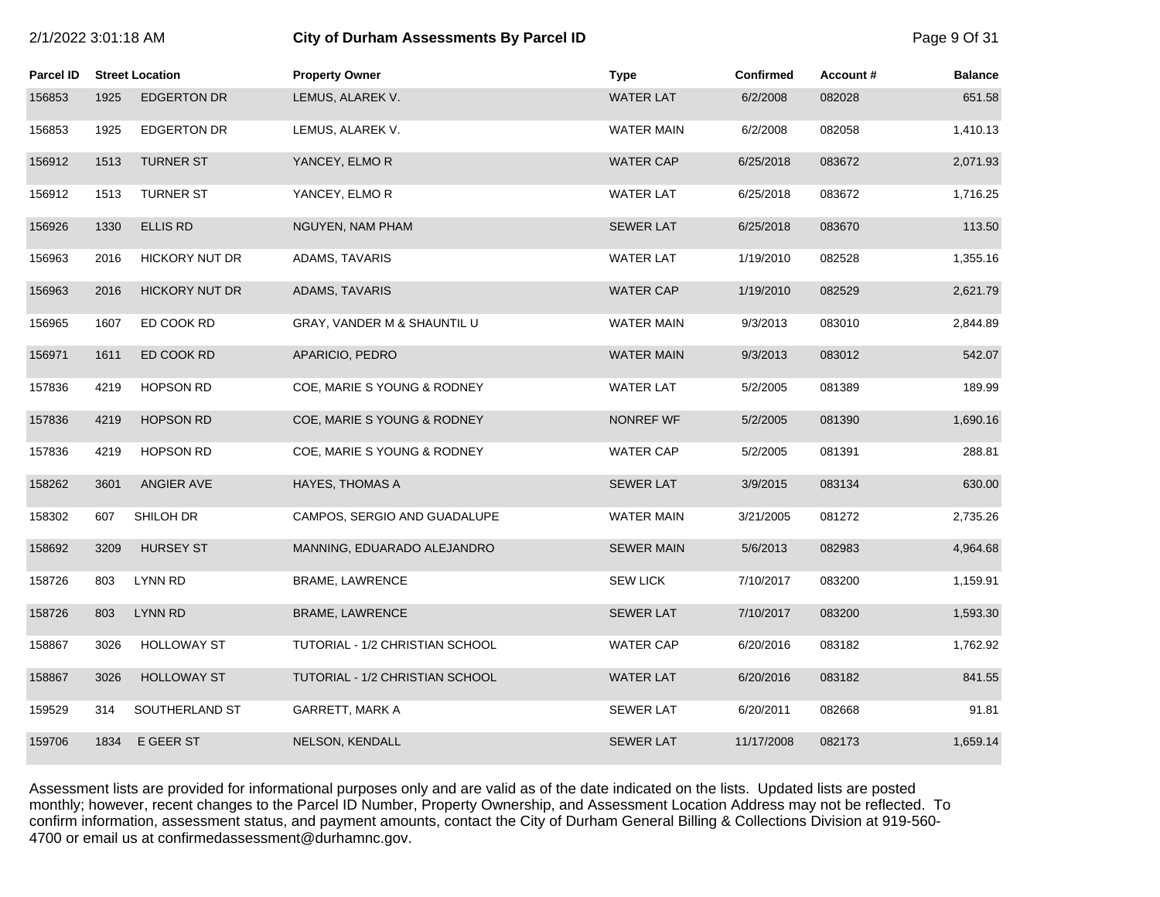# 2/1/2022 3:01:18 AM **City of Durham Assessments By Parcel ID** Page 9 Of 31

| <b>Parcel ID</b> |      | <b>Street Location</b> | <b>Property Owner</b>           | <b>Type</b>       | <b>Confirmed</b> | Account# | <b>Balance</b> |
|------------------|------|------------------------|---------------------------------|-------------------|------------------|----------|----------------|
| 156853           | 1925 | <b>EDGERTON DR</b>     | LEMUS, ALAREK V.                | <b>WATER LAT</b>  | 6/2/2008         | 082028   | 651.58         |
| 156853           | 1925 | <b>EDGERTON DR</b>     | LEMUS, ALAREK V.                | <b>WATER MAIN</b> | 6/2/2008         | 082058   | 1,410.13       |
| 156912           | 1513 | <b>TURNER ST</b>       | YANCEY, ELMOR                   | <b>WATER CAP</b>  | 6/25/2018        | 083672   | 2,071.93       |
| 156912           | 1513 | <b>TURNER ST</b>       | YANCEY, ELMOR                   | <b>WATER LAT</b>  | 6/25/2018        | 083672   | 1,716.25       |
| 156926           | 1330 | <b>ELLIS RD</b>        | NGUYEN, NAM PHAM                | <b>SEWER LAT</b>  | 6/25/2018        | 083670   | 113.50         |
| 156963           | 2016 | <b>HICKORY NUT DR</b>  | ADAMS, TAVARIS                  | <b>WATER LAT</b>  | 1/19/2010        | 082528   | 1,355.16       |
| 156963           | 2016 | <b>HICKORY NUT DR</b>  | ADAMS, TAVARIS                  | <b>WATER CAP</b>  | 1/19/2010        | 082529   | 2,621.79       |
| 156965           | 1607 | ED COOK RD             | GRAY, VANDER M & SHAUNTIL U     | <b>WATER MAIN</b> | 9/3/2013         | 083010   | 2,844.89       |
| 156971           | 1611 | ED COOK RD             | APARICIO, PEDRO                 | <b>WATER MAIN</b> | 9/3/2013         | 083012   | 542.07         |
| 157836           | 4219 | <b>HOPSON RD</b>       | COE, MARIE S YOUNG & RODNEY     | <b>WATER LAT</b>  | 5/2/2005         | 081389   | 189.99         |
| 157836           | 4219 | <b>HOPSON RD</b>       | COE, MARIE S YOUNG & RODNEY     | NONREF WF         | 5/2/2005         | 081390   | 1,690.16       |
| 157836           | 4219 | <b>HOPSON RD</b>       | COE, MARIE S YOUNG & RODNEY     | <b>WATER CAP</b>  | 5/2/2005         | 081391   | 288.81         |
| 158262           | 3601 | ANGIER AVE             | <b>HAYES, THOMAS A</b>          | <b>SEWER LAT</b>  | 3/9/2015         | 083134   | 630.00         |
| 158302           | 607  | SHILOH DR              | CAMPOS, SERGIO AND GUADALUPE    | <b>WATER MAIN</b> | 3/21/2005        | 081272   | 2,735.26       |
| 158692           | 3209 | <b>HURSEY ST</b>       | MANNING, EDUARADO ALEJANDRO     | <b>SEWER MAIN</b> | 5/6/2013         | 082983   | 4,964.68       |
| 158726           | 803  | LYNN RD                | <b>BRAME, LAWRENCE</b>          | <b>SEW LICK</b>   | 7/10/2017        | 083200   | 1,159.91       |
| 158726           | 803  | <b>LYNN RD</b>         | BRAME, LAWRENCE                 | <b>SEWER LAT</b>  | 7/10/2017        | 083200   | 1,593.30       |
| 158867           | 3026 | <b>HOLLOWAY ST</b>     | TUTORIAL - 1/2 CHRISTIAN SCHOOL | <b>WATER CAP</b>  | 6/20/2016        | 083182   | 1,762.92       |
| 158867           | 3026 | <b>HOLLOWAY ST</b>     | TUTORIAL - 1/2 CHRISTIAN SCHOOL | <b>WATER LAT</b>  | 6/20/2016        | 083182   | 841.55         |
| 159529           | 314  | SOUTHERLAND ST         | GARRETT, MARK A                 | <b>SEWER LAT</b>  | 6/20/2011        | 082668   | 91.81          |
| 159706           | 1834 | E GEER ST              | NELSON, KENDALL                 | <b>SEWER LAT</b>  | 11/17/2008       | 082173   | 1,659.14       |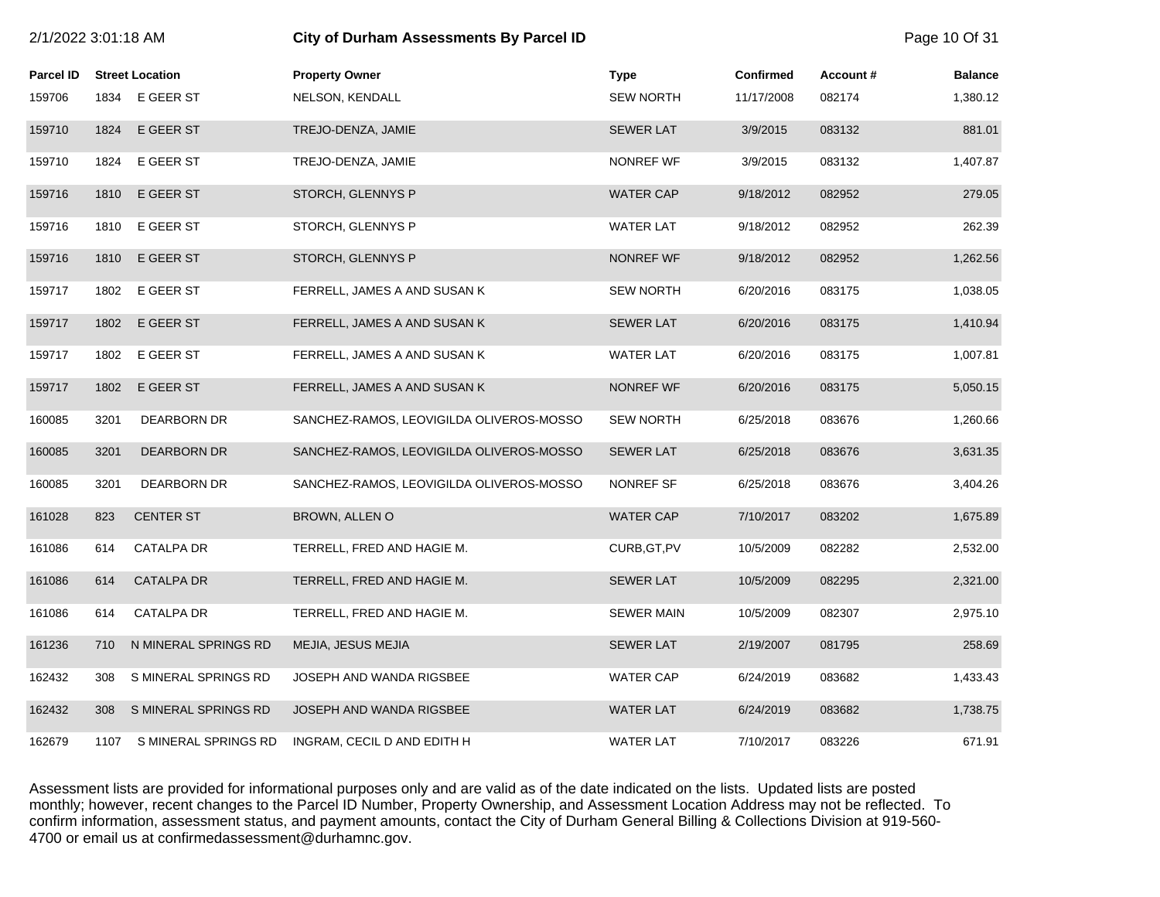| 2/1/2022 3:01:18 AM |      |                        | <b>City of Durham Assessments By Parcel ID</b> |                   |                  |          |                |
|---------------------|------|------------------------|------------------------------------------------|-------------------|------------------|----------|----------------|
| <b>Parcel ID</b>    |      | <b>Street Location</b> | <b>Property Owner</b>                          | <b>Type</b>       | <b>Confirmed</b> | Account# | <b>Balance</b> |
| 159706              | 1834 | E GEER ST              | NELSON, KENDALL                                | <b>SEW NORTH</b>  | 11/17/2008       | 082174   | 1,380.12       |
| 159710              | 1824 | E GEER ST              | TREJO-DENZA, JAMIE                             | <b>SEWER LAT</b>  | 3/9/2015         | 083132   | 881.01         |
| 159710              | 1824 | E GEER ST              | TREJO-DENZA, JAMIE                             | NONREF WF         | 3/9/2015         | 083132   | 1,407.87       |
| 159716              | 1810 | E GEER ST              | STORCH, GLENNYS P                              | <b>WATER CAP</b>  | 9/18/2012        | 082952   | 279.05         |
| 159716              | 1810 | E GEER ST              | STORCH, GLENNYS P                              | <b>WATER LAT</b>  | 9/18/2012        | 082952   | 262.39         |
| 159716              | 1810 | E GEER ST              | STORCH, GLENNYS P                              | NONREF WF         | 9/18/2012        | 082952   | 1,262.56       |
| 159717              | 1802 | E GEER ST              | FERRELL, JAMES A AND SUSAN K                   | <b>SEW NORTH</b>  | 6/20/2016        | 083175   | 1,038.05       |
| 159717              | 1802 | E GEER ST              | FERRELL, JAMES A AND SUSAN K                   | <b>SEWER LAT</b>  | 6/20/2016        | 083175   | 1,410.94       |
| 159717              | 1802 | E GEER ST              | FERRELL, JAMES A AND SUSAN K                   | <b>WATER LAT</b>  | 6/20/2016        | 083175   | 1,007.81       |
| 159717              | 1802 | E GEER ST              | FERRELL, JAMES A AND SUSAN K                   | NONREF WF         | 6/20/2016        | 083175   | 5,050.15       |
| 160085              | 3201 | DEARBORN DR            | SANCHEZ-RAMOS, LEOVIGILDA OLIVEROS-MOSSO       | <b>SEW NORTH</b>  | 6/25/2018        | 083676   | 1,260.66       |
| 160085              | 3201 | <b>DEARBORN DR</b>     | SANCHEZ-RAMOS, LEOVIGILDA OLIVEROS-MOSSO       | <b>SEWER LAT</b>  | 6/25/2018        | 083676   | 3,631.35       |
| 160085              | 3201 | DEARBORN DR            | SANCHEZ-RAMOS, LEOVIGILDA OLIVEROS-MOSSO       | NONREF SF         | 6/25/2018        | 083676   | 3,404.26       |
| 161028              | 823  | <b>CENTER ST</b>       | BROWN, ALLEN O                                 | <b>WATER CAP</b>  | 7/10/2017        | 083202   | 1,675.89       |
| 161086              | 614  | <b>CATALPA DR</b>      | TERRELL, FRED AND HAGIE M.                     | CURB, GT, PV      | 10/5/2009        | 082282   | 2,532.00       |
| 161086              | 614  | <b>CATALPA DR</b>      | TERRELL, FRED AND HAGIE M.                     | <b>SEWER LAT</b>  | 10/5/2009        | 082295   | 2,321.00       |
| 161086              | 614  | <b>CATALPA DR</b>      | TERRELL, FRED AND HAGIE M.                     | <b>SEWER MAIN</b> | 10/5/2009        | 082307   | 2,975.10       |
| 161236              | 710  | N MINERAL SPRINGS RD   | MEJIA, JESUS MEJIA                             | <b>SEWER LAT</b>  | 2/19/2007        | 081795   | 258.69         |
| 162432              | 308  | S MINERAL SPRINGS RD   | JOSEPH AND WANDA RIGSBEE                       | <b>WATER CAP</b>  | 6/24/2019        | 083682   | 1,433.43       |
| 162432              | 308  | S MINERAL SPRINGS RD   | JOSEPH AND WANDA RIGSBEE                       | <b>WATER LAT</b>  | 6/24/2019        | 083682   | 1,738.75       |
| 162679              | 1107 | S MINERAL SPRINGS RD   | INGRAM, CECIL D AND EDITH H                    | <b>WATER LAT</b>  | 7/10/2017        | 083226   | 671.91         |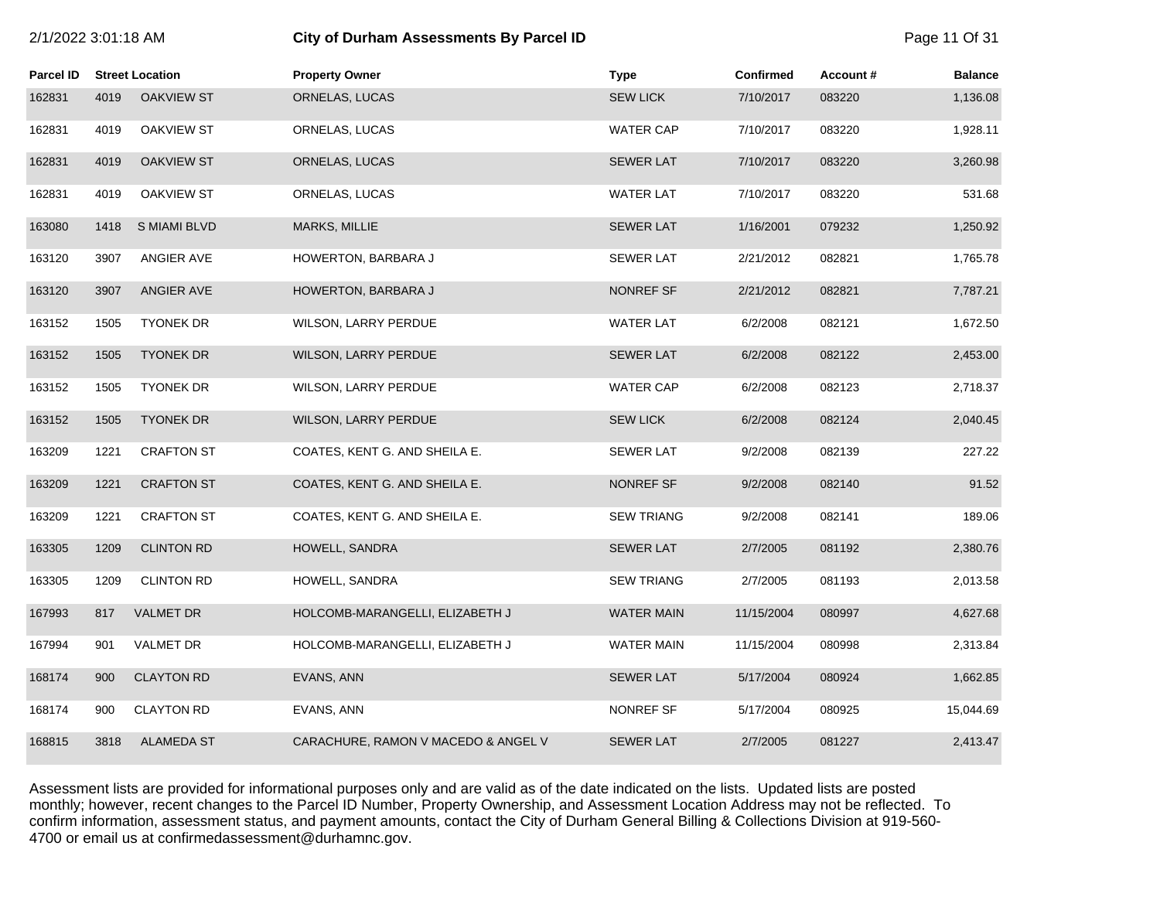# 2/1/2022 3:01:18 AM **City of Durham Assessments By Parcel ID** Page 11 Of 31

| Parcel ID |      | <b>Street Location</b> | <b>Property Owner</b>               | <b>Type</b>       | <b>Confirmed</b> | Account# | <b>Balance</b> |
|-----------|------|------------------------|-------------------------------------|-------------------|------------------|----------|----------------|
| 162831    | 4019 | <b>OAKVIEW ST</b>      | ORNELAS, LUCAS                      | <b>SEW LICK</b>   | 7/10/2017        | 083220   | 1,136.08       |
| 162831    | 4019 | OAKVIEW ST             | ORNELAS, LUCAS                      | <b>WATER CAP</b>  | 7/10/2017        | 083220   | 1,928.11       |
| 162831    | 4019 | <b>OAKVIEW ST</b>      | ORNELAS, LUCAS                      | <b>SEWER LAT</b>  | 7/10/2017        | 083220   | 3,260.98       |
| 162831    | 4019 | OAKVIEW ST             | ORNELAS, LUCAS                      | <b>WATER LAT</b>  | 7/10/2017        | 083220   | 531.68         |
| 163080    | 1418 | S MIAMI BLVD           | <b>MARKS, MILLIE</b>                | <b>SEWER LAT</b>  | 1/16/2001        | 079232   | 1,250.92       |
| 163120    | 3907 | ANGIER AVE             | HOWERTON, BARBARA J                 | <b>SEWER LAT</b>  | 2/21/2012        | 082821   | 1,765.78       |
| 163120    | 3907 | ANGIER AVE             | HOWERTON, BARBARA J                 | <b>NONREF SF</b>  | 2/21/2012        | 082821   | 7,787.21       |
| 163152    | 1505 | <b>TYONEK DR</b>       | WILSON, LARRY PERDUE                | <b>WATER LAT</b>  | 6/2/2008         | 082121   | 1,672.50       |
| 163152    | 1505 | <b>TYONEK DR</b>       | WILSON, LARRY PERDUE                | <b>SEWER LAT</b>  | 6/2/2008         | 082122   | 2,453.00       |
| 163152    | 1505 | <b>TYONEK DR</b>       | WILSON, LARRY PERDUE                | <b>WATER CAP</b>  | 6/2/2008         | 082123   | 2,718.37       |
| 163152    | 1505 | <b>TYONEK DR</b>       | WILSON, LARRY PERDUE                | <b>SEW LICK</b>   | 6/2/2008         | 082124   | 2,040.45       |
| 163209    | 1221 | <b>CRAFTON ST</b>      | COATES, KENT G. AND SHEILA E.       | <b>SEWER LAT</b>  | 9/2/2008         | 082139   | 227.22         |
| 163209    | 1221 | <b>CRAFTON ST</b>      | COATES, KENT G. AND SHEILA E.       | NONREF SF         | 9/2/2008         | 082140   | 91.52          |
| 163209    | 1221 | <b>CRAFTON ST</b>      | COATES, KENT G. AND SHEILA E.       | <b>SEW TRIANG</b> | 9/2/2008         | 082141   | 189.06         |
| 163305    | 1209 | <b>CLINTON RD</b>      | HOWELL, SANDRA                      | <b>SEWER LAT</b>  | 2/7/2005         | 081192   | 2,380.76       |
| 163305    | 1209 | <b>CLINTON RD</b>      | HOWELL, SANDRA                      | <b>SEW TRIANG</b> | 2/7/2005         | 081193   | 2,013.58       |
| 167993    | 817  | <b>VALMET DR</b>       | HOLCOMB-MARANGELLI, ELIZABETH J     | <b>WATER MAIN</b> | 11/15/2004       | 080997   | 4,627.68       |
| 167994    | 901  | VALMET DR              | HOLCOMB-MARANGELLI, ELIZABETH J     | <b>WATER MAIN</b> | 11/15/2004       | 080998   | 2,313.84       |
| 168174    | 900  | <b>CLAYTON RD</b>      | EVANS, ANN                          | <b>SEWER LAT</b>  | 5/17/2004        | 080924   | 1,662.85       |
| 168174    | 900  | <b>CLAYTON RD</b>      | EVANS, ANN                          | NONREF SF         | 5/17/2004        | 080925   | 15,044.69      |
| 168815    | 3818 | <b>ALAMEDA ST</b>      | CARACHURE, RAMON V MACEDO & ANGEL V | <b>SEWER LAT</b>  | 2/7/2005         | 081227   | 2,413.47       |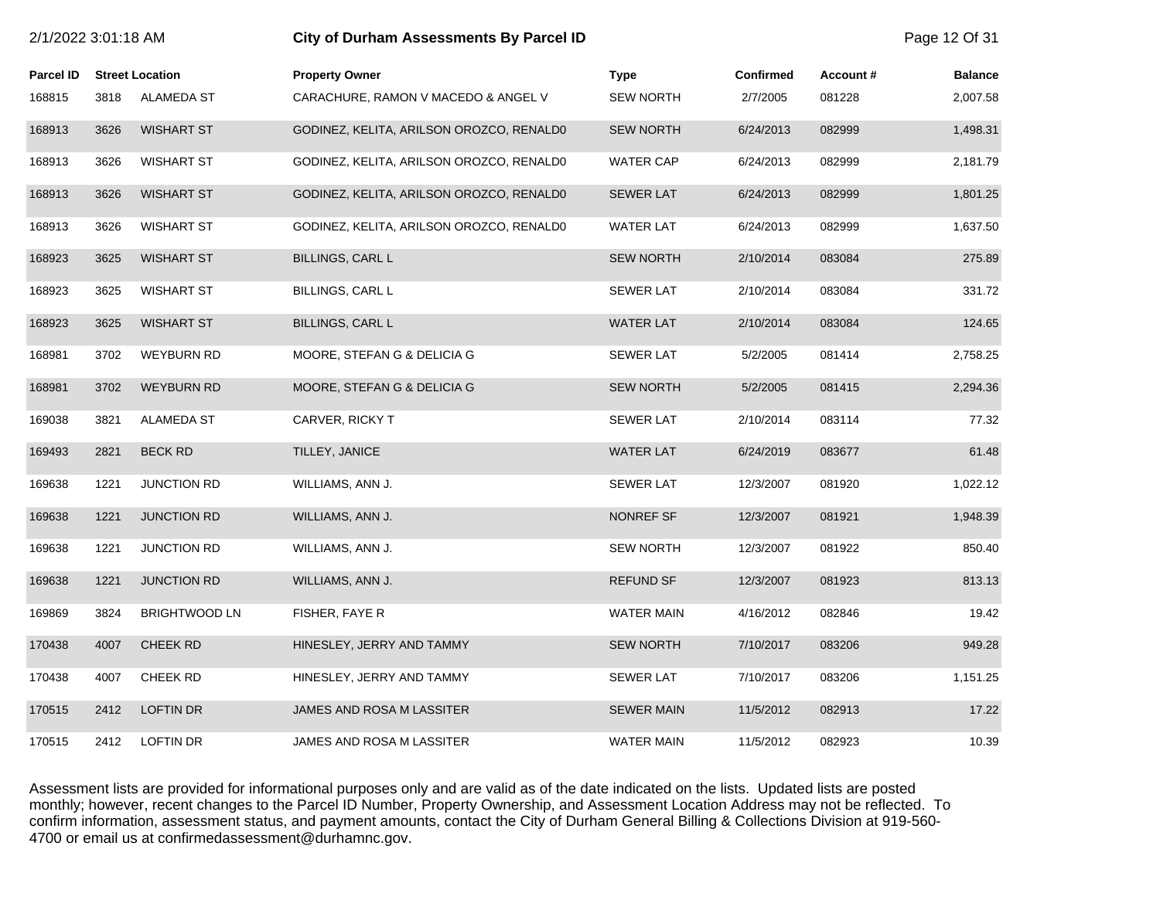|                  | 2/1/2022 3:01:18 AM |                        | City of Durham Assessments By Parcel ID  |                   |                  |          |                |
|------------------|---------------------|------------------------|------------------------------------------|-------------------|------------------|----------|----------------|
| <b>Parcel ID</b> |                     | <b>Street Location</b> | <b>Property Owner</b>                    | <b>Type</b>       | <b>Confirmed</b> | Account# | <b>Balance</b> |
| 168815           | 3818                | ALAMEDA ST             | CARACHURE, RAMON V MACEDO & ANGEL V      | <b>SEW NORTH</b>  | 2/7/2005         | 081228   | 2,007.58       |
| 168913           | 3626                | <b>WISHART ST</b>      | GODINEZ, KELITA, ARILSON OROZCO, RENALD0 | <b>SEW NORTH</b>  | 6/24/2013        | 082999   | 1,498.31       |
| 168913           | 3626                | <b>WISHART ST</b>      | GODINEZ, KELITA, ARILSON OROZCO, RENALD0 | <b>WATER CAP</b>  | 6/24/2013        | 082999   | 2,181.79       |
| 168913           | 3626                | <b>WISHART ST</b>      | GODINEZ, KELITA, ARILSON OROZCO, RENALD0 | <b>SEWER LAT</b>  | 6/24/2013        | 082999   | 1,801.25       |
| 168913           | 3626                | <b>WISHART ST</b>      | GODINEZ, KELITA, ARILSON OROZCO, RENALD0 | <b>WATER LAT</b>  | 6/24/2013        | 082999   | 1,637.50       |
| 168923           | 3625                | <b>WISHART ST</b>      | <b>BILLINGS, CARL L</b>                  | <b>SEW NORTH</b>  | 2/10/2014        | 083084   | 275.89         |
| 168923           | 3625                | <b>WISHART ST</b>      | <b>BILLINGS, CARL L</b>                  | <b>SEWER LAT</b>  | 2/10/2014        | 083084   | 331.72         |
| 168923           | 3625                | <b>WISHART ST</b>      | <b>BILLINGS, CARL L</b>                  | <b>WATER LAT</b>  | 2/10/2014        | 083084   | 124.65         |
| 168981           | 3702                | <b>WEYBURN RD</b>      | MOORE, STEFAN G & DELICIA G              | <b>SEWER LAT</b>  | 5/2/2005         | 081414   | 2,758.25       |
| 168981           | 3702                | <b>WEYBURN RD</b>      | MOORE, STEFAN G & DELICIA G              | <b>SEW NORTH</b>  | 5/2/2005         | 081415   | 2,294.36       |
| 169038           | 3821                | ALAMEDA ST             | CARVER, RICKY T                          | <b>SEWER LAT</b>  | 2/10/2014        | 083114   | 77.32          |
| 169493           | 2821                | <b>BECK RD</b>         | TILLEY, JANICE                           | <b>WATER LAT</b>  | 6/24/2019        | 083677   | 61.48          |
| 169638           | 1221                | <b>JUNCTION RD</b>     | WILLIAMS, ANN J.                         | <b>SEWER LAT</b>  | 12/3/2007        | 081920   | 1,022.12       |
| 169638           | 1221                | <b>JUNCTION RD</b>     | WILLIAMS, ANN J.                         | NONREF SF         | 12/3/2007        | 081921   | 1,948.39       |
| 169638           | 1221                | <b>JUNCTION RD</b>     | WILLIAMS, ANN J.                         | <b>SEW NORTH</b>  | 12/3/2007        | 081922   | 850.40         |
| 169638           | 1221                | <b>JUNCTION RD</b>     | WILLIAMS, ANN J.                         | <b>REFUND SF</b>  | 12/3/2007        | 081923   | 813.13         |
| 169869           | 3824                | <b>BRIGHTWOOD LN</b>   | FISHER, FAYE R                           | <b>WATER MAIN</b> | 4/16/2012        | 082846   | 19.42          |
| 170438           | 4007                | <b>CHEEK RD</b>        | HINESLEY, JERRY AND TAMMY                | <b>SEW NORTH</b>  | 7/10/2017        | 083206   | 949.28         |
| 170438           | 4007                | <b>CHEEK RD</b>        | HINESLEY, JERRY AND TAMMY                | <b>SEWER LAT</b>  | 7/10/2017        | 083206   | 1,151.25       |
| 170515           | 2412                | <b>LOFTIN DR</b>       | JAMES AND ROSA M LASSITER                | <b>SEWER MAIN</b> | 11/5/2012        | 082913   | 17.22          |
| 170515           | 2412                | <b>LOFTIN DR</b>       | JAMES AND ROSA M LASSITER                | <b>WATER MAIN</b> | 11/5/2012        | 082923   | 10.39          |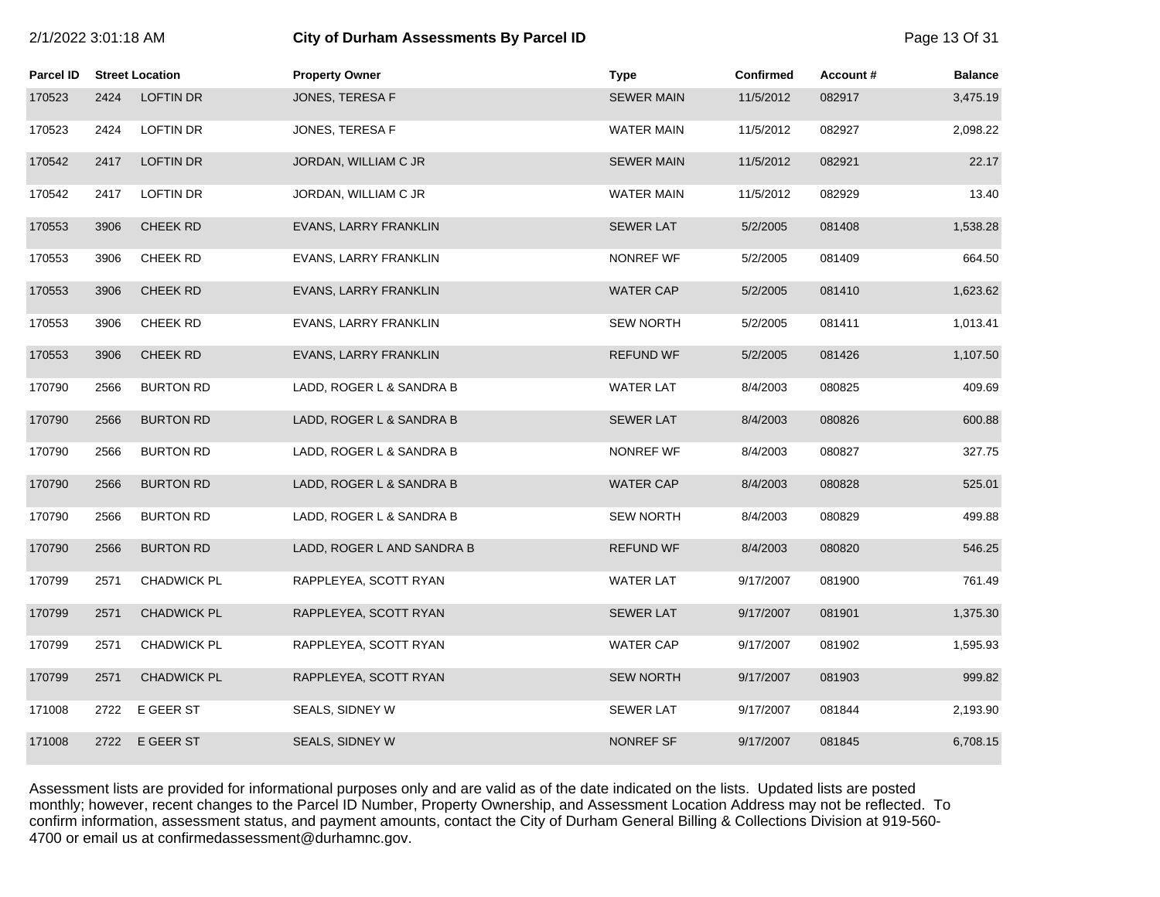## 2/1/2022 3:01:18 AM **City of Durham Assessments By Parcel ID** Page 13 Of 31

| Parcel ID |      | <b>Street Location</b> | <b>Property Owner</b>      | <b>Type</b>       | Confirmed | Account# | <b>Balance</b> |
|-----------|------|------------------------|----------------------------|-------------------|-----------|----------|----------------|
| 170523    | 2424 | <b>LOFTIN DR</b>       | JONES, TERESA F            | <b>SEWER MAIN</b> | 11/5/2012 | 082917   | 3,475.19       |
| 170523    | 2424 | LOFTIN DR              | JONES, TERESA F            | <b>WATER MAIN</b> | 11/5/2012 | 082927   | 2,098.22       |
| 170542    | 2417 | <b>LOFTIN DR</b>       | JORDAN, WILLIAM C JR       | <b>SEWER MAIN</b> | 11/5/2012 | 082921   | 22.17          |
| 170542    | 2417 | <b>LOFTIN DR</b>       | JORDAN, WILLIAM C JR       | WATER MAIN        | 11/5/2012 | 082929   | 13.40          |
| 170553    | 3906 | <b>CHEEK RD</b>        | EVANS, LARRY FRANKLIN      | <b>SEWER LAT</b>  | 5/2/2005  | 081408   | 1,538.28       |
| 170553    | 3906 | CHEEK RD               | EVANS, LARRY FRANKLIN      | NONREF WF         | 5/2/2005  | 081409   | 664.50         |
| 170553    | 3906 | <b>CHEEK RD</b>        | EVANS, LARRY FRANKLIN      | <b>WATER CAP</b>  | 5/2/2005  | 081410   | 1,623.62       |
| 170553    | 3906 | <b>CHEEK RD</b>        | EVANS, LARRY FRANKLIN      | <b>SEW NORTH</b>  | 5/2/2005  | 081411   | 1,013.41       |
| 170553    | 3906 | CHEEK RD               | EVANS, LARRY FRANKLIN      | <b>REFUND WF</b>  | 5/2/2005  | 081426   | 1,107.50       |
| 170790    | 2566 | <b>BURTON RD</b>       | LADD, ROGER L & SANDRA B   | <b>WATER LAT</b>  | 8/4/2003  | 080825   | 409.69         |
| 170790    | 2566 | <b>BURTON RD</b>       | LADD, ROGER L & SANDRA B   | <b>SEWER LAT</b>  | 8/4/2003  | 080826   | 600.88         |
| 170790    | 2566 | <b>BURTON RD</b>       | LADD, ROGER L & SANDRA B   | NONREF WF         | 8/4/2003  | 080827   | 327.75         |
| 170790    | 2566 | <b>BURTON RD</b>       | LADD, ROGER L & SANDRA B   | <b>WATER CAP</b>  | 8/4/2003  | 080828   | 525.01         |
| 170790    | 2566 | <b>BURTON RD</b>       | LADD, ROGER L & SANDRA B   | <b>SEW NORTH</b>  | 8/4/2003  | 080829   | 499.88         |
| 170790    | 2566 | <b>BURTON RD</b>       | LADD, ROGER L AND SANDRA B | <b>REFUND WF</b>  | 8/4/2003  | 080820   | 546.25         |
| 170799    | 2571 | <b>CHADWICK PL</b>     | RAPPLEYEA, SCOTT RYAN      | <b>WATER LAT</b>  | 9/17/2007 | 081900   | 761.49         |
| 170799    | 2571 | <b>CHADWICK PL</b>     | RAPPLEYEA, SCOTT RYAN      | <b>SEWER LAT</b>  | 9/17/2007 | 081901   | 1,375.30       |
| 170799    | 2571 | CHADWICK PL            | RAPPLEYEA, SCOTT RYAN      | <b>WATER CAP</b>  | 9/17/2007 | 081902   | 1,595.93       |
| 170799    | 2571 | <b>CHADWICK PL</b>     | RAPPLEYEA, SCOTT RYAN      | <b>SEW NORTH</b>  | 9/17/2007 | 081903   | 999.82         |
| 171008    | 2722 | E GEER ST              | SEALS, SIDNEY W            | <b>SEWER LAT</b>  | 9/17/2007 | 081844   | 2,193.90       |
| 171008    | 2722 | E GEER ST              | SEALS, SIDNEY W            | <b>NONREF SF</b>  | 9/17/2007 | 081845   | 6,708.15       |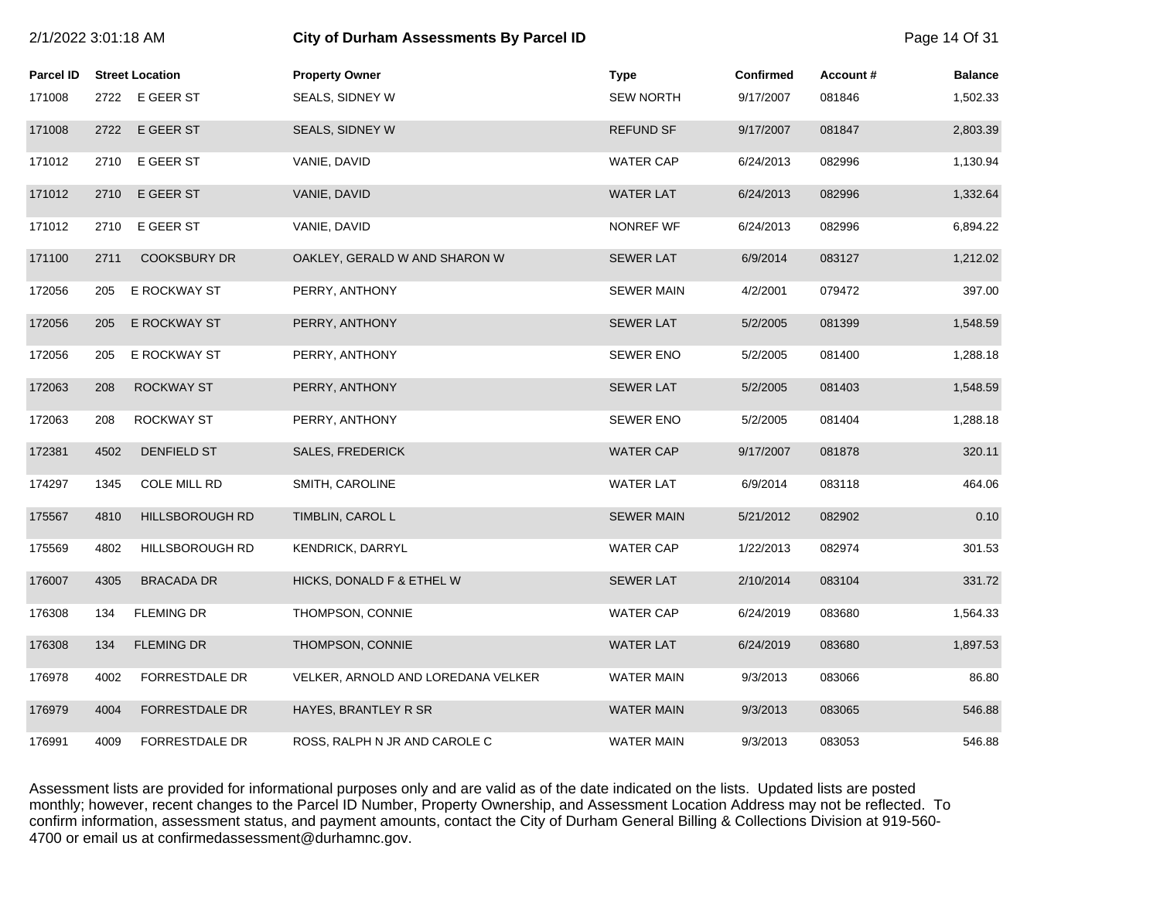| 2/1/2022 3:01:18 AM |      |                        | City of Durham Assessments By Parcel ID |                   |                  |          | Page 14 Of 31  |
|---------------------|------|------------------------|-----------------------------------------|-------------------|------------------|----------|----------------|
| <b>Parcel ID</b>    |      | <b>Street Location</b> | <b>Property Owner</b>                   | <b>Type</b>       | <b>Confirmed</b> | Account# | <b>Balance</b> |
| 171008              |      | 2722 E GEER ST         | SEALS, SIDNEY W                         | <b>SEW NORTH</b>  | 9/17/2007        | 081846   | 1,502.33       |
| 171008              | 2722 | E GEER ST              | SEALS, SIDNEY W                         | <b>REFUND SF</b>  | 9/17/2007        | 081847   | 2,803.39       |
| 171012              | 2710 | E GEER ST              | VANIE, DAVID                            | <b>WATER CAP</b>  | 6/24/2013        | 082996   | 1,130.94       |
| 171012              | 2710 | E GEER ST              | VANIE, DAVID                            | <b>WATER LAT</b>  | 6/24/2013        | 082996   | 1,332.64       |
| 171012              | 2710 | E GEER ST              | VANIE, DAVID                            | NONREF WF         | 6/24/2013        | 082996   | 6,894.22       |
| 171100              | 2711 | <b>COOKSBURY DR</b>    | OAKLEY, GERALD W AND SHARON W           | <b>SEWER LAT</b>  | 6/9/2014         | 083127   | 1,212.02       |
| 172056              | 205  | E ROCKWAY ST           | PERRY, ANTHONY                          | <b>SEWER MAIN</b> | 4/2/2001         | 079472   | 397.00         |
| 172056              | 205  | E ROCKWAY ST           | PERRY, ANTHONY                          | <b>SEWER LAT</b>  | 5/2/2005         | 081399   | 1,548.59       |
| 172056              | 205  | E ROCKWAY ST           | PERRY, ANTHONY                          | <b>SEWER ENO</b>  | 5/2/2005         | 081400   | 1,288.18       |
| 172063              | 208  | <b>ROCKWAY ST</b>      | PERRY, ANTHONY                          | <b>SEWER LAT</b>  | 5/2/2005         | 081403   | 1,548.59       |
| 172063              | 208  | <b>ROCKWAY ST</b>      | PERRY, ANTHONY                          | <b>SEWER ENO</b>  | 5/2/2005         | 081404   | 1,288.18       |
| 172381              | 4502 | <b>DENFIELD ST</b>     | <b>SALES, FREDERICK</b>                 | <b>WATER CAP</b>  | 9/17/2007        | 081878   | 320.11         |
| 174297              | 1345 | COLE MILL RD           | SMITH, CAROLINE                         | <b>WATER LAT</b>  | 6/9/2014         | 083118   | 464.06         |
| 175567              | 4810 | HILLSBOROUGH RD        | TIMBLIN, CAROL L                        | <b>SEWER MAIN</b> | 5/21/2012        | 082902   | 0.10           |
| 175569              | 4802 | HILLSBOROUGH RD        | <b>KENDRICK, DARRYL</b>                 | <b>WATER CAP</b>  | 1/22/2013        | 082974   | 301.53         |
| 176007              | 4305 | <b>BRACADA DR</b>      | HICKS, DONALD F & ETHEL W               | <b>SEWER LAT</b>  | 2/10/2014        | 083104   | 331.72         |
| 176308              | 134  | <b>FLEMING DR</b>      | THOMPSON, CONNIE                        | <b>WATER CAP</b>  | 6/24/2019        | 083680   | 1,564.33       |
| 176308              | 134  | <b>FLEMING DR</b>      | THOMPSON, CONNIE                        | <b>WATER LAT</b>  | 6/24/2019        | 083680   | 1,897.53       |
| 176978              | 4002 | FORRESTDALE DR         | VELKER, ARNOLD AND LOREDANA VELKER      | WATER MAIN        | 9/3/2013         | 083066   | 86.80          |
| 176979              | 4004 | <b>FORRESTDALE DR</b>  | HAYES, BRANTLEY R SR                    | <b>WATER MAIN</b> | 9/3/2013         | 083065   | 546.88         |
| 176991              | 4009 | FORRESTDALE DR         | ROSS, RALPH N JR AND CAROLE C           | <b>WATER MAIN</b> | 9/3/2013         | 083053   | 546.88         |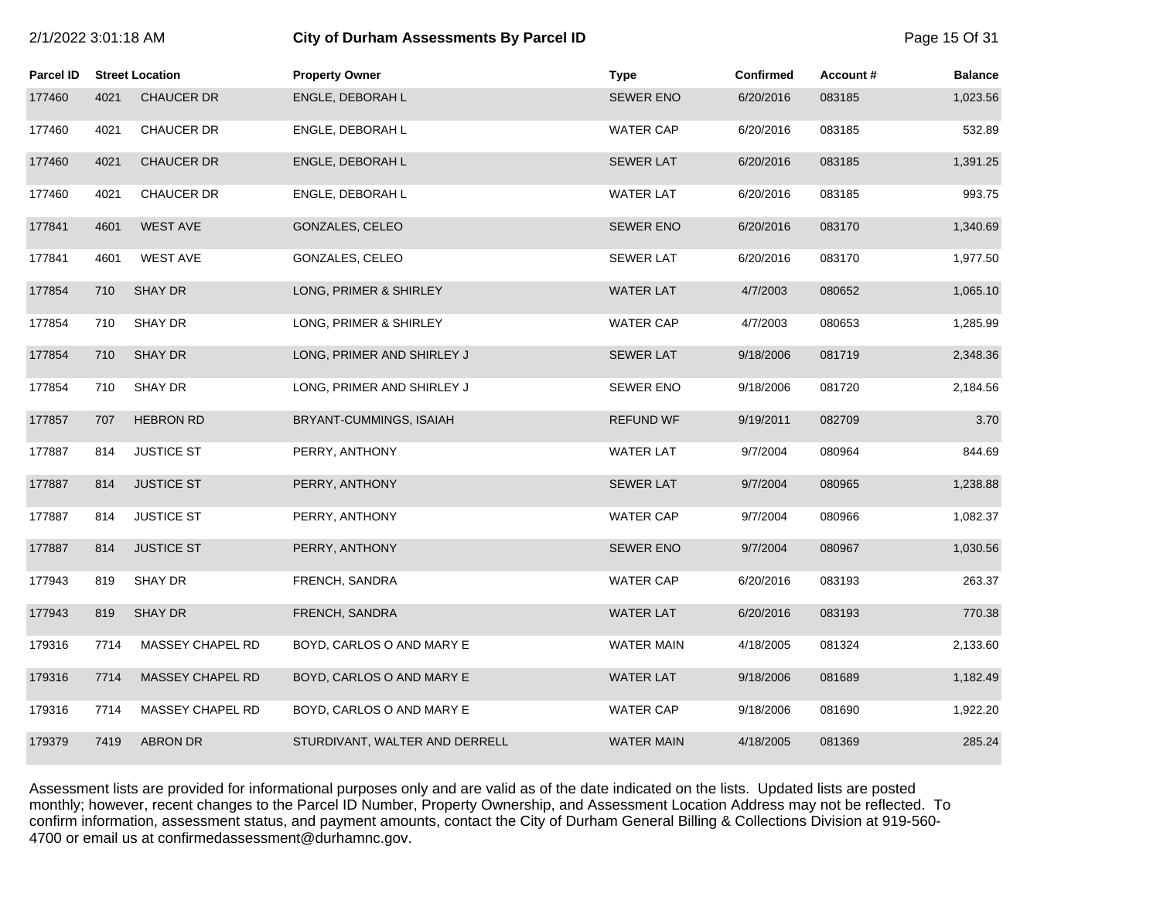| 2/1/2022 3:01:18 AM |  |  |
|---------------------|--|--|
|---------------------|--|--|

# **2/1/2022 3:01:2022 3:01:20 2:01:20 2:01:20 2:01:20 2:01:20 2:01:20 2:01:20 2:01:20 2:01:20 Page 15 Of 31**

| Parcel ID |      | <b>Street Location</b>  | <b>Property Owner</b>          | <b>Type</b>       | <b>Confirmed</b> | Account# | <b>Balance</b> |
|-----------|------|-------------------------|--------------------------------|-------------------|------------------|----------|----------------|
| 177460    | 4021 | <b>CHAUCER DR</b>       | ENGLE, DEBORAH L               | <b>SEWER ENO</b>  | 6/20/2016        | 083185   | 1,023.56       |
| 177460    | 4021 | CHAUCER DR              | ENGLE, DEBORAH L               | <b>WATER CAP</b>  | 6/20/2016        | 083185   | 532.89         |
| 177460    | 4021 | <b>CHAUCER DR</b>       | ENGLE, DEBORAH L               | <b>SEWER LAT</b>  | 6/20/2016        | 083185   | 1,391.25       |
| 177460    | 4021 | <b>CHAUCER DR</b>       | ENGLE, DEBORAH L               | <b>WATER LAT</b>  | 6/20/2016        | 083185   | 993.75         |
| 177841    | 4601 | <b>WEST AVE</b>         | GONZALES, CELEO                | <b>SEWER ENO</b>  | 6/20/2016        | 083170   | 1,340.69       |
| 177841    | 4601 | <b>WEST AVE</b>         | GONZALES, CELEO                | <b>SEWER LAT</b>  | 6/20/2016        | 083170   | 1,977.50       |
| 177854    | 710  | <b>SHAY DR</b>          | LONG, PRIMER & SHIRLEY         | <b>WATER LAT</b>  | 4/7/2003         | 080652   | 1,065.10       |
| 177854    | 710  | SHAY DR                 | LONG, PRIMER & SHIRLEY         | <b>WATER CAP</b>  | 4/7/2003         | 080653   | 1,285.99       |
| 177854    | 710  | <b>SHAY DR</b>          | LONG, PRIMER AND SHIRLEY J     | <b>SEWER LAT</b>  | 9/18/2006        | 081719   | 2,348.36       |
| 177854    | 710  | SHAY DR                 | LONG, PRIMER AND SHIRLEY J     | <b>SEWER ENO</b>  | 9/18/2006        | 081720   | 2,184.56       |
| 177857    | 707  | <b>HEBRON RD</b>        | BRYANT-CUMMINGS, ISAIAH        | <b>REFUND WF</b>  | 9/19/2011        | 082709   | 3.70           |
| 177887    | 814  | <b>JUSTICE ST</b>       | PERRY, ANTHONY                 | <b>WATER LAT</b>  | 9/7/2004         | 080964   | 844.69         |
| 177887    | 814  | <b>JUSTICE ST</b>       | PERRY, ANTHONY                 | <b>SEWER LAT</b>  | 9/7/2004         | 080965   | 1,238.88       |
| 177887    | 814  | <b>JUSTICE ST</b>       | PERRY, ANTHONY                 | <b>WATER CAP</b>  | 9/7/2004         | 080966   | 1,082.37       |
| 177887    | 814  | <b>JUSTICE ST</b>       | PERRY, ANTHONY                 | <b>SEWER ENO</b>  | 9/7/2004         | 080967   | 1,030.56       |
| 177943    | 819  | SHAY DR                 | FRENCH, SANDRA                 | <b>WATER CAP</b>  | 6/20/2016        | 083193   | 263.37         |
| 177943    | 819  | <b>SHAY DR</b>          | FRENCH, SANDRA                 | <b>WATER LAT</b>  | 6/20/2016        | 083193   | 770.38         |
| 179316    | 7714 | MASSEY CHAPEL RD        | BOYD, CARLOS O AND MARY E      | <b>WATER MAIN</b> | 4/18/2005        | 081324   | 2,133.60       |
| 179316    | 7714 | <b>MASSEY CHAPEL RD</b> | BOYD, CARLOS O AND MARY E      | <b>WATER LAT</b>  | 9/18/2006        | 081689   | 1,182.49       |
| 179316    | 7714 | MASSEY CHAPEL RD        | BOYD, CARLOS O AND MARY E      | <b>WATER CAP</b>  | 9/18/2006        | 081690   | 1,922.20       |
| 179379    | 7419 | ABRON DR                | STURDIVANT, WALTER AND DERRELL | <b>WATER MAIN</b> | 4/18/2005        | 081369   | 285.24         |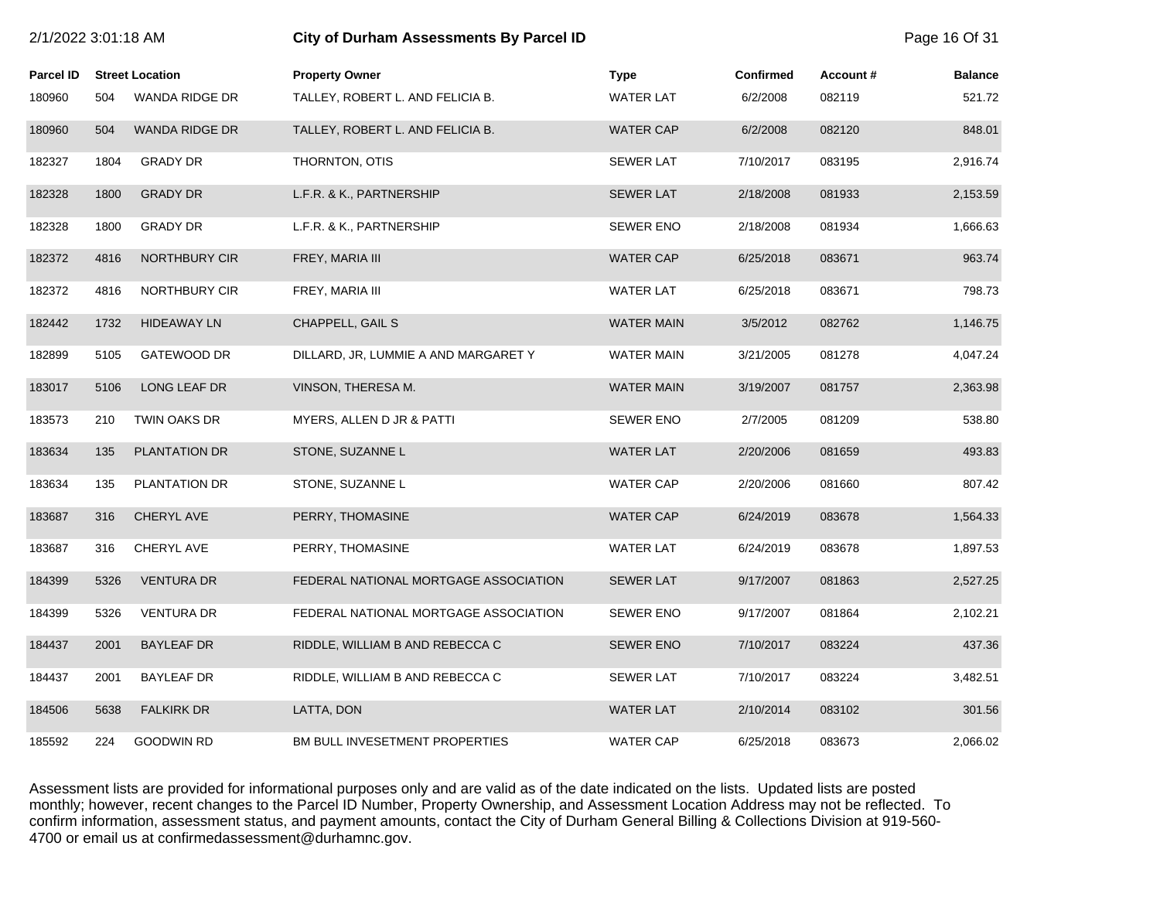| 2/1/2022 3:01:18 AM |      |                        | City of Durham Assessments By Parcel ID | Page 16 Of 31     |                  |          |                |
|---------------------|------|------------------------|-----------------------------------------|-------------------|------------------|----------|----------------|
| <b>Parcel ID</b>    |      | <b>Street Location</b> | <b>Property Owner</b>                   | <b>Type</b>       | <b>Confirmed</b> | Account# | <b>Balance</b> |
| 180960              | 504  | WANDA RIDGE DR         | TALLEY, ROBERT L. AND FELICIA B.        | <b>WATER LAT</b>  | 6/2/2008         | 082119   | 521.72         |
| 180960              | 504  | WANDA RIDGE DR         | TALLEY, ROBERT L. AND FELICIA B.        | <b>WATER CAP</b>  | 6/2/2008         | 082120   | 848.01         |
| 182327              | 1804 | <b>GRADY DR</b>        | THORNTON, OTIS                          | <b>SEWER LAT</b>  | 7/10/2017        | 083195   | 2,916.74       |
| 182328              | 1800 | <b>GRADY DR</b>        | L.F.R. & K., PARTNERSHIP                | <b>SEWER LAT</b>  | 2/18/2008        | 081933   | 2,153.59       |
| 182328              | 1800 | <b>GRADY DR</b>        | L.F.R. & K., PARTNERSHIP                | <b>SEWER ENO</b>  | 2/18/2008        | 081934   | 1,666.63       |
| 182372              | 4816 | NORTHBURY CIR          | FREY, MARIA III                         | <b>WATER CAP</b>  | 6/25/2018        | 083671   | 963.74         |
| 182372              | 4816 | NORTHBURY CIR          | FREY, MARIA III                         | <b>WATER LAT</b>  | 6/25/2018        | 083671   | 798.73         |
| 182442              | 1732 | <b>HIDEAWAY LN</b>     | CHAPPELL, GAIL S                        | <b>WATER MAIN</b> | 3/5/2012         | 082762   | 1,146.75       |
| 182899              | 5105 | GATEWOOD DR            | DILLARD, JR, LUMMIE A AND MARGARET Y    | <b>WATER MAIN</b> | 3/21/2005        | 081278   | 4,047.24       |
| 183017              | 5106 | LONG LEAF DR           | VINSON, THERESA M.                      | <b>WATER MAIN</b> | 3/19/2007        | 081757   | 2,363.98       |
| 183573              | 210  | <b>TWIN OAKS DR</b>    | MYERS, ALLEN D JR & PATTI               | <b>SEWER ENO</b>  | 2/7/2005         | 081209   | 538.80         |
| 183634              | 135  | <b>PLANTATION DR</b>   | STONE, SUZANNE L                        | <b>WATER LAT</b>  | 2/20/2006        | 081659   | 493.83         |
| 183634              | 135  | PLANTATION DR          | STONE, SUZANNE L                        | <b>WATER CAP</b>  | 2/20/2006        | 081660   | 807.42         |
| 183687              | 316  | <b>CHERYL AVE</b>      | PERRY, THOMASINE                        | <b>WATER CAP</b>  | 6/24/2019        | 083678   | 1,564.33       |
| 183687              | 316  | CHERYL AVE             | PERRY, THOMASINE                        | <b>WATER LAT</b>  | 6/24/2019        | 083678   | 1,897.53       |
| 184399              | 5326 | <b>VENTURA DR</b>      | FEDERAL NATIONAL MORTGAGE ASSOCIATION   | <b>SEWER LAT</b>  | 9/17/2007        | 081863   | 2,527.25       |
| 184399              | 5326 | <b>VENTURA DR</b>      | FEDERAL NATIONAL MORTGAGE ASSOCIATION   | <b>SEWER ENO</b>  | 9/17/2007        | 081864   | 2,102.21       |
| 184437              | 2001 | <b>BAYLEAF DR</b>      | RIDDLE, WILLIAM B AND REBECCA C         | <b>SEWER ENO</b>  | 7/10/2017        | 083224   | 437.36         |
| 184437              | 2001 | <b>BAYLEAF DR</b>      | RIDDLE, WILLIAM B AND REBECCA C         | <b>SEWER LAT</b>  | 7/10/2017        | 083224   | 3,482.51       |
| 184506              | 5638 | <b>FALKIRK DR</b>      | LATTA, DON                              | <b>WATER LAT</b>  | 2/10/2014        | 083102   | 301.56         |
| 185592              | 224  | <b>GOODWIN RD</b>      | BM BULL INVESETMENT PROPERTIES          | <b>WATER CAP</b>  | 6/25/2018        | 083673   | 2,066.02       |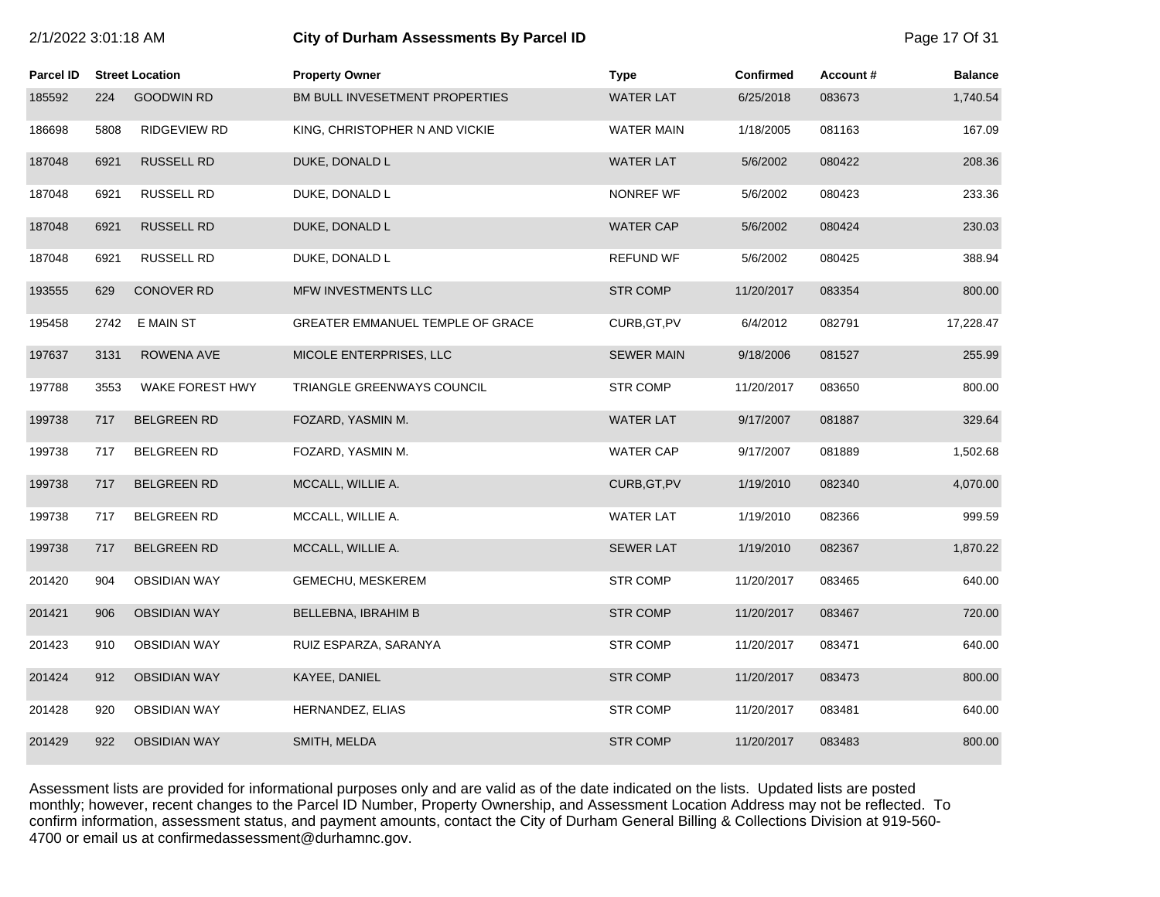|                  | 2/1/2022 3:01:18 AM |                        | City of Durham Assessments By Parcel ID |                   |                  |          | Page 17 Of 31  |
|------------------|---------------------|------------------------|-----------------------------------------|-------------------|------------------|----------|----------------|
| <b>Parcel ID</b> |                     | <b>Street Location</b> | <b>Property Owner</b>                   | <b>Type</b>       | <b>Confirmed</b> | Account# | <b>Balance</b> |
| 185592           | 224                 | <b>GOODWIN RD</b>      | BM BULL INVESETMENT PROPERTIES          | <b>WATER LAT</b>  | 6/25/2018        | 083673   | 1,740.54       |
| 186698           | 5808                | RIDGEVIEW RD           | KING, CHRISTOPHER N AND VICKIE          | <b>WATER MAIN</b> | 1/18/2005        | 081163   | 167.09         |
| 187048           | 6921                | <b>RUSSELL RD</b>      | DUKE, DONALD L                          | <b>WATER LAT</b>  | 5/6/2002         | 080422   | 208.36         |
| 187048           | 6921                | RUSSELL RD             | DUKE, DONALD L                          | <b>NONREF WF</b>  | 5/6/2002         | 080423   | 233.36         |
| 187048           | 6921                | <b>RUSSELL RD</b>      | DUKE, DONALD L                          | <b>WATER CAP</b>  | 5/6/2002         | 080424   | 230.03         |
| 187048           | 6921                | <b>RUSSELL RD</b>      | DUKE, DONALD L                          | <b>REFUND WF</b>  | 5/6/2002         | 080425   | 388.94         |
| 193555           | 629                 | <b>CONOVER RD</b>      | MFW INVESTMENTS LLC                     | <b>STR COMP</b>   | 11/20/2017       | 083354   | 800.00         |
| 195458           | 2742                | E MAIN ST              | GREATER EMMANUEL TEMPLE OF GRACE        | CURB, GT, PV      | 6/4/2012         | 082791   | 17,228.47      |
| 197637           | 3131                | ROWENA AVE             | MICOLE ENTERPRISES, LLC                 | <b>SEWER MAIN</b> | 9/18/2006        | 081527   | 255.99         |
| 197788           | 3553                | WAKE FOREST HWY        | TRIANGLE GREENWAYS COUNCIL              | <b>STR COMP</b>   | 11/20/2017       | 083650   | 800.00         |
| 199738           | 717                 | <b>BELGREEN RD</b>     | FOZARD, YASMIN M.                       | <b>WATER LAT</b>  | 9/17/2007        | 081887   | 329.64         |
| 199738           | 717                 | <b>BELGREEN RD</b>     | FOZARD, YASMIN M.                       | <b>WATER CAP</b>  | 9/17/2007        | 081889   | 1,502.68       |
| 199738           | 717                 | <b>BELGREEN RD</b>     | MCCALL, WILLIE A.                       | CURB, GT, PV      | 1/19/2010        | 082340   | 4,070.00       |
| 199738           | 717                 | <b>BELGREEN RD</b>     | MCCALL, WILLIE A.                       | <b>WATER LAT</b>  | 1/19/2010        | 082366   | 999.59         |
| 199738           | 717                 | <b>BELGREEN RD</b>     | MCCALL, WILLIE A.                       | <b>SEWER LAT</b>  | 1/19/2010        | 082367   | 1,870.22       |
| 201420           | 904                 | <b>OBSIDIAN WAY</b>    | GEMECHU, MESKEREM                       | <b>STR COMP</b>   | 11/20/2017       | 083465   | 640.00         |
| 201421           | 906                 | <b>OBSIDIAN WAY</b>    | BELLEBNA, IBRAHIM B                     | <b>STR COMP</b>   | 11/20/2017       | 083467   | 720.00         |
| 201423           | 910                 | <b>OBSIDIAN WAY</b>    | RUIZ ESPARZA, SARANYA                   | <b>STR COMP</b>   | 11/20/2017       | 083471   | 640.00         |
| 201424           | 912                 | <b>OBSIDIAN WAY</b>    | KAYEE, DANIEL                           | <b>STR COMP</b>   | 11/20/2017       | 083473   | 800.00         |
| 201428           | 920                 | <b>OBSIDIAN WAY</b>    | HERNANDEZ, ELIAS                        | <b>STR COMP</b>   | 11/20/2017       | 083481   | 640.00         |
| 201429           | 922                 | <b>OBSIDIAN WAY</b>    | SMITH, MELDA                            | <b>STR COMP</b>   | 11/20/2017       | 083483   | 800.00         |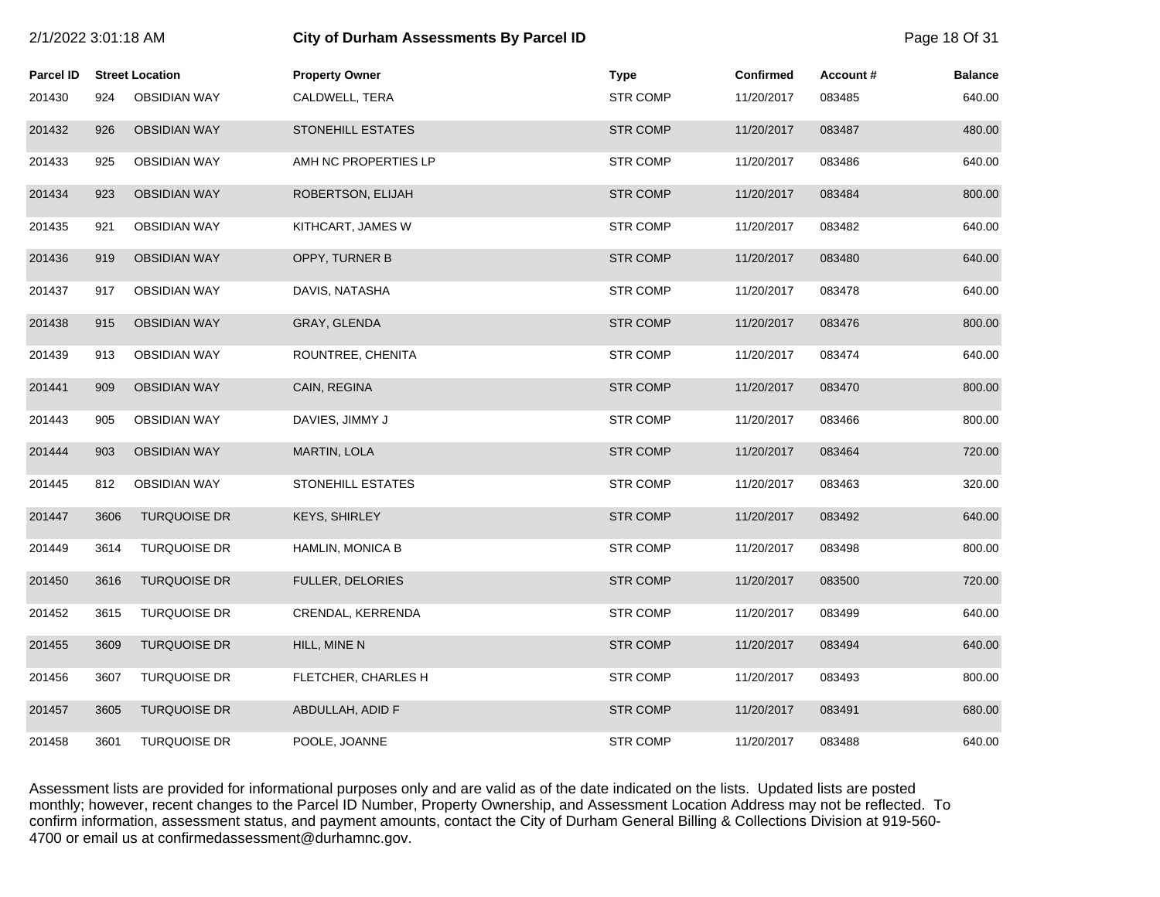| 2/1/2022 3:01:18 AM |      |                        | <b>City of Durham Assessments By Parcel ID</b> |  |                 |                  |          | Page 18 Of 31  |
|---------------------|------|------------------------|------------------------------------------------|--|-----------------|------------------|----------|----------------|
| <b>Parcel ID</b>    |      | <b>Street Location</b> | <b>Property Owner</b>                          |  | <b>Type</b>     | <b>Confirmed</b> | Account# | <b>Balance</b> |
| 201430              | 924  | <b>OBSIDIAN WAY</b>    | CALDWELL, TERA                                 |  | <b>STR COMP</b> | 11/20/2017       | 083485   | 640.00         |
| 201432              | 926  | <b>OBSIDIAN WAY</b>    | <b>STONEHILL ESTATES</b>                       |  | <b>STR COMP</b> | 11/20/2017       | 083487   | 480.00         |
| 201433              | 925  | <b>OBSIDIAN WAY</b>    | AMH NC PROPERTIES LP                           |  | <b>STR COMP</b> | 11/20/2017       | 083486   | 640.00         |
| 201434              | 923  | <b>OBSIDIAN WAY</b>    | ROBERTSON, ELIJAH                              |  | <b>STR COMP</b> | 11/20/2017       | 083484   | 800.00         |
| 201435              | 921  | <b>OBSIDIAN WAY</b>    | KITHCART, JAMES W                              |  | <b>STR COMP</b> | 11/20/2017       | 083482   | 640.00         |
| 201436              | 919  | <b>OBSIDIAN WAY</b>    | OPPY, TURNER B                                 |  | <b>STR COMP</b> | 11/20/2017       | 083480   | 640.00         |
| 201437              | 917  | <b>OBSIDIAN WAY</b>    | DAVIS, NATASHA                                 |  | <b>STR COMP</b> | 11/20/2017       | 083478   | 640.00         |
| 201438              | 915  | <b>OBSIDIAN WAY</b>    | GRAY, GLENDA                                   |  | <b>STR COMP</b> | 11/20/2017       | 083476   | 800.00         |
| 201439              | 913  | <b>OBSIDIAN WAY</b>    | ROUNTREE, CHENITA                              |  | <b>STR COMP</b> | 11/20/2017       | 083474   | 640.00         |
| 201441              | 909  | <b>OBSIDIAN WAY</b>    | CAIN, REGINA                                   |  | <b>STR COMP</b> | 11/20/2017       | 083470   | 800.00         |
| 201443              | 905  | OBSIDIAN WAY           | DAVIES, JIMMY J                                |  | <b>STR COMP</b> | 11/20/2017       | 083466   | 800.00         |
| 201444              | 903  | <b>OBSIDIAN WAY</b>    | MARTIN, LOLA                                   |  | <b>STR COMP</b> | 11/20/2017       | 083464   | 720.00         |
| 201445              | 812  | <b>OBSIDIAN WAY</b>    | STONEHILL ESTATES                              |  | <b>STR COMP</b> | 11/20/2017       | 083463   | 320.00         |
| 201447              | 3606 | <b>TURQUOISE DR</b>    | <b>KEYS, SHIRLEY</b>                           |  | <b>STR COMP</b> | 11/20/2017       | 083492   | 640.00         |
| 201449              | 3614 | TURQUOISE DR           | <b>HAMLIN, MONICA B</b>                        |  | <b>STR COMP</b> | 11/20/2017       | 083498   | 800.00         |
| 201450              | 3616 | <b>TURQUOISE DR</b>    | FULLER, DELORIES                               |  | <b>STR COMP</b> | 11/20/2017       | 083500   | 720.00         |
| 201452              | 3615 | <b>TURQUOISE DR</b>    | CRENDAL, KERRENDA                              |  | <b>STR COMP</b> | 11/20/2017       | 083499   | 640.00         |
| 201455              | 3609 | <b>TURQUOISE DR</b>    | HILL, MINE N                                   |  | <b>STR COMP</b> | 11/20/2017       | 083494   | 640.00         |
| 201456              | 3607 | <b>TURQUOISE DR</b>    | FLETCHER, CHARLES H                            |  | <b>STR COMP</b> | 11/20/2017       | 083493   | 800.00         |
| 201457              | 3605 | <b>TURQUOISE DR</b>    | ABDULLAH, ADID F                               |  | <b>STR COMP</b> | 11/20/2017       | 083491   | 680.00         |
| 201458              | 3601 | <b>TURQUOISE DR</b>    | POOLE, JOANNE                                  |  | <b>STR COMP</b> | 11/20/2017       | 083488   | 640.00         |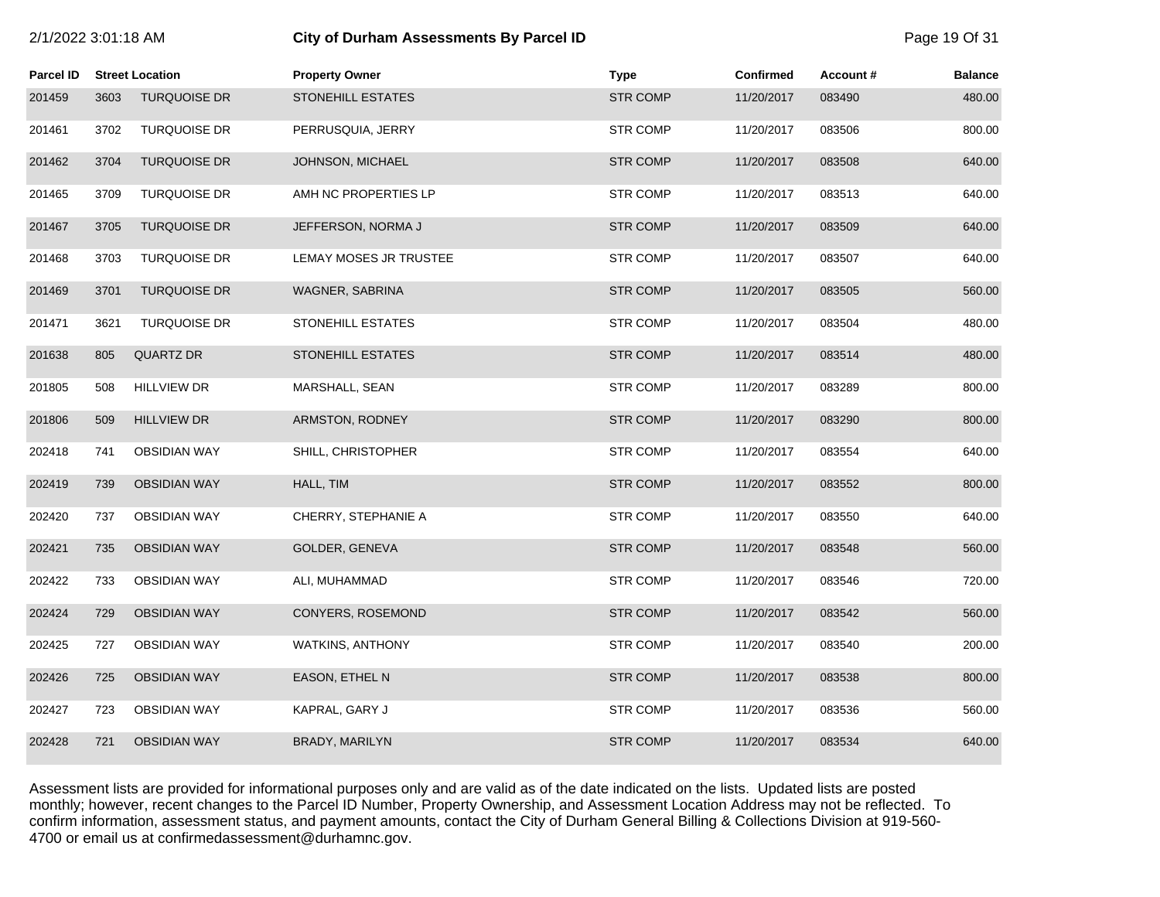## 2/1/2022 3:01:18 AM **City of Durham Assessments By Parcel ID** Page 19 Of 31

| Parcel ID |      | <b>Street Location</b> | <b>Property Owner</b>  | <b>Type</b>     | <b>Confirmed</b> | Account# | <b>Balance</b> |
|-----------|------|------------------------|------------------------|-----------------|------------------|----------|----------------|
| 201459    | 3603 | <b>TURQUOISE DR</b>    | STONEHILL ESTATES      | <b>STR COMP</b> | 11/20/2017       | 083490   | 480.00         |
| 201461    | 3702 | <b>TURQUOISE DR</b>    | PERRUSQUIA, JERRY      | <b>STR COMP</b> | 11/20/2017       | 083506   | 800.00         |
| 201462    | 3704 | <b>TURQUOISE DR</b>    | JOHNSON, MICHAEL       | <b>STR COMP</b> | 11/20/2017       | 083508   | 640.00         |
| 201465    | 3709 | <b>TURQUOISE DR</b>    | AMH NC PROPERTIES LP   | <b>STR COMP</b> | 11/20/2017       | 083513   | 640.00         |
| 201467    | 3705 | <b>TURQUOISE DR</b>    | JEFFERSON, NORMA J     | <b>STR COMP</b> | 11/20/2017       | 083509   | 640.00         |
| 201468    | 3703 | <b>TURQUOISE DR</b>    | LEMAY MOSES JR TRUSTEE | <b>STR COMP</b> | 11/20/2017       | 083507   | 640.00         |
| 201469    | 3701 | <b>TURQUOISE DR</b>    | WAGNER, SABRINA        | <b>STR COMP</b> | 11/20/2017       | 083505   | 560.00         |
| 201471    | 3621 | <b>TURQUOISE DR</b>    | STONEHILL ESTATES      | <b>STR COMP</b> | 11/20/2017       | 083504   | 480.00         |
| 201638    | 805  | <b>QUARTZ DR</b>       | STONEHILL ESTATES      | <b>STR COMP</b> | 11/20/2017       | 083514   | 480.00         |
| 201805    | 508  | <b>HILLVIEW DR</b>     | MARSHALL, SEAN         | <b>STR COMP</b> | 11/20/2017       | 083289   | 800.00         |
| 201806    | 509  | <b>HILLVIEW DR</b>     | ARMSTON, RODNEY        | <b>STR COMP</b> | 11/20/2017       | 083290   | 800.00         |
| 202418    | 741  | <b>OBSIDIAN WAY</b>    | SHILL, CHRISTOPHER     | <b>STR COMP</b> | 11/20/2017       | 083554   | 640.00         |
| 202419    | 739  | <b>OBSIDIAN WAY</b>    | HALL, TIM              | <b>STR COMP</b> | 11/20/2017       | 083552   | 800.00         |
| 202420    | 737  | <b>OBSIDIAN WAY</b>    | CHERRY, STEPHANIE A    | <b>STR COMP</b> | 11/20/2017       | 083550   | 640.00         |
| 202421    | 735  | <b>OBSIDIAN WAY</b>    | GOLDER, GENEVA         | <b>STR COMP</b> | 11/20/2017       | 083548   | 560.00         |
| 202422    | 733  | <b>OBSIDIAN WAY</b>    | ALI, MUHAMMAD          | <b>STR COMP</b> | 11/20/2017       | 083546   | 720.00         |
| 202424    | 729  | <b>OBSIDIAN WAY</b>    | CONYERS, ROSEMOND      | <b>STR COMP</b> | 11/20/2017       | 083542   | 560.00         |
| 202425    | 727  | <b>OBSIDIAN WAY</b>    | WATKINS, ANTHONY       | <b>STR COMP</b> | 11/20/2017       | 083540   | 200.00         |
| 202426    | 725  | <b>OBSIDIAN WAY</b>    | EASON, ETHEL N         | <b>STR COMP</b> | 11/20/2017       | 083538   | 800.00         |
| 202427    | 723  | <b>OBSIDIAN WAY</b>    | KAPRAL, GARY J         | <b>STR COMP</b> | 11/20/2017       | 083536   | 560.00         |
| 202428    | 721  | <b>OBSIDIAN WAY</b>    | BRADY, MARILYN         | <b>STR COMP</b> | 11/20/2017       | 083534   | 640.00         |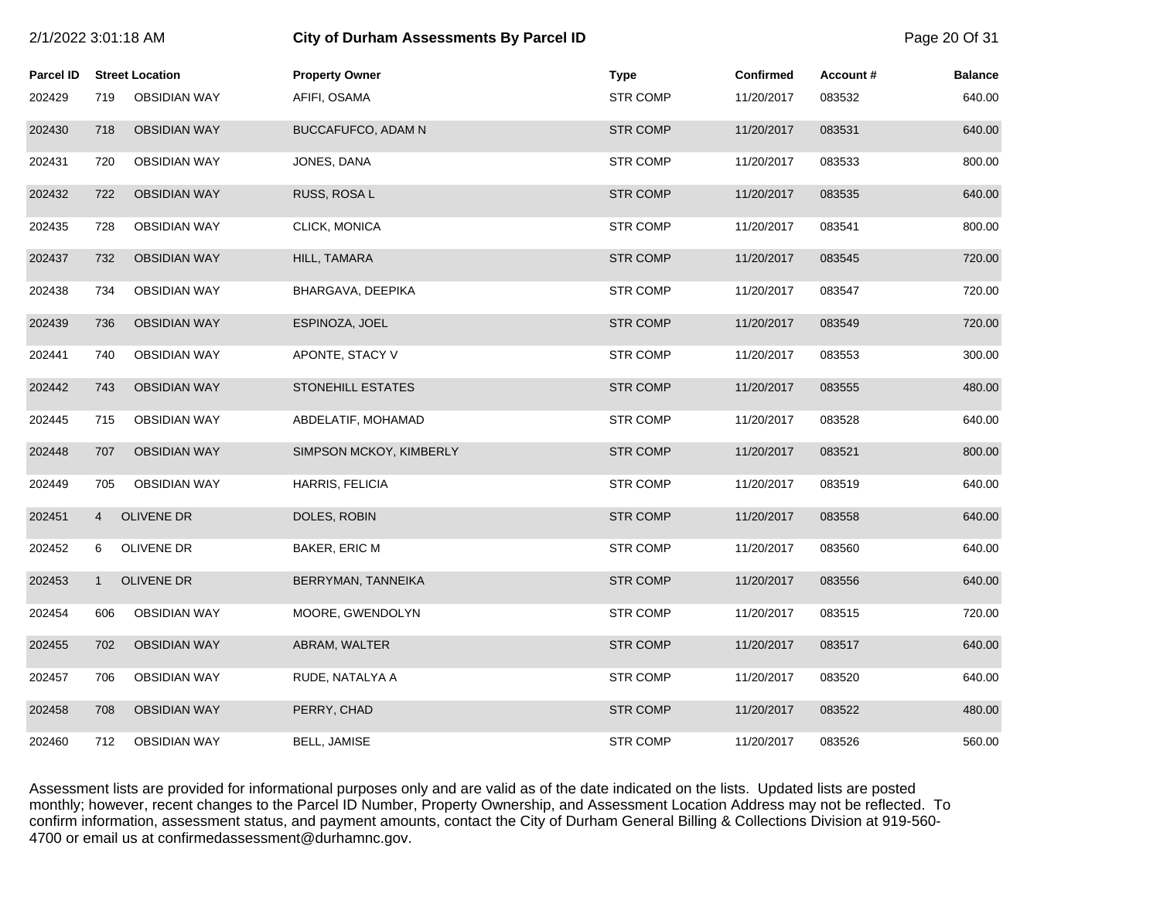| 2/1/2022 3:01:18 AM |                |                        |                          | <b>City of Durham Assessments By Parcel ID</b> |                  |          |                |  |
|---------------------|----------------|------------------------|--------------------------|------------------------------------------------|------------------|----------|----------------|--|
| <b>Parcel ID</b>    |                | <b>Street Location</b> | <b>Property Owner</b>    | <b>Type</b>                                    | <b>Confirmed</b> | Account# | <b>Balance</b> |  |
| 202429              | 719            | <b>OBSIDIAN WAY</b>    | AFIFI, OSAMA             | <b>STR COMP</b>                                | 11/20/2017       | 083532   | 640.00         |  |
| 202430              | 718            | <b>OBSIDIAN WAY</b>    | BUCCAFUFCO, ADAM N       | <b>STR COMP</b>                                | 11/20/2017       | 083531   | 640.00         |  |
| 202431              | 720            | <b>OBSIDIAN WAY</b>    | JONES, DANA              | <b>STR COMP</b>                                | 11/20/2017       | 083533   | 800.00         |  |
| 202432              | 722            | <b>OBSIDIAN WAY</b>    | RUSS, ROSA L             | <b>STR COMP</b>                                | 11/20/2017       | 083535   | 640.00         |  |
| 202435              | 728            | OBSIDIAN WAY           | CLICK, MONICA            | <b>STR COMP</b>                                | 11/20/2017       | 083541   | 800.00         |  |
| 202437              | 732            | <b>OBSIDIAN WAY</b>    | HILL, TAMARA             | <b>STR COMP</b>                                | 11/20/2017       | 083545   | 720.00         |  |
| 202438              | 734            | <b>OBSIDIAN WAY</b>    | BHARGAVA, DEEPIKA        | <b>STR COMP</b>                                | 11/20/2017       | 083547   | 720.00         |  |
| 202439              | 736            | <b>OBSIDIAN WAY</b>    | ESPINOZA, JOEL           | <b>STR COMP</b>                                | 11/20/2017       | 083549   | 720.00         |  |
| 202441              | 740            | <b>OBSIDIAN WAY</b>    | APONTE, STACY V          | <b>STR COMP</b>                                | 11/20/2017       | 083553   | 300.00         |  |
| 202442              | 743            | <b>OBSIDIAN WAY</b>    | <b>STONEHILL ESTATES</b> | <b>STR COMP</b>                                | 11/20/2017       | 083555   | 480.00         |  |
| 202445              | 715            | OBSIDIAN WAY           | ABDELATIF, MOHAMAD       | <b>STR COMP</b>                                | 11/20/2017       | 083528   | 640.00         |  |
| 202448              | 707            | <b>OBSIDIAN WAY</b>    | SIMPSON MCKOY, KIMBERLY  | <b>STR COMP</b>                                | 11/20/2017       | 083521   | 800.00         |  |
| 202449              | 705            | <b>OBSIDIAN WAY</b>    | HARRIS, FELICIA          | <b>STR COMP</b>                                | 11/20/2017       | 083519   | 640.00         |  |
| 202451              | $\overline{4}$ | <b>OLIVENE DR</b>      | DOLES, ROBIN             | <b>STR COMP</b>                                | 11/20/2017       | 083558   | 640.00         |  |
| 202452              | 6              | OLIVENE DR             | BAKER, ERIC M            | <b>STR COMP</b>                                | 11/20/2017       | 083560   | 640.00         |  |
| 202453              | $\mathbf{1}$   | OLIVENE DR             | BERRYMAN, TANNEIKA       | <b>STR COMP</b>                                | 11/20/2017       | 083556   | 640.00         |  |
| 202454              | 606            | <b>OBSIDIAN WAY</b>    | MOORE, GWENDOLYN         | <b>STR COMP</b>                                | 11/20/2017       | 083515   | 720.00         |  |
| 202455              | 702            | <b>OBSIDIAN WAY</b>    | ABRAM, WALTER            | <b>STR COMP</b>                                | 11/20/2017       | 083517   | 640.00         |  |
| 202457              | 706            | <b>OBSIDIAN WAY</b>    | RUDE, NATALYA A          | <b>STR COMP</b>                                | 11/20/2017       | 083520   | 640.00         |  |
| 202458              | 708            | <b>OBSIDIAN WAY</b>    | PERRY, CHAD              | <b>STR COMP</b>                                | 11/20/2017       | 083522   | 480.00         |  |
| 202460              | 712            | <b>OBSIDIAN WAY</b>    | <b>BELL, JAMISE</b>      | <b>STR COMP</b>                                | 11/20/2017       | 083526   | 560.00         |  |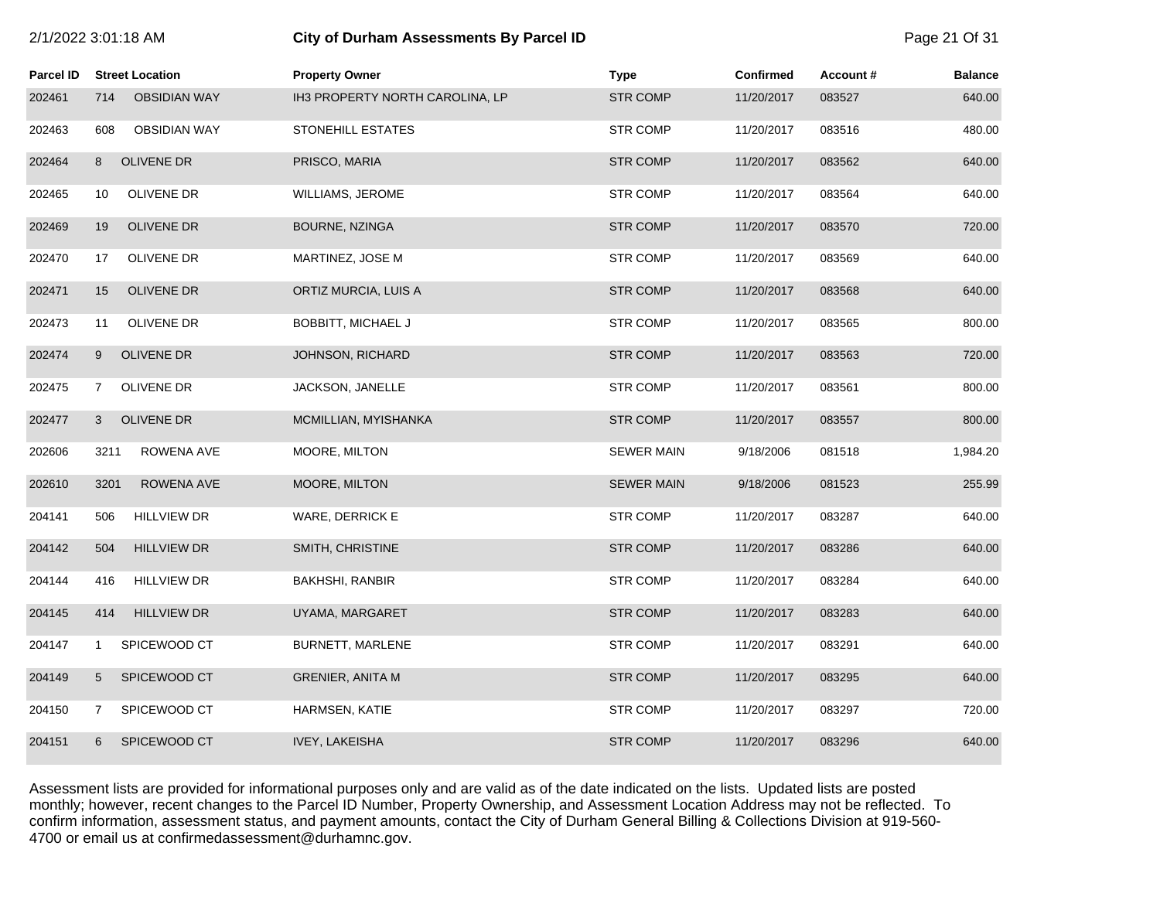|                  | 2/1/2022 3:01:18 AM          | City of Durham Assessments By Parcel ID |                   |                  |          | Page 21 Of 31  |
|------------------|------------------------------|-----------------------------------------|-------------------|------------------|----------|----------------|
| <b>Parcel ID</b> | <b>Street Location</b>       | <b>Property Owner</b>                   | <b>Type</b>       | <b>Confirmed</b> | Account# | <b>Balance</b> |
| 202461           | <b>OBSIDIAN WAY</b><br>714   | IH3 PROPERTY NORTH CAROLINA, LP         | <b>STR COMP</b>   | 11/20/2017       | 083527   | 640.00         |
| 202463           | 608<br><b>OBSIDIAN WAY</b>   | STONEHILL ESTATES                       | <b>STR COMP</b>   | 11/20/2017       | 083516   | 480.00         |
| 202464           | OLIVENE DR<br>8              | PRISCO, MARIA                           | <b>STR COMP</b>   | 11/20/2017       | 083562   | 640.00         |
| 202465           | OLIVENE DR<br>10             | WILLIAMS, JEROME                        | <b>STR COMP</b>   | 11/20/2017       | 083564   | 640.00         |
| 202469           | OLIVENE DR<br>19             | BOURNE, NZINGA                          | <b>STR COMP</b>   | 11/20/2017       | 083570   | 720.00         |
| 202470           | OLIVENE DR<br>17             | MARTINEZ, JOSE M                        | <b>STR COMP</b>   | 11/20/2017       | 083569   | 640.00         |
| 202471           | OLIVENE DR<br>15             | ORTIZ MURCIA, LUIS A                    | <b>STR COMP</b>   | 11/20/2017       | 083568   | 640.00         |
| 202473           | OLIVENE DR<br>11             | <b>BOBBITT, MICHAEL J</b>               | <b>STR COMP</b>   | 11/20/2017       | 083565   | 800.00         |
| 202474           | OLIVENE DR<br>9              | JOHNSON, RICHARD                        | <b>STR COMP</b>   | 11/20/2017       | 083563   | 720.00         |
| 202475           | OLIVENE DR<br>$\overline{7}$ | JACKSON, JANELLE                        | <b>STR COMP</b>   | 11/20/2017       | 083561   | 800.00         |
| 202477           | <b>OLIVENE DR</b><br>3       | MCMILLIAN, MYISHANKA                    | <b>STR COMP</b>   | 11/20/2017       | 083557   | 800.00         |
| 202606           | ROWENA AVE<br>3211           | MOORE, MILTON                           | <b>SEWER MAIN</b> | 9/18/2006        | 081518   | 1,984.20       |
| 202610           | 3201<br>ROWENA AVE           | MOORE, MILTON                           | <b>SEWER MAIN</b> | 9/18/2006        | 081523   | 255.99         |
| 204141           | 506<br><b>HILLVIEW DR</b>    | WARE, DERRICK E                         | <b>STR COMP</b>   | 11/20/2017       | 083287   | 640.00         |
| 204142           | 504<br><b>HILLVIEW DR</b>    | SMITH, CHRISTINE                        | <b>STR COMP</b>   | 11/20/2017       | 083286   | 640.00         |
| 204144           | <b>HILLVIEW DR</b><br>416    | <b>BAKHSHI, RANBIR</b>                  | STR COMP          | 11/20/2017       | 083284   | 640.00         |
| 204145           | 414<br><b>HILLVIEW DR</b>    | UYAMA, MARGARET                         | <b>STR COMP</b>   | 11/20/2017       | 083283   | 640.00         |
| 204147           | SPICEWOOD CT<br>$\mathbf{1}$ | BURNETT, MARLENE                        | STR COMP          | 11/20/2017       | 083291   | 640.00         |
| 204149           | SPICEWOOD CT<br>5            | <b>GRENIER, ANITA M</b>                 | <b>STR COMP</b>   | 11/20/2017       | 083295   | 640.00         |
| 204150           | SPICEWOOD CT<br>7            | HARMSEN, KATIE                          | <b>STR COMP</b>   | 11/20/2017       | 083297   | 720.00         |
| 204151           | SPICEWOOD CT<br>6            | <b>IVEY, LAKEISHA</b>                   | <b>STR COMP</b>   | 11/20/2017       | 083296   | 640.00         |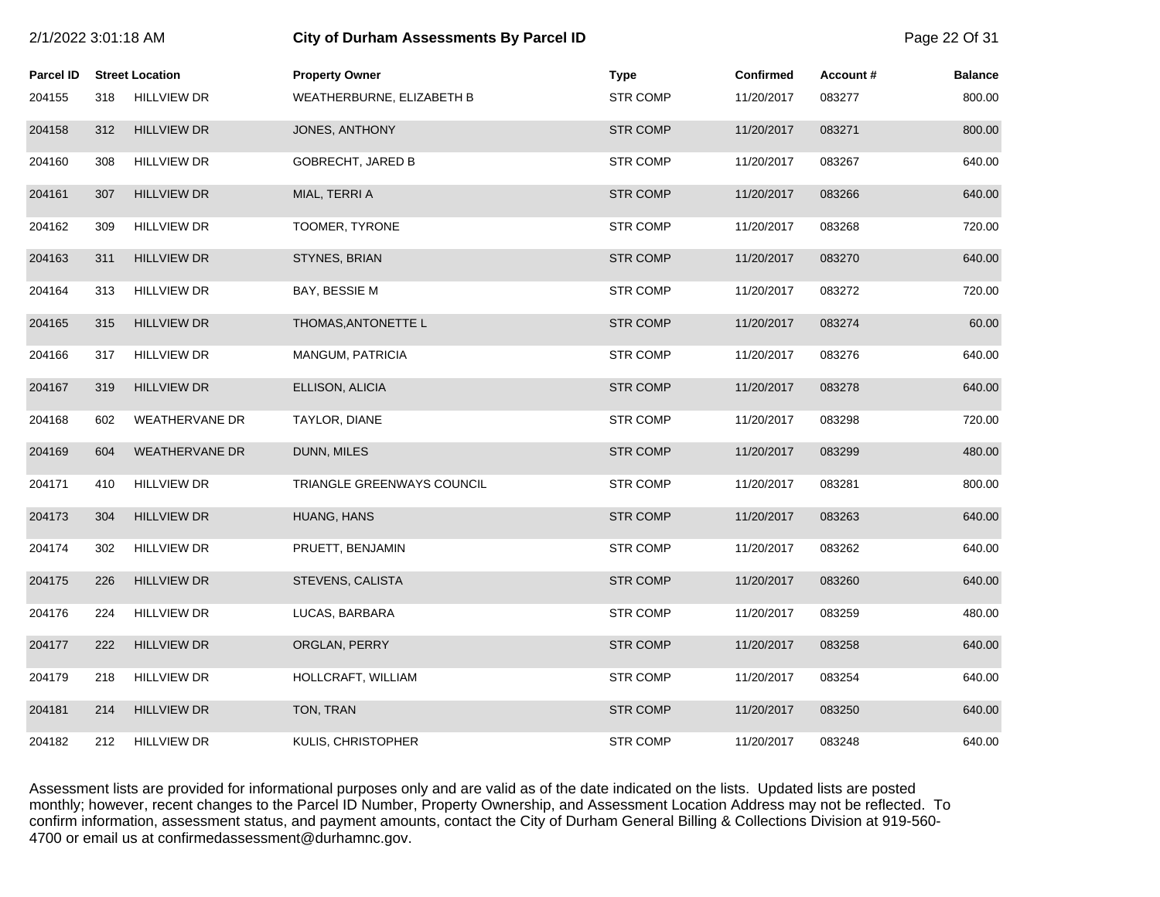| 2/1/2022 3:01:18 AM |     |                        | City of Durham Assessments By Parcel ID | Page 22 Of 31   |            |          |                |
|---------------------|-----|------------------------|-----------------------------------------|-----------------|------------|----------|----------------|
| <b>Parcel ID</b>    |     | <b>Street Location</b> | <b>Property Owner</b>                   | <b>Type</b>     | Confirmed  | Account# | <b>Balance</b> |
| 204155              | 318 | <b>HILLVIEW DR</b>     | WEATHERBURNE, ELIZABETH B               | <b>STR COMP</b> | 11/20/2017 | 083277   | 800.00         |
| 204158              | 312 | <b>HILLVIEW DR</b>     | JONES, ANTHONY                          | <b>STR COMP</b> | 11/20/2017 | 083271   | 800.00         |
| 204160              | 308 | <b>HILLVIEW DR</b>     | <b>GOBRECHT, JARED B</b>                | <b>STR COMP</b> | 11/20/2017 | 083267   | 640.00         |
| 204161              | 307 | <b>HILLVIEW DR</b>     | MIAL, TERRI A                           | <b>STR COMP</b> | 11/20/2017 | 083266   | 640.00         |
| 204162              | 309 | <b>HILLVIEW DR</b>     | TOOMER, TYRONE                          | <b>STR COMP</b> | 11/20/2017 | 083268   | 720.00         |
| 204163              | 311 | <b>HILLVIEW DR</b>     | STYNES, BRIAN                           | <b>STR COMP</b> | 11/20/2017 | 083270   | 640.00         |
| 204164              | 313 | <b>HILLVIEW DR</b>     | BAY, BESSIE M                           | <b>STR COMP</b> | 11/20/2017 | 083272   | 720.00         |
| 204165              | 315 | <b>HILLVIEW DR</b>     | THOMAS, ANTONETTE L                     | <b>STR COMP</b> | 11/20/2017 | 083274   | 60.00          |
| 204166              | 317 | <b>HILLVIEW DR</b>     | MANGUM, PATRICIA                        | <b>STR COMP</b> | 11/20/2017 | 083276   | 640.00         |
| 204167              | 319 | <b>HILLVIEW DR</b>     | ELLISON, ALICIA                         | <b>STR COMP</b> | 11/20/2017 | 083278   | 640.00         |
| 204168              | 602 | <b>WEATHERVANE DR</b>  | TAYLOR, DIANE                           | <b>STR COMP</b> | 11/20/2017 | 083298   | 720.00         |
| 204169              | 604 | <b>WEATHERVANE DR</b>  | DUNN, MILES                             | <b>STR COMP</b> | 11/20/2017 | 083299   | 480.00         |
| 204171              | 410 | <b>HILLVIEW DR</b>     | TRIANGLE GREENWAYS COUNCIL              | <b>STR COMP</b> | 11/20/2017 | 083281   | 800.00         |
| 204173              | 304 | <b>HILLVIEW DR</b>     | HUANG, HANS                             | <b>STR COMP</b> | 11/20/2017 | 083263   | 640.00         |
| 204174              | 302 | <b>HILLVIEW DR</b>     | PRUETT, BENJAMIN                        | <b>STR COMP</b> | 11/20/2017 | 083262   | 640.00         |
| 204175              | 226 | <b>HILLVIEW DR</b>     | STEVENS, CALISTA                        | <b>STR COMP</b> | 11/20/2017 | 083260   | 640.00         |
| 204176              | 224 | <b>HILLVIEW DR</b>     | LUCAS, BARBARA                          | <b>STR COMP</b> | 11/20/2017 | 083259   | 480.00         |
| 204177              | 222 | <b>HILLVIEW DR</b>     | ORGLAN, PERRY                           | <b>STR COMP</b> | 11/20/2017 | 083258   | 640.00         |
| 204179              | 218 | <b>HILLVIEW DR</b>     | HOLLCRAFT, WILLIAM                      | <b>STR COMP</b> | 11/20/2017 | 083254   | 640.00         |
| 204181              | 214 | <b>HILLVIEW DR</b>     | TON, TRAN                               | <b>STR COMP</b> | 11/20/2017 | 083250   | 640.00         |
| 204182              | 212 | <b>HILLVIEW DR</b>     | KULIS, CHRISTOPHER                      | <b>STR COMP</b> | 11/20/2017 | 083248   | 640.00         |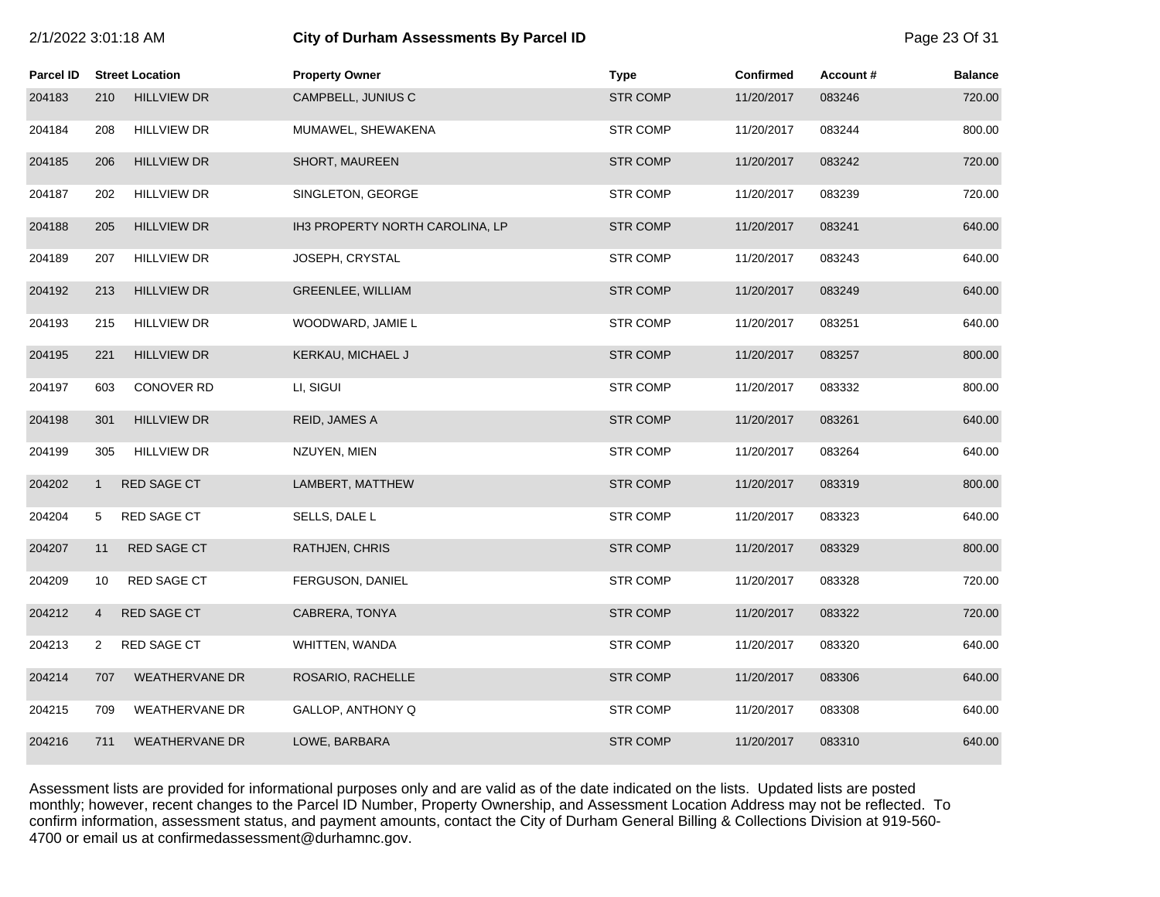|  | 2/1/2022 3:01:18 AM |
|--|---------------------|
|--|---------------------|

# 2/1/2022 3:01:18 AM **City of Durham Assessments By Parcel ID** Page 23 Of 31

| <b>Parcel ID</b> |                | <b>Street Location</b> | <b>Property Owner</b>           | <b>Type</b>     | <b>Confirmed</b> | Account# | <b>Balance</b> |
|------------------|----------------|------------------------|---------------------------------|-----------------|------------------|----------|----------------|
| 204183           | 210            | <b>HILLVIEW DR</b>     | CAMPBELL, JUNIUS C              | <b>STR COMP</b> | 11/20/2017       | 083246   | 720.00         |
| 204184           | 208            | <b>HILLVIEW DR</b>     | MUMAWEL, SHEWAKENA              | <b>STR COMP</b> | 11/20/2017       | 083244   | 800.00         |
| 204185           | 206            | <b>HILLVIEW DR</b>     | <b>SHORT, MAUREEN</b>           | <b>STR COMP</b> | 11/20/2017       | 083242   | 720.00         |
| 204187           | 202            | <b>HILLVIEW DR</b>     | SINGLETON, GEORGE               | <b>STR COMP</b> | 11/20/2017       | 083239   | 720.00         |
| 204188           | 205            | <b>HILLVIEW DR</b>     | IH3 PROPERTY NORTH CAROLINA, LP | <b>STR COMP</b> | 11/20/2017       | 083241   | 640.00         |
| 204189           | 207            | <b>HILLVIEW DR</b>     | JOSEPH, CRYSTAL                 | <b>STR COMP</b> | 11/20/2017       | 083243   | 640.00         |
| 204192           | 213            | <b>HILLVIEW DR</b>     | GREENLEE, WILLIAM               | <b>STR COMP</b> | 11/20/2017       | 083249   | 640.00         |
| 204193           | 215            | <b>HILLVIEW DR</b>     | WOODWARD, JAMIE L               | <b>STR COMP</b> | 11/20/2017       | 083251   | 640.00         |
| 204195           | 221            | <b>HILLVIEW DR</b>     | KERKAU, MICHAEL J               | <b>STR COMP</b> | 11/20/2017       | 083257   | 800.00         |
| 204197           | 603            | <b>CONOVER RD</b>      | LI, SIGUI                       | <b>STR COMP</b> | 11/20/2017       | 083332   | 800.00         |
| 204198           | 301            | <b>HILLVIEW DR</b>     | REID, JAMES A                   | <b>STR COMP</b> | 11/20/2017       | 083261   | 640.00         |
| 204199           | 305            | <b>HILLVIEW DR</b>     | NZUYEN, MIEN                    | <b>STR COMP</b> | 11/20/2017       | 083264   | 640.00         |
| 204202           | $\mathbf{1}$   | <b>RED SAGE CT</b>     | LAMBERT, MATTHEW                | <b>STR COMP</b> | 11/20/2017       | 083319   | 800.00         |
| 204204           | 5              | RED SAGE CT            | SELLS, DALE L                   | <b>STR COMP</b> | 11/20/2017       | 083323   | 640.00         |
| 204207           | 11             | <b>RED SAGE CT</b>     | RATHJEN, CHRIS                  | <b>STR COMP</b> | 11/20/2017       | 083329   | 800.00         |
| 204209           | 10             | RED SAGE CT            | FERGUSON, DANIEL                | <b>STR COMP</b> | 11/20/2017       | 083328   | 720.00         |
| 204212           | $\overline{4}$ | <b>RED SAGE CT</b>     | CABRERA, TONYA                  | <b>STR COMP</b> | 11/20/2017       | 083322   | 720.00         |
| 204213           | 2              | RED SAGE CT            | WHITTEN, WANDA                  | <b>STR COMP</b> | 11/20/2017       | 083320   | 640.00         |
| 204214           | 707            | <b>WEATHERVANE DR</b>  | ROSARIO, RACHELLE               | <b>STR COMP</b> | 11/20/2017       | 083306   | 640.00         |
| 204215           | 709            | WEATHERVANE DR         | GALLOP, ANTHONY Q               | <b>STR COMP</b> | 11/20/2017       | 083308   | 640.00         |
| 204216           | 711            | <b>WEATHERVANE DR</b>  | LOWE, BARBARA                   | <b>STR COMP</b> | 11/20/2017       | 083310   | 640.00         |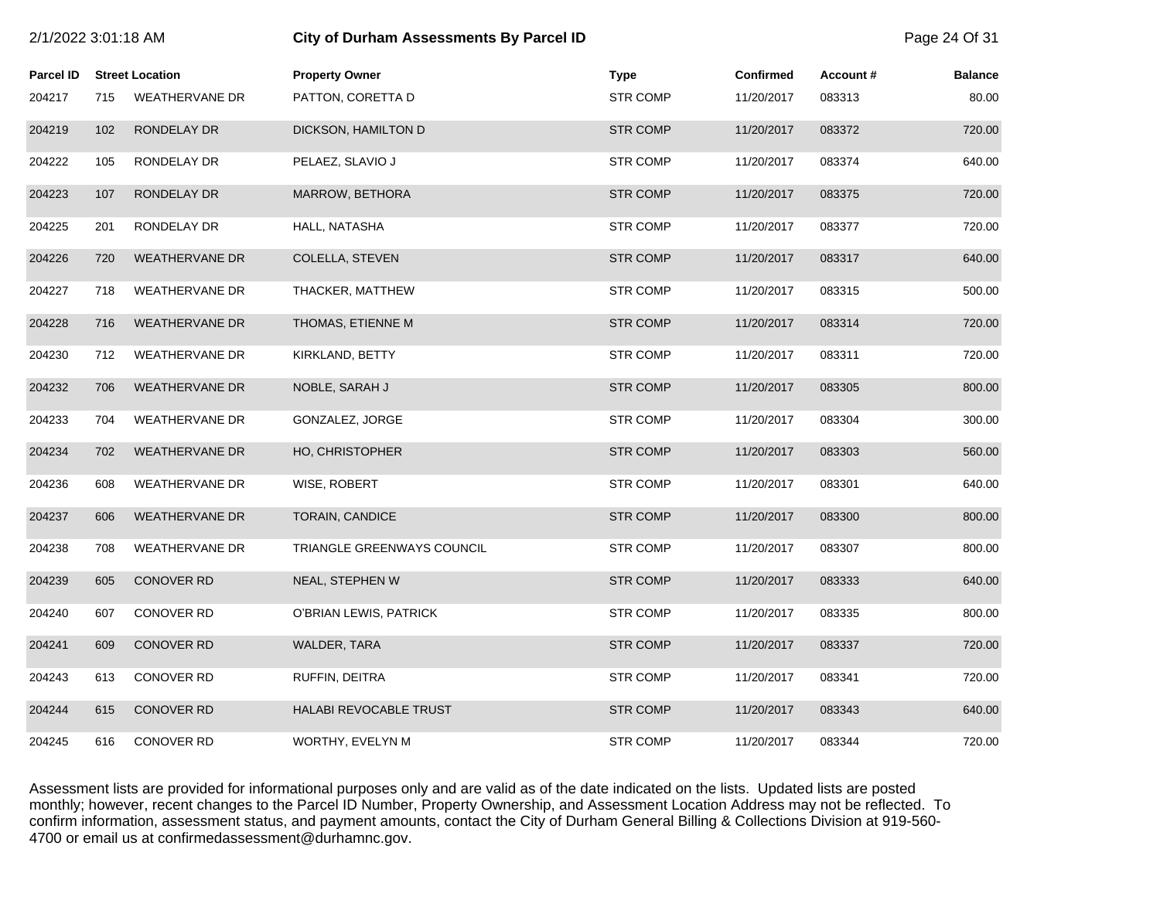| 2/1/2022 3:01:18 AM |     |                        | <b>City of Durham Assessments By Parcel ID</b> |                 |                  |          | Page 24 Of 31  |
|---------------------|-----|------------------------|------------------------------------------------|-----------------|------------------|----------|----------------|
| <b>Parcel ID</b>    |     | <b>Street Location</b> | <b>Property Owner</b>                          | <b>Type</b>     | <b>Confirmed</b> | Account# | <b>Balance</b> |
| 204217              | 715 | <b>WEATHERVANE DR</b>  | PATTON, CORETTA D                              | <b>STR COMP</b> | 11/20/2017       | 083313   | 80.00          |
| 204219              | 102 | RONDELAY DR            | DICKSON, HAMILTON D                            | <b>STR COMP</b> | 11/20/2017       | 083372   | 720.00         |
| 204222              | 105 | RONDELAY DR            | PELAEZ, SLAVIO J                               | <b>STR COMP</b> | 11/20/2017       | 083374   | 640.00         |
| 204223              | 107 | RONDELAY DR            | MARROW, BETHORA                                | <b>STR COMP</b> | 11/20/2017       | 083375   | 720.00         |
| 204225              | 201 | RONDELAY DR            | HALL, NATASHA                                  | <b>STR COMP</b> | 11/20/2017       | 083377   | 720.00         |
| 204226              | 720 | <b>WEATHERVANE DR</b>  | COLELLA, STEVEN                                | <b>STR COMP</b> | 11/20/2017       | 083317   | 640.00         |
| 204227              | 718 | <b>WEATHERVANE DR</b>  | THACKER, MATTHEW                               | <b>STR COMP</b> | 11/20/2017       | 083315   | 500.00         |
| 204228              | 716 | <b>WEATHERVANE DR</b>  | THOMAS, ETIENNE M                              | <b>STR COMP</b> | 11/20/2017       | 083314   | 720.00         |
| 204230              | 712 | <b>WEATHERVANE DR</b>  | KIRKLAND, BETTY                                | <b>STR COMP</b> | 11/20/2017       | 083311   | 720.00         |
| 204232              | 706 | <b>WEATHERVANE DR</b>  | NOBLE, SARAH J                                 | <b>STR COMP</b> | 11/20/2017       | 083305   | 800.00         |
| 204233              | 704 | <b>WEATHERVANE DR</b>  | GONZALEZ, JORGE                                | <b>STR COMP</b> | 11/20/2017       | 083304   | 300.00         |
| 204234              | 702 | <b>WEATHERVANE DR</b>  | HO, CHRISTOPHER                                | <b>STR COMP</b> | 11/20/2017       | 083303   | 560.00         |
| 204236              | 608 | <b>WEATHERVANE DR</b>  | WISE, ROBERT                                   | <b>STR COMP</b> | 11/20/2017       | 083301   | 640.00         |
| 204237              | 606 | <b>WEATHERVANE DR</b>  | <b>TORAIN, CANDICE</b>                         | <b>STR COMP</b> | 11/20/2017       | 083300   | 800.00         |
| 204238              | 708 | <b>WEATHERVANE DR</b>  | TRIANGLE GREENWAYS COUNCIL                     | <b>STR COMP</b> | 11/20/2017       | 083307   | 800.00         |
| 204239              | 605 | CONOVER RD             | NEAL, STEPHEN W                                | <b>STR COMP</b> | 11/20/2017       | 083333   | 640.00         |
| 204240              | 607 | <b>CONOVER RD</b>      | O'BRIAN LEWIS, PATRICK                         | <b>STR COMP</b> | 11/20/2017       | 083335   | 800.00         |
| 204241              | 609 | <b>CONOVER RD</b>      | <b>WALDER, TARA</b>                            | <b>STR COMP</b> | 11/20/2017       | 083337   | 720.00         |
| 204243              | 613 | CONOVER RD             | RUFFIN, DEITRA                                 | <b>STR COMP</b> | 11/20/2017       | 083341   | 720.00         |
| 204244              | 615 | <b>CONOVER RD</b>      | HALABI REVOCABLE TRUST                         | <b>STR COMP</b> | 11/20/2017       | 083343   | 640.00         |
| 204245              | 616 | <b>CONOVER RD</b>      | WORTHY, EVELYN M                               | <b>STR COMP</b> | 11/20/2017       | 083344   | 720.00         |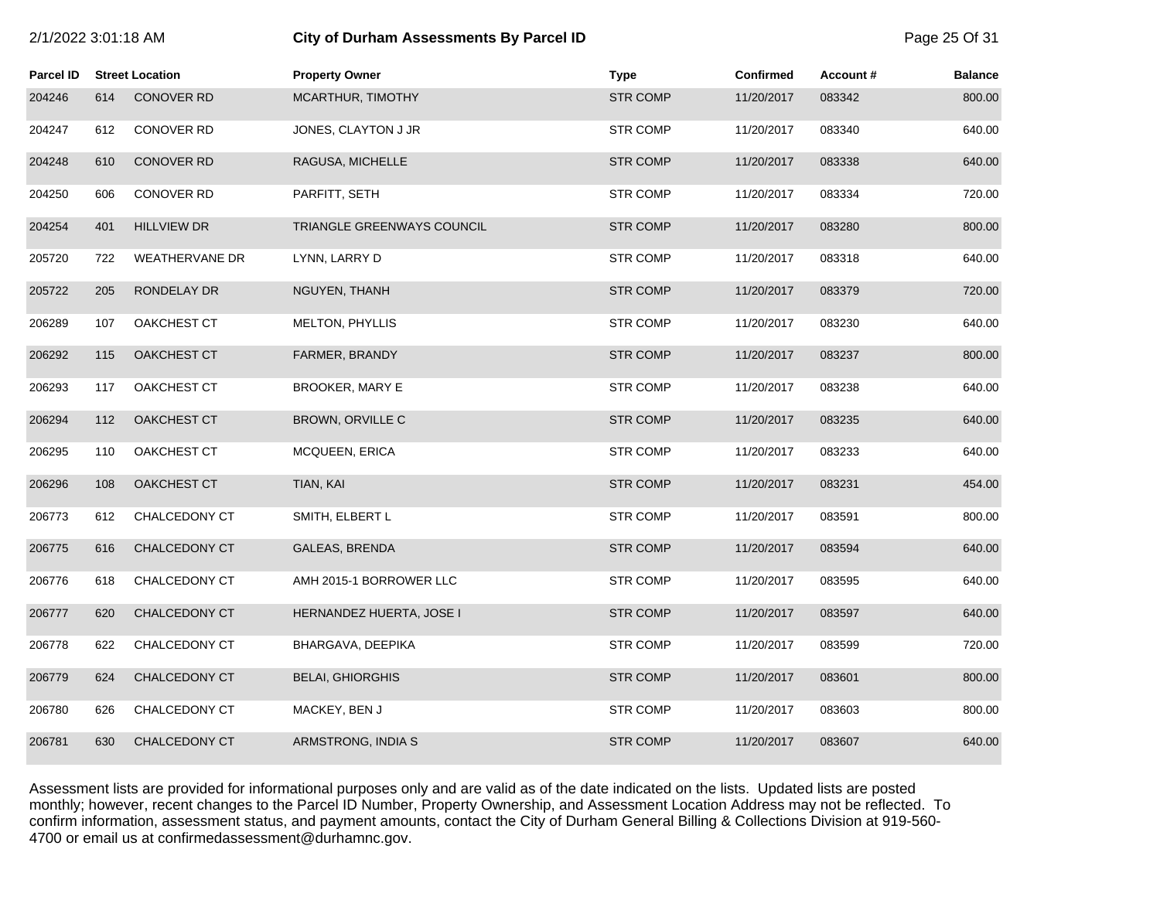| /1/2022 3:01:18 AM |  |
|--------------------|--|
|--------------------|--|

# 2/1/2022 3:01:18 AM **City of Durham Assessments By Parcel ID** Page 25 Of 31

| <b>Parcel ID</b> |     | <b>Street Location</b> | <b>Property Owner</b>      | <b>Type</b>     | <b>Confirmed</b> | Account# | <b>Balance</b> |
|------------------|-----|------------------------|----------------------------|-----------------|------------------|----------|----------------|
| 204246           | 614 | <b>CONOVER RD</b>      | MCARTHUR, TIMOTHY          | <b>STR COMP</b> | 11/20/2017       | 083342   | 800.00         |
| 204247           | 612 | CONOVER RD             | JONES, CLAYTON J JR        | <b>STR COMP</b> | 11/20/2017       | 083340   | 640.00         |
| 204248           | 610 | <b>CONOVER RD</b>      | RAGUSA, MICHELLE           | <b>STR COMP</b> | 11/20/2017       | 083338   | 640.00         |
| 204250           | 606 | <b>CONOVER RD</b>      | PARFITT, SETH              | <b>STR COMP</b> | 11/20/2017       | 083334   | 720.00         |
| 204254           | 401 | <b>HILLVIEW DR</b>     | TRIANGLE GREENWAYS COUNCIL | <b>STR COMP</b> | 11/20/2017       | 083280   | 800.00         |
| 205720           | 722 | <b>WEATHERVANE DR</b>  | LYNN, LARRY D              | <b>STR COMP</b> | 11/20/2017       | 083318   | 640.00         |
| 205722           | 205 | RONDELAY DR            | NGUYEN, THANH              | <b>STR COMP</b> | 11/20/2017       | 083379   | 720.00         |
| 206289           | 107 | OAKCHEST CT            | MELTON, PHYLLIS            | <b>STR COMP</b> | 11/20/2017       | 083230   | 640.00         |
| 206292           | 115 | OAKCHEST CT            | FARMER, BRANDY             | <b>STR COMP</b> | 11/20/2017       | 083237   | 800.00         |
| 206293           | 117 | OAKCHEST CT            | <b>BROOKER, MARY E</b>     | <b>STR COMP</b> | 11/20/2017       | 083238   | 640.00         |
| 206294           | 112 | OAKCHEST CT            | BROWN, ORVILLE C           | <b>STR COMP</b> | 11/20/2017       | 083235   | 640.00         |
| 206295           | 110 | OAKCHEST CT            | MCQUEEN, ERICA             | <b>STR COMP</b> | 11/20/2017       | 083233   | 640.00         |
| 206296           | 108 | OAKCHEST CT            | TIAN, KAI                  | <b>STR COMP</b> | 11/20/2017       | 083231   | 454.00         |
| 206773           | 612 | CHALCEDONY CT          | SMITH, ELBERT L            | <b>STR COMP</b> | 11/20/2017       | 083591   | 800.00         |
| 206775           | 616 | CHALCEDONY CT          | GALEAS, BRENDA             | <b>STR COMP</b> | 11/20/2017       | 083594   | 640.00         |
| 206776           | 618 | CHALCEDONY CT          | AMH 2015-1 BORROWER LLC    | <b>STR COMP</b> | 11/20/2017       | 083595   | 640.00         |
| 206777           | 620 | CHALCEDONY CT          | HERNANDEZ HUERTA, JOSE I   | <b>STR COMP</b> | 11/20/2017       | 083597   | 640.00         |
| 206778           | 622 | CHALCEDONY CT          | BHARGAVA, DEEPIKA          | <b>STR COMP</b> | 11/20/2017       | 083599   | 720.00         |
| 206779           | 624 | CHALCEDONY CT          | <b>BELAI, GHIORGHIS</b>    | <b>STR COMP</b> | 11/20/2017       | 083601   | 800.00         |
| 206780           | 626 | CHALCEDONY CT          | MACKEY, BEN J              | <b>STR COMP</b> | 11/20/2017       | 083603   | 800.00         |
| 206781           | 630 | <b>CHALCEDONY CT</b>   | ARMSTRONG, INDIA S         | <b>STR COMP</b> | 11/20/2017       | 083607   | 640.00         |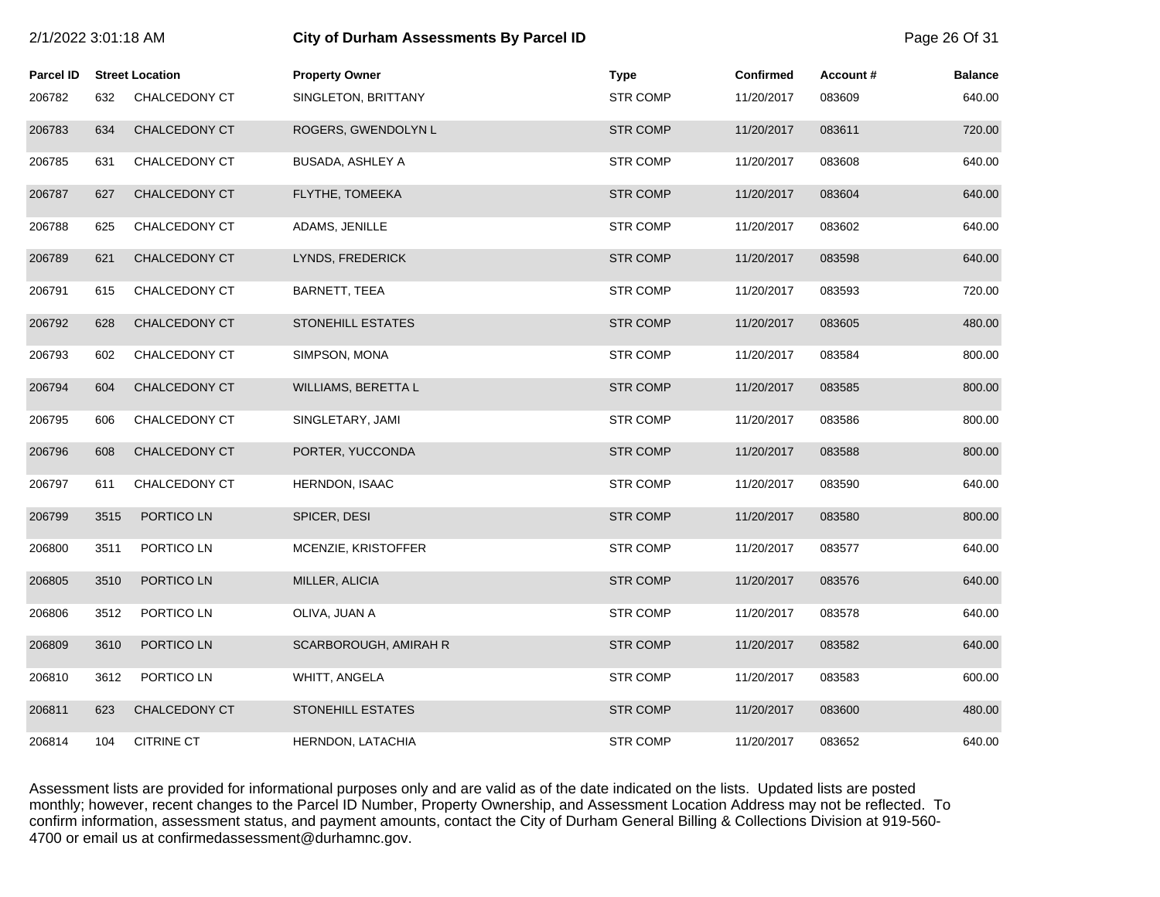| 2/1/2022 3:01:18 AM |      |                        | <b>City of Durham Assessments By Parcel ID</b> |                 |                  |          | Page 26 Of 31  |
|---------------------|------|------------------------|------------------------------------------------|-----------------|------------------|----------|----------------|
| <b>Parcel ID</b>    |      | <b>Street Location</b> | <b>Property Owner</b>                          | <b>Type</b>     | <b>Confirmed</b> | Account# | <b>Balance</b> |
| 206782              | 632  | CHALCEDONY CT          | SINGLETON, BRITTANY                            | <b>STR COMP</b> | 11/20/2017       | 083609   | 640.00         |
| 206783              | 634  | CHALCEDONY CT          | ROGERS, GWENDOLYN L                            | <b>STR COMP</b> | 11/20/2017       | 083611   | 720.00         |
| 206785              | 631  | CHALCEDONY CT          | <b>BUSADA, ASHLEY A</b>                        | <b>STR COMP</b> | 11/20/2017       | 083608   | 640.00         |
| 206787              | 627  | CHALCEDONY CT          | FLYTHE, TOMEEKA                                | <b>STR COMP</b> | 11/20/2017       | 083604   | 640.00         |
| 206788              | 625  | CHALCEDONY CT          | ADAMS, JENILLE                                 | <b>STR COMP</b> | 11/20/2017       | 083602   | 640.00         |
| 206789              | 621  | CHALCEDONY CT          | LYNDS, FREDERICK                               | <b>STR COMP</b> | 11/20/2017       | 083598   | 640.00         |
| 206791              | 615  | CHALCEDONY CT          | BARNETT, TEEA                                  | <b>STR COMP</b> | 11/20/2017       | 083593   | 720.00         |
| 206792              | 628  | CHALCEDONY CT          | <b>STONEHILL ESTATES</b>                       | <b>STR COMP</b> | 11/20/2017       | 083605   | 480.00         |
| 206793              | 602  | CHALCEDONY CT          | SIMPSON, MONA                                  | <b>STR COMP</b> | 11/20/2017       | 083584   | 800.00         |
| 206794              | 604  | CHALCEDONY CT          | WILLIAMS, BERETTA L                            | <b>STR COMP</b> | 11/20/2017       | 083585   | 800.00         |
| 206795              | 606  | CHALCEDONY CT          | SINGLETARY, JAMI                               | <b>STR COMP</b> | 11/20/2017       | 083586   | 800.00         |
| 206796              | 608  | CHALCEDONY CT          | PORTER, YUCCONDA                               | <b>STR COMP</b> | 11/20/2017       | 083588   | 800.00         |
| 206797              | 611  | CHALCEDONY CT          | HERNDON, ISAAC                                 | <b>STR COMP</b> | 11/20/2017       | 083590   | 640.00         |
| 206799              | 3515 | PORTICO LN             | SPICER, DESI                                   | <b>STR COMP</b> | 11/20/2017       | 083580   | 800.00         |
| 206800              | 3511 | PORTICO LN             | MCENZIE, KRISTOFFER                            | <b>STR COMP</b> | 11/20/2017       | 083577   | 640.00         |
| 206805              | 3510 | PORTICO LN             | MILLER, ALICIA                                 | <b>STR COMP</b> | 11/20/2017       | 083576   | 640.00         |
| 206806              | 3512 | PORTICO LN             | OLIVA, JUAN A                                  | <b>STR COMP</b> | 11/20/2017       | 083578   | 640.00         |
| 206809              | 3610 | PORTICO LN             | SCARBOROUGH, AMIRAH R                          | <b>STR COMP</b> | 11/20/2017       | 083582   | 640.00         |
| 206810              | 3612 | PORTICO LN             | WHITT, ANGELA                                  | <b>STR COMP</b> | 11/20/2017       | 083583   | 600.00         |
| 206811              | 623  | CHALCEDONY CT          | <b>STONEHILL ESTATES</b>                       | <b>STR COMP</b> | 11/20/2017       | 083600   | 480.00         |
| 206814              | 104  | <b>CITRINE CT</b>      | HERNDON, LATACHIA                              | <b>STR COMP</b> | 11/20/2017       | 083652   | 640.00         |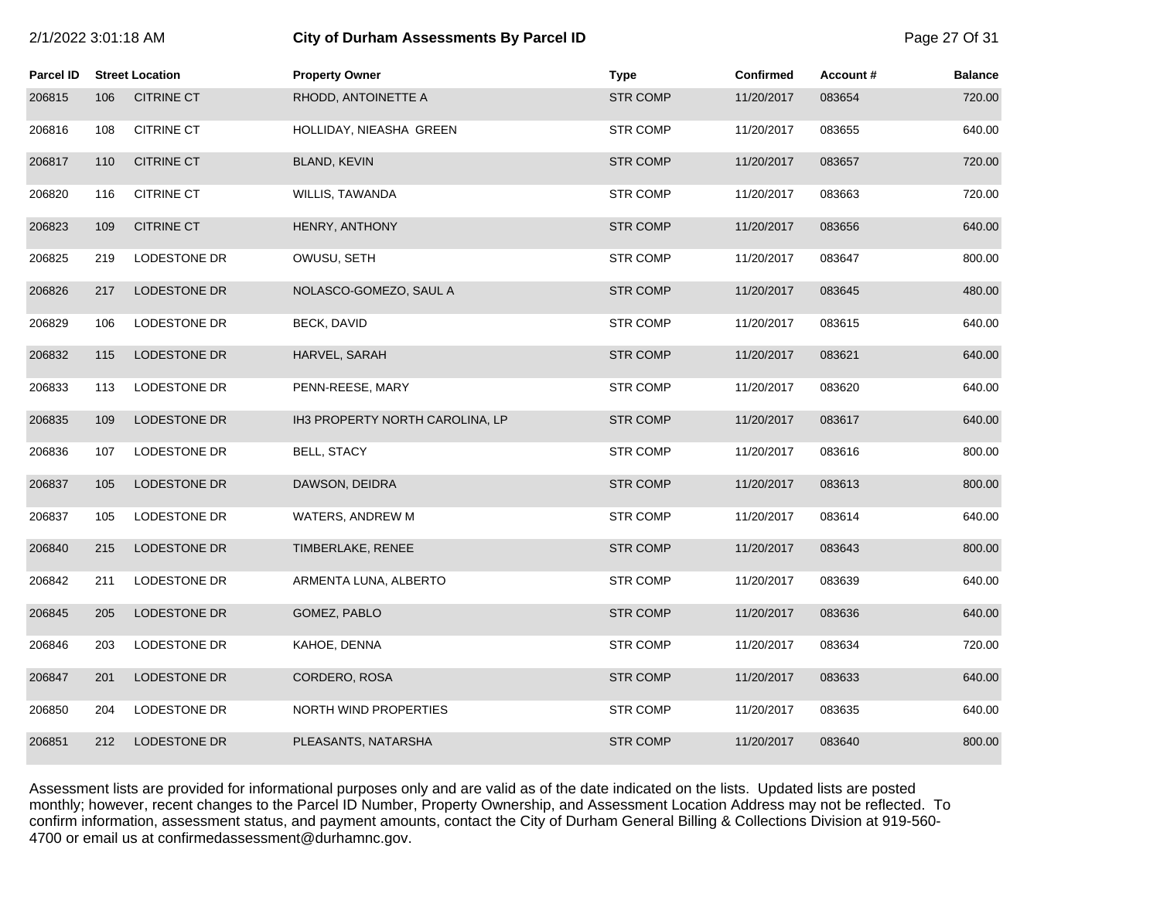| 2/1/2022 3:01:18 AM |     |                        | City of Durham Assessments By Parcel ID |                 |                  |          | Page 27 Of 31  |
|---------------------|-----|------------------------|-----------------------------------------|-----------------|------------------|----------|----------------|
| <b>Parcel ID</b>    |     | <b>Street Location</b> | <b>Property Owner</b>                   | <b>Type</b>     | <b>Confirmed</b> | Account# | <b>Balance</b> |
| 206815              | 106 | <b>CITRINE CT</b>      | RHODD, ANTOINETTE A                     | <b>STR COMP</b> | 11/20/2017       | 083654   | 720.00         |
| 206816              | 108 | <b>CITRINE CT</b>      | HOLLIDAY, NIEASHA GREEN                 | <b>STR COMP</b> | 11/20/2017       | 083655   | 640.00         |
| 206817              | 110 | <b>CITRINE CT</b>      | BLAND, KEVIN                            | <b>STR COMP</b> | 11/20/2017       | 083657   | 720.00         |
| 206820              | 116 | <b>CITRINE CT</b>      | WILLIS, TAWANDA                         | <b>STR COMP</b> | 11/20/2017       | 083663   | 720.00         |
| 206823              | 109 | <b>CITRINE CT</b>      | HENRY, ANTHONY                          | <b>STR COMP</b> | 11/20/2017       | 083656   | 640.00         |
| 206825              | 219 | LODESTONE DR           | OWUSU, SETH                             | <b>STR COMP</b> | 11/20/2017       | 083647   | 800.00         |
| 206826              | 217 | LODESTONE DR           | NOLASCO-GOMEZO, SAUL A                  | <b>STR COMP</b> | 11/20/2017       | 083645   | 480.00         |
| 206829              | 106 | LODESTONE DR           | BECK, DAVID                             | <b>STR COMP</b> | 11/20/2017       | 083615   | 640.00         |
| 206832              | 115 | LODESTONE DR           | HARVEL, SARAH                           | <b>STR COMP</b> | 11/20/2017       | 083621   | 640.00         |
| 206833              | 113 | LODESTONE DR           | PENN-REESE, MARY                        | <b>STR COMP</b> | 11/20/2017       | 083620   | 640.00         |
| 206835              | 109 | LODESTONE DR           | IH3 PROPERTY NORTH CAROLINA, LP         | <b>STR COMP</b> | 11/20/2017       | 083617   | 640.00         |
| 206836              | 107 | LODESTONE DR           | <b>BELL, STACY</b>                      | <b>STR COMP</b> | 11/20/2017       | 083616   | 800.00         |
| 206837              | 105 | LODESTONE DR           | DAWSON, DEIDRA                          | <b>STR COMP</b> | 11/20/2017       | 083613   | 800.00         |
| 206837              | 105 | LODESTONE DR           | WATERS, ANDREW M                        | <b>STR COMP</b> | 11/20/2017       | 083614   | 640.00         |
| 206840              | 215 | <b>LODESTONE DR</b>    | TIMBERLAKE, RENEE                       | <b>STR COMP</b> | 11/20/2017       | 083643   | 800.00         |
| 206842              | 211 | LODESTONE DR           | ARMENTA LUNA, ALBERTO                   | <b>STR COMP</b> | 11/20/2017       | 083639   | 640.00         |
| 206845              | 205 | LODESTONE DR           | GOMEZ, PABLO                            | <b>STR COMP</b> | 11/20/2017       | 083636   | 640.00         |
| 206846              | 203 | LODESTONE DR           | KAHOE, DENNA                            | <b>STR COMP</b> | 11/20/2017       | 083634   | 720.00         |
| 206847              | 201 | LODESTONE DR           | CORDERO, ROSA                           | <b>STR COMP</b> | 11/20/2017       | 083633   | 640.00         |
| 206850              | 204 | LODESTONE DR           | NORTH WIND PROPERTIES                   | <b>STR COMP</b> | 11/20/2017       | 083635   | 640.00         |
| 206851              | 212 | <b>LODESTONE DR</b>    | PLEASANTS, NATARSHA                     | <b>STR COMP</b> | 11/20/2017       | 083640   | 800.00         |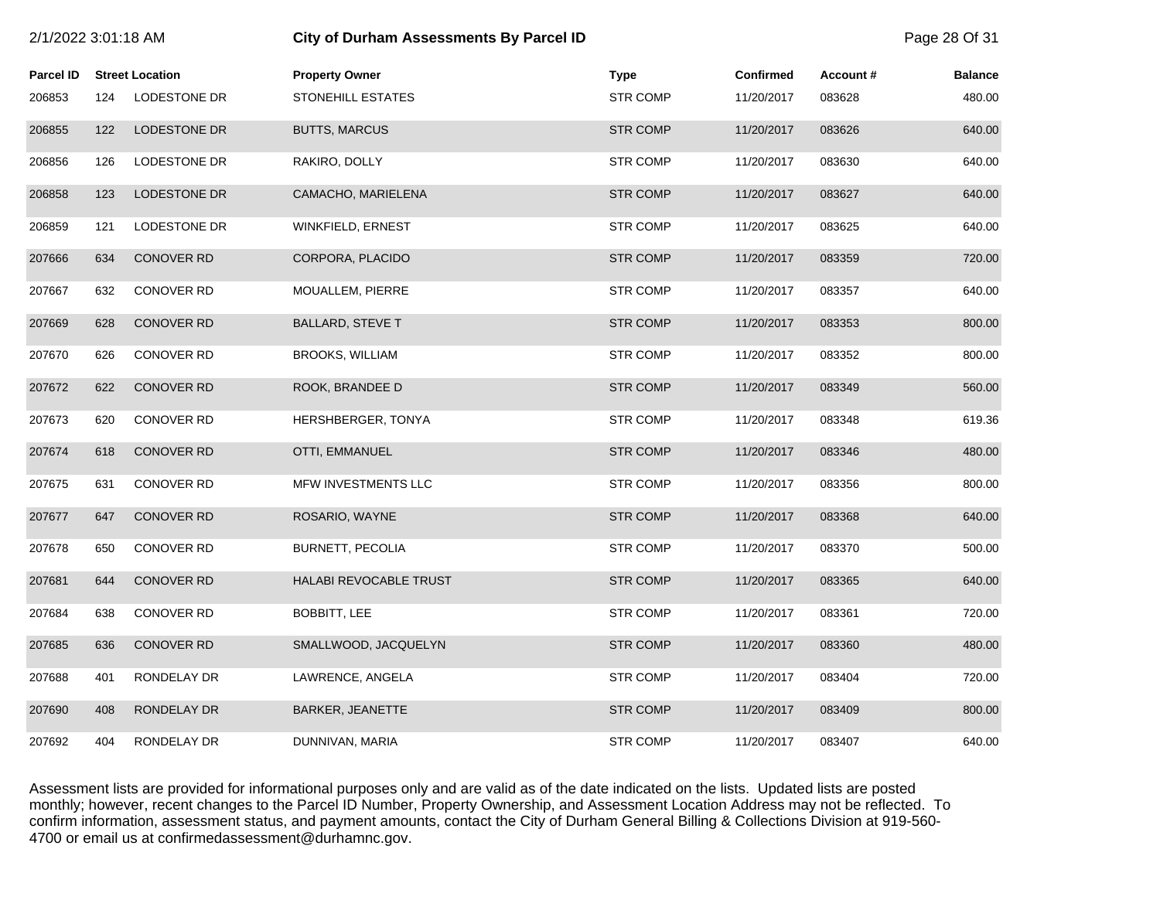| 2/1/2022 3:01:18 AM |     |                        | <b>City of Durham Assessments By Parcel ID</b> |                 |                  |          | Page 28 Of 31  |
|---------------------|-----|------------------------|------------------------------------------------|-----------------|------------------|----------|----------------|
| <b>Parcel ID</b>    |     | <b>Street Location</b> | <b>Property Owner</b>                          | Type            | <b>Confirmed</b> | Account# | <b>Balance</b> |
| 206853              | 124 | LODESTONE DR           | STONEHILL ESTATES                              | <b>STR COMP</b> | 11/20/2017       | 083628   | 480.00         |
| 206855              | 122 | LODESTONE DR           | <b>BUTTS, MARCUS</b>                           | <b>STR COMP</b> | 11/20/2017       | 083626   | 640.00         |
| 206856              | 126 | LODESTONE DR           | RAKIRO, DOLLY                                  | <b>STR COMP</b> | 11/20/2017       | 083630   | 640.00         |
| 206858              | 123 | LODESTONE DR           | CAMACHO, MARIELENA                             | <b>STR COMP</b> | 11/20/2017       | 083627   | 640.00         |
| 206859              | 121 | LODESTONE DR           | WINKFIELD, ERNEST                              | <b>STR COMP</b> | 11/20/2017       | 083625   | 640.00         |
| 207666              | 634 | <b>CONOVER RD</b>      | CORPORA, PLACIDO                               | <b>STR COMP</b> | 11/20/2017       | 083359   | 720.00         |
| 207667              | 632 | <b>CONOVER RD</b>      | MOUALLEM, PIERRE                               | <b>STR COMP</b> | 11/20/2017       | 083357   | 640.00         |
| 207669              | 628 | <b>CONOVER RD</b>      | <b>BALLARD, STEVE T</b>                        | <b>STR COMP</b> | 11/20/2017       | 083353   | 800.00         |
| 207670              | 626 | <b>CONOVER RD</b>      | <b>BROOKS, WILLIAM</b>                         | <b>STR COMP</b> | 11/20/2017       | 083352   | 800.00         |
| 207672              | 622 | <b>CONOVER RD</b>      | ROOK, BRANDEE D                                | <b>STR COMP</b> | 11/20/2017       | 083349   | 560.00         |
| 207673              | 620 | <b>CONOVER RD</b>      | HERSHBERGER, TONYA                             | <b>STR COMP</b> | 11/20/2017       | 083348   | 619.36         |
| 207674              | 618 | <b>CONOVER RD</b>      | OTTI, EMMANUEL                                 | <b>STR COMP</b> | 11/20/2017       | 083346   | 480.00         |
| 207675              | 631 | <b>CONOVER RD</b>      | MFW INVESTMENTS LLC                            | <b>STR COMP</b> | 11/20/2017       | 083356   | 800.00         |
| 207677              | 647 | <b>CONOVER RD</b>      | ROSARIO, WAYNE                                 | <b>STR COMP</b> | 11/20/2017       | 083368   | 640.00         |
| 207678              | 650 | <b>CONOVER RD</b>      | <b>BURNETT, PECOLIA</b>                        | <b>STR COMP</b> | 11/20/2017       | 083370   | 500.00         |
| 207681              | 644 | <b>CONOVER RD</b>      | HALABI REVOCABLE TRUST                         | <b>STR COMP</b> | 11/20/2017       | 083365   | 640.00         |
| 207684              | 638 | <b>CONOVER RD</b>      | BOBBITT, LEE                                   | <b>STR COMP</b> | 11/20/2017       | 083361   | 720.00         |
| 207685              | 636 | <b>CONOVER RD</b>      | SMALLWOOD, JACQUELYN                           | <b>STR COMP</b> | 11/20/2017       | 083360   | 480.00         |
| 207688              | 401 | RONDELAY DR            | LAWRENCE, ANGELA                               | <b>STR COMP</b> | 11/20/2017       | 083404   | 720.00         |
| 207690              | 408 | RONDELAY DR            | BARKER, JEANETTE                               | <b>STR COMP</b> | 11/20/2017       | 083409   | 800.00         |
| 207692              | 404 | RONDELAY DR            | DUNNIVAN, MARIA                                | <b>STR COMP</b> | 11/20/2017       | 083407   | 640.00         |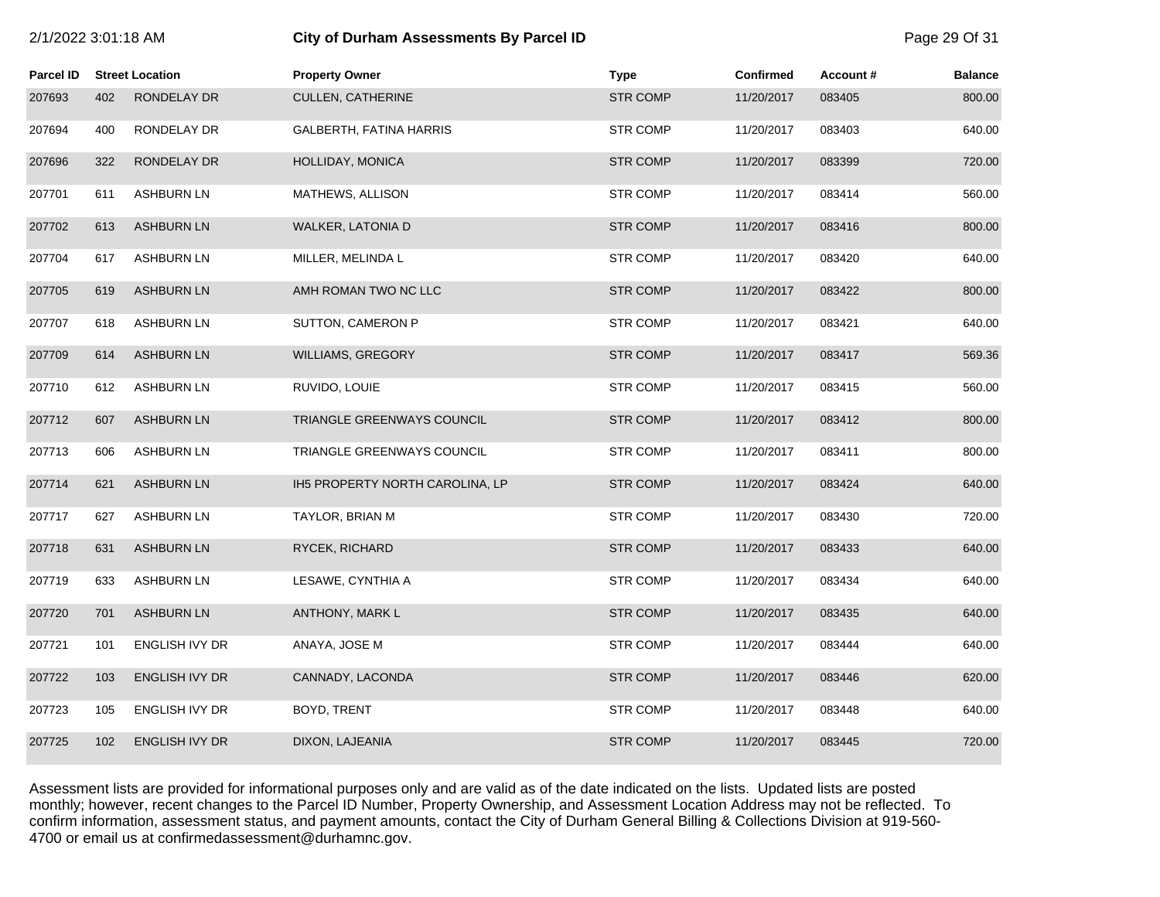| 2/1/2022 3:01:18 AM |     |                        | City of Durham Assessments By Parcel ID |                 |            |          | Page 29 Of 31  |
|---------------------|-----|------------------------|-----------------------------------------|-----------------|------------|----------|----------------|
| Parcel ID           |     | <b>Street Location</b> | <b>Property Owner</b>                   | <b>Type</b>     | Confirmed  | Account# | <b>Balance</b> |
| 207693              | 402 | RONDELAY DR            | <b>CULLEN, CATHERINE</b>                | STR COMP        | 11/20/2017 | 083405   | 800.00         |
| 207694              | 400 | RONDELAY DR            | GALBERTH, FATINA HARRIS                 | <b>STR COMP</b> | 11/20/2017 | 083403   | 640.00         |
| 207696              | 322 | RONDELAY DR            | HOLLIDAY, MONICA                        | <b>STR COMP</b> | 11/20/2017 | 083399   | 720.00         |
| 207701              | 611 | <b>ASHBURN LN</b>      | MATHEWS, ALLISON                        | <b>STR COMP</b> | 11/20/2017 | 083414   | 560.00         |
| 207702              | 613 | <b>ASHBURN LN</b>      | <b>WALKER, LATONIA D</b>                | <b>STR COMP</b> | 11/20/2017 | 083416   | 800.00         |
| 207704              | 617 | <b>ASHBURN LN</b>      | MILLER, MELINDA L                       | <b>STR COMP</b> | 11/20/2017 | 083420   | 640.00         |
| 207705              | 619 | <b>ASHBURN LN</b>      | AMH ROMAN TWO NC LLC                    | <b>STR COMP</b> | 11/20/2017 | 083422   | 800.00         |
| 207707              | 618 | <b>ASHBURN LN</b>      | SUTTON, CAMERON P                       | <b>STR COMP</b> | 11/20/2017 | 083421   | 640.00         |
| 207709              | 614 | <b>ASHBURN LN</b>      | <b>WILLIAMS, GREGORY</b>                | <b>STR COMP</b> | 11/20/2017 | 083417   | 569.36         |
| 207710              | 612 | <b>ASHBURN LN</b>      | RUVIDO, LOUIE                           | STR COMP        | 11/20/2017 | 083415   | 560.00         |
| 207712              | 607 | <b>ASHBURN LN</b>      | TRIANGLE GREENWAYS COUNCIL              | <b>STR COMP</b> | 11/20/2017 | 083412   | 800.00         |
| 207713              | 606 | <b>ASHBURN LN</b>      | TRIANGLE GREENWAYS COUNCIL              | <b>STR COMP</b> | 11/20/2017 | 083411   | 800.00         |
| 207714              | 621 | <b>ASHBURN LN</b>      | IH5 PROPERTY NORTH CAROLINA, LP         | <b>STR COMP</b> | 11/20/2017 | 083424   | 640.00         |
| 207717              | 627 | <b>ASHBURN LN</b>      | TAYLOR, BRIAN M                         | <b>STR COMP</b> | 11/20/2017 | 083430   | 720.00         |
| 207718              | 631 | <b>ASHBURN LN</b>      | RYCEK, RICHARD                          | <b>STR COMP</b> | 11/20/2017 | 083433   | 640.00         |
| 207719              | 633 | <b>ASHBURN LN</b>      | LESAWE, CYNTHIA A                       | <b>STR COMP</b> | 11/20/2017 | 083434   | 640.00         |
| 207720              | 701 | <b>ASHBURN LN</b>      | ANTHONY, MARK L                         | <b>STR COMP</b> | 11/20/2017 | 083435   | 640.00         |
| 207721              | 101 | <b>ENGLISH IVY DR</b>  | ANAYA, JOSE M                           | <b>STR COMP</b> | 11/20/2017 | 083444   | 640.00         |
| 207722              | 103 | ENGLISH IVY DR         | CANNADY, LACONDA                        | <b>STR COMP</b> | 11/20/2017 | 083446   | 620.00         |
| 207723              | 105 | ENGLISH IVY DR         | BOYD, TRENT                             | <b>STR COMP</b> | 11/20/2017 | 083448   | 640.00         |
| 207725              | 102 | <b>ENGLISH IVY DR</b>  | DIXON, LAJEANIA                         | <b>STR COMP</b> | 11/20/2017 | 083445   | 720.00         |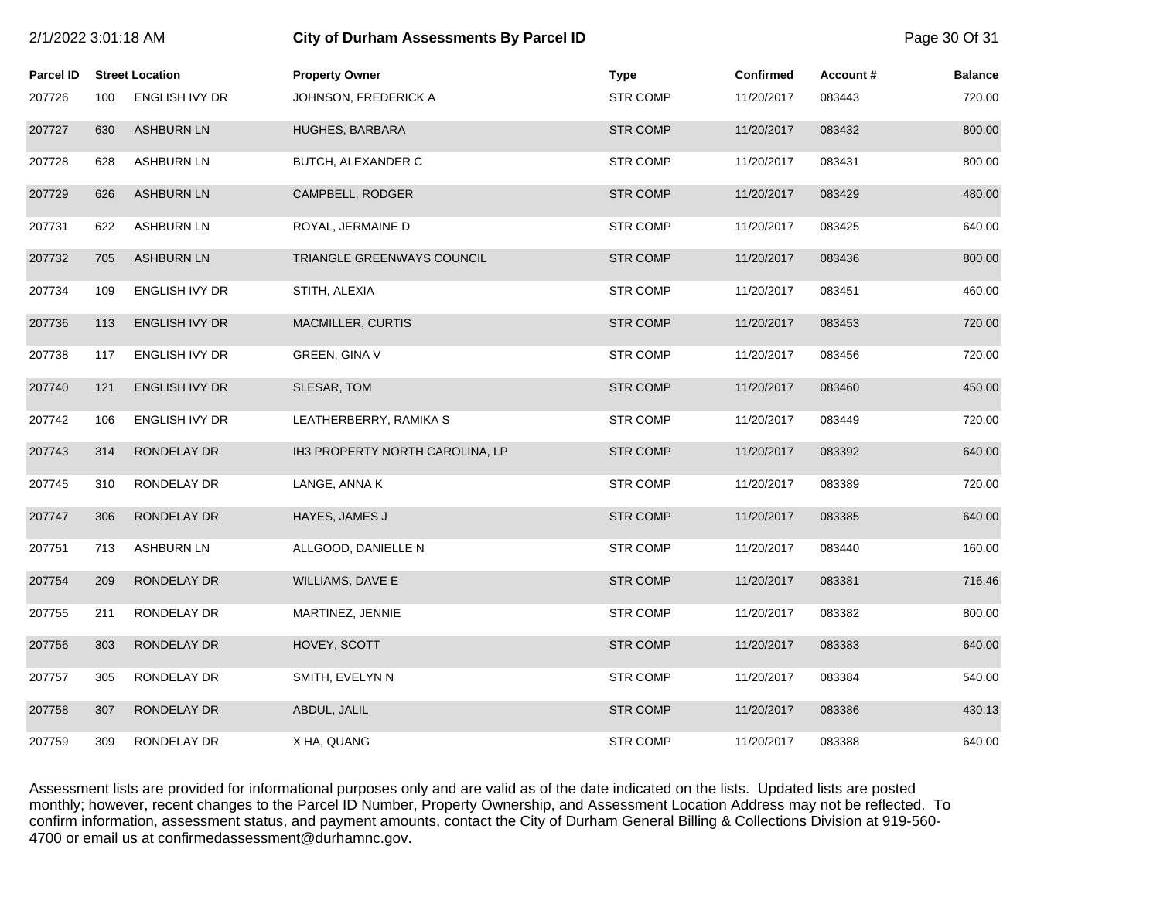| 2/1/2022 3:01:18 AM |     |                        | <b>City of Durham Assessments By Parcel ID</b> |                 |            |          | Page 30 Of 31  |
|---------------------|-----|------------------------|------------------------------------------------|-----------------|------------|----------|----------------|
| <b>Parcel ID</b>    |     | <b>Street Location</b> | <b>Property Owner</b>                          | <b>Type</b>     | Confirmed  | Account# | <b>Balance</b> |
| 207726              | 100 | <b>ENGLISH IVY DR</b>  | JOHNSON, FREDERICK A                           | <b>STR COMP</b> | 11/20/2017 | 083443   | 720.00         |
| 207727              | 630 | <b>ASHBURN LN</b>      | HUGHES, BARBARA                                | <b>STR COMP</b> | 11/20/2017 | 083432   | 800.00         |
| 207728              | 628 | <b>ASHBURN LN</b>      | BUTCH, ALEXANDER C                             | <b>STR COMP</b> | 11/20/2017 | 083431   | 800.00         |
| 207729              | 626 | <b>ASHBURN LN</b>      | CAMPBELL, RODGER                               | <b>STR COMP</b> | 11/20/2017 | 083429   | 480.00         |
| 207731              | 622 | <b>ASHBURN LN</b>      | ROYAL, JERMAINE D                              | <b>STR COMP</b> | 11/20/2017 | 083425   | 640.00         |
| 207732              | 705 | <b>ASHBURN LN</b>      | TRIANGLE GREENWAYS COUNCIL                     | <b>STR COMP</b> | 11/20/2017 | 083436   | 800.00         |
| 207734              | 109 | <b>ENGLISH IVY DR</b>  | STITH, ALEXIA                                  | <b>STR COMP</b> | 11/20/2017 | 083451   | 460.00         |
| 207736              | 113 | ENGLISH IVY DR         | MACMILLER, CURTIS                              | <b>STR COMP</b> | 11/20/2017 | 083453   | 720.00         |
| 207738              | 117 | <b>ENGLISH IVY DR</b>  | <b>GREEN, GINA V</b>                           | <b>STR COMP</b> | 11/20/2017 | 083456   | 720.00         |
| 207740              | 121 | <b>ENGLISH IVY DR</b>  | SLESAR, TOM                                    | <b>STR COMP</b> | 11/20/2017 | 083460   | 450.00         |
| 207742              | 106 | <b>ENGLISH IVY DR</b>  | LEATHERBERRY, RAMIKA S                         | <b>STR COMP</b> | 11/20/2017 | 083449   | 720.00         |
| 207743              | 314 | RONDELAY DR            | IH3 PROPERTY NORTH CAROLINA, LP                | <b>STR COMP</b> | 11/20/2017 | 083392   | 640.00         |
| 207745              | 310 | RONDELAY DR            | LANGE, ANNA K                                  | <b>STR COMP</b> | 11/20/2017 | 083389   | 720.00         |
| 207747              | 306 | RONDELAY DR            | HAYES, JAMES J                                 | <b>STR COMP</b> | 11/20/2017 | 083385   | 640.00         |
| 207751              | 713 | ASHBURN LN             | ALLGOOD, DANIELLE N                            | <b>STR COMP</b> | 11/20/2017 | 083440   | 160.00         |
| 207754              | 209 | RONDELAY DR            | WILLIAMS, DAVE E                               | <b>STR COMP</b> | 11/20/2017 | 083381   | 716.46         |
| 207755              | 211 | RONDELAY DR            | MARTINEZ, JENNIE                               | <b>STR COMP</b> | 11/20/2017 | 083382   | 800.00         |
| 207756              | 303 | RONDELAY DR            | HOVEY, SCOTT                                   | <b>STR COMP</b> | 11/20/2017 | 083383   | 640.00         |
| 207757              | 305 | RONDELAY DR            | SMITH, EVELYN N                                | <b>STR COMP</b> | 11/20/2017 | 083384   | 540.00         |
| 207758              | 307 | RONDELAY DR            | ABDUL, JALIL                                   | <b>STR COMP</b> | 11/20/2017 | 083386   | 430.13         |
| 207759              | 309 | RONDELAY DR            | X HA, QUANG                                    | <b>STR COMP</b> | 11/20/2017 | 083388   | 640.00         |